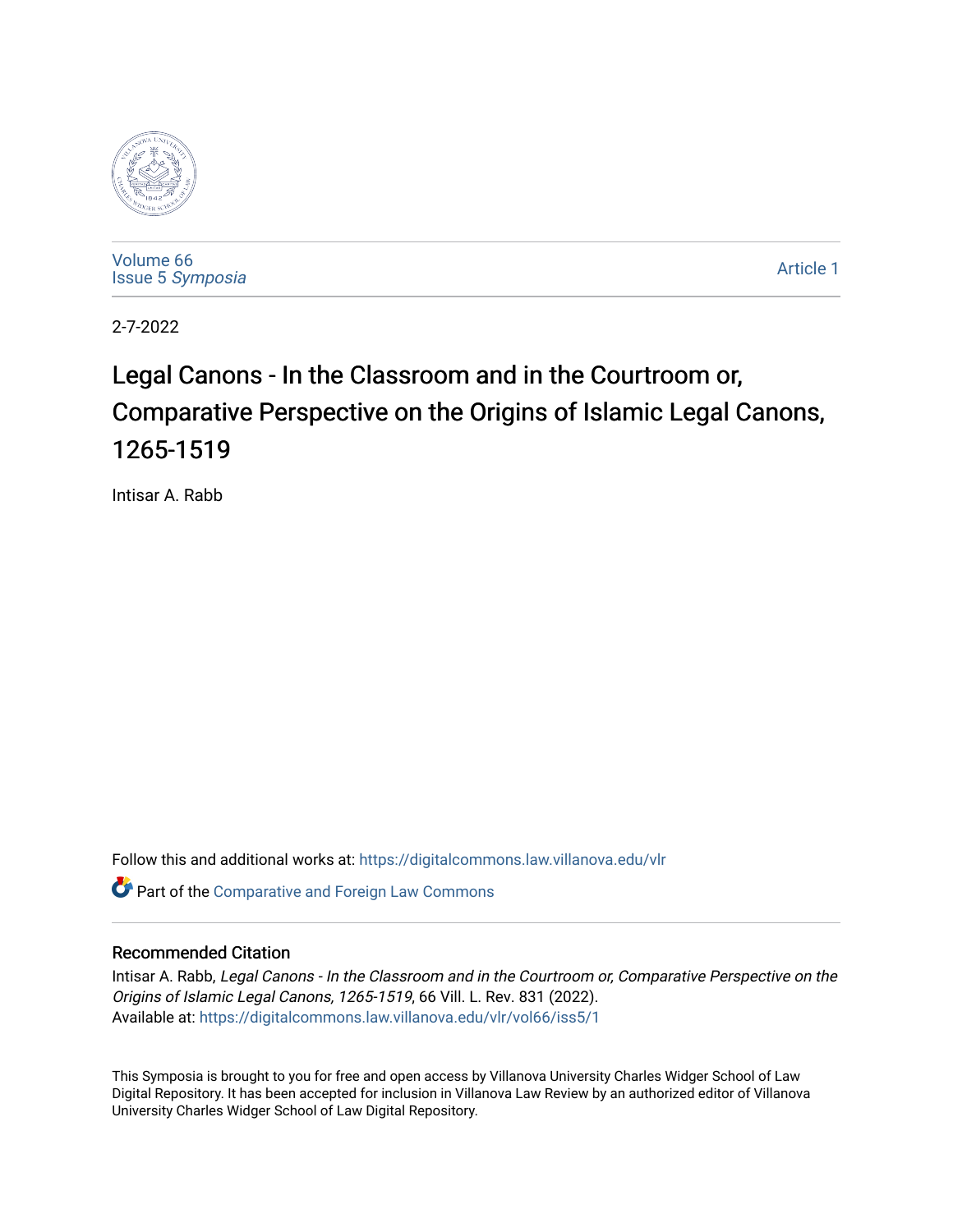

[Volume 66](https://digitalcommons.law.villanova.edu/vlr/vol66) Issue 5 [Symposia](https://digitalcommons.law.villanova.edu/vlr/vol66/iss5) 

[Article 1](https://digitalcommons.law.villanova.edu/vlr/vol66/iss5/1) 

2-7-2022

# Legal Canons - In the Classroom and in the Courtroom or, Comparative Perspective on the Origins of Islamic Legal Canons, 1265-1519

Intisar A. Rabb

Follow this and additional works at: [https://digitalcommons.law.villanova.edu/vlr](https://digitalcommons.law.villanova.edu/vlr?utm_source=digitalcommons.law.villanova.edu%2Fvlr%2Fvol66%2Fiss5%2F1&utm_medium=PDF&utm_campaign=PDFCoverPages)

Part of the [Comparative and Foreign Law Commons](http://network.bepress.com/hgg/discipline/836?utm_source=digitalcommons.law.villanova.edu%2Fvlr%2Fvol66%2Fiss5%2F1&utm_medium=PDF&utm_campaign=PDFCoverPages) 

# Recommended Citation

Intisar A. Rabb, Legal Canons - In the Classroom and in the Courtroom or, Comparative Perspective on the Origins of Islamic Legal Canons, 1265-1519, 66 Vill. L. Rev. 831 (2022). Available at: [https://digitalcommons.law.villanova.edu/vlr/vol66/iss5/1](https://digitalcommons.law.villanova.edu/vlr/vol66/iss5/1?utm_source=digitalcommons.law.villanova.edu%2Fvlr%2Fvol66%2Fiss5%2F1&utm_medium=PDF&utm_campaign=PDFCoverPages) 

This Symposia is brought to you for free and open access by Villanova University Charles Widger School of Law Digital Repository. It has been accepted for inclusion in Villanova Law Review by an authorized editor of Villanova University Charles Widger School of Law Digital Repository.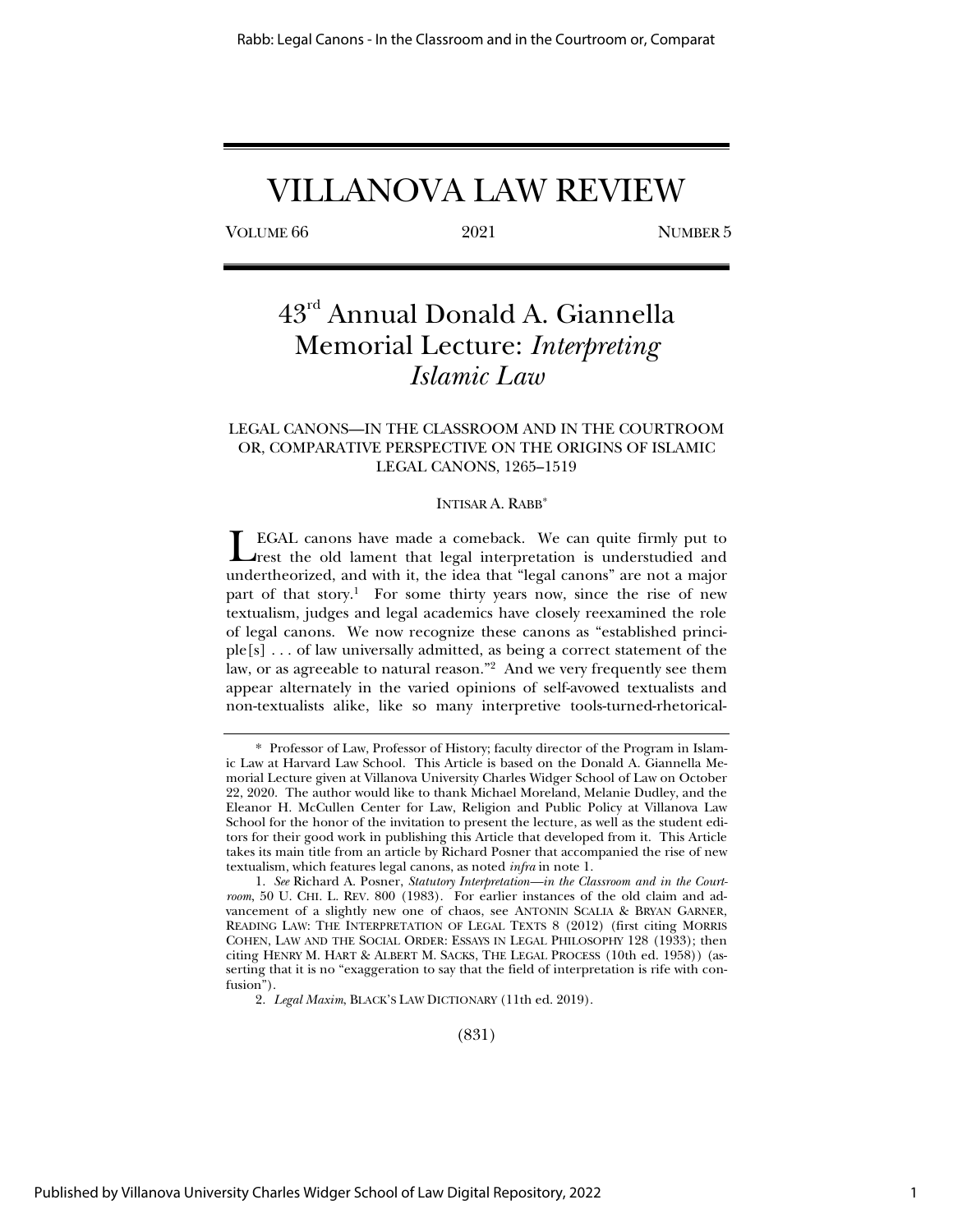# VILLANOVA LAW REVIEW

VOLUME 66 2021 NUMBER 5

# 43rd Annual Donald A. Giannella Memorial Lecture: *Interpreting Islamic Law*

# LEGAL CANONS—IN THE CLASSROOM AND IN THE COURTROOM OR, COMPARATIVE PERSPECTIVE ON THE ORIGINS OF ISLAMIC LEGAL CANONS, 1265–1519

### INTISAR A. RABB\*

EGAL canons have made a comeback. We can quite firmly put to LEGAL canons have made a comeback. We can quite firmly put to rest the old lament that legal interpretation is understudied and undertheorized, and with it, the idea that "legal canons" are not a major part of that story.<sup>1</sup> For some thirty years now, since the rise of new textualism, judges and legal academics have closely reexamined the role of legal canons. We now recognize these canons as "established principle[s] . . . of law universally admitted, as being a correct statement of the law, or as agreeable to natural reason."2 And we very frequently see them appear alternately in the varied opinions of self-avowed textualists and non-textualists alike, like so many interpretive tools-turned-rhetorical-

(831)

 <sup>\*</sup> Professor of Law, Professor of History; faculty director of the Program in Islamic Law at Harvard Law School. This Article is based on the Donald A. Giannella Memorial Lecture given at Villanova University Charles Widger School of Law on October 22, 2020. The author would like to thank Michael Moreland, Melanie Dudley, and the Eleanor H. McCullen Center for Law, Religion and Public Policy at Villanova Law School for the honor of the invitation to present the lecture, as well as the student editors for their good work in publishing this Article that developed from it. This Article takes its main title from an article by Richard Posner that accompanied the rise of new textualism, which features legal canons, as noted *infra* in note 1.

<sup>1.</sup> *See* Richard A. Posner, *Statutory Interpretation—in the Classroom and in the Courtroom*, 50 U. CHI. L. REV. 800 (1983). For earlier instances of the old claim and advancement of a slightly new one of chaos, see ANTONIN SCALIA & BRYAN GARNER, READING LAW: THE INTERPRETATION OF LEGAL TEXTS 8 (2012) (first citing MORRIS COHEN, LAW AND THE SOCIAL ORDER: ESSAYS IN LEGAL PHILOSOPHY 128 (1933); then citing HENRY M. HART & ALBERT M. SACKS, THE LEGAL PROCESS (10th ed. 1958)) (asserting that it is no "exaggeration to say that the field of interpretation is rife with confusion").

<sup>2.</sup> *Legal Maxim*, BLACK'S LAW DICTIONARY (11th ed. 2019).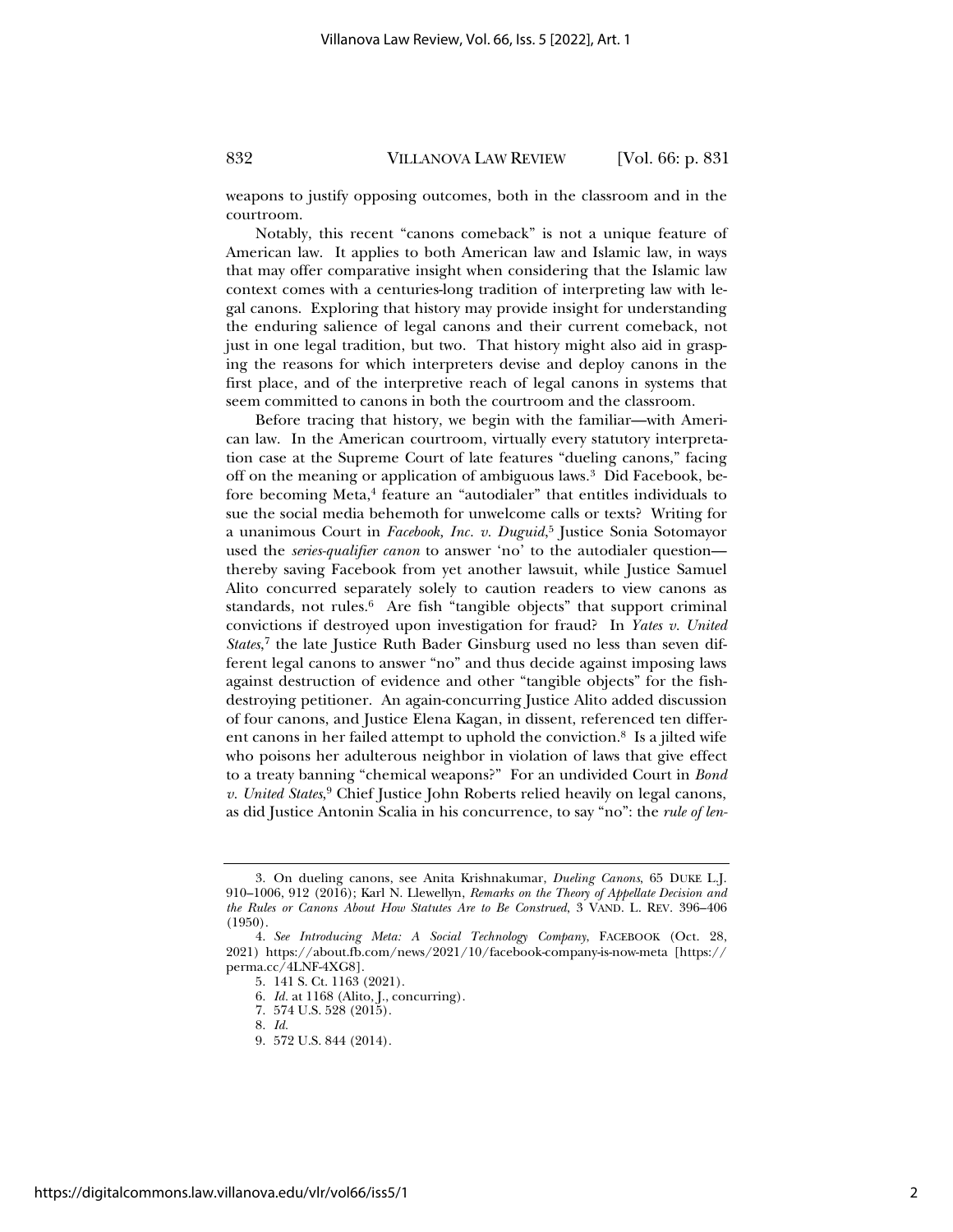weapons to justify opposing outcomes, both in the classroom and in the courtroom.

Notably, this recent "canons comeback" is not a unique feature of American law. It applies to both American law and Islamic law, in ways that may offer comparative insight when considering that the Islamic law context comes with a centuries-long tradition of interpreting law with legal canons. Exploring that history may provide insight for understanding the enduring salience of legal canons and their current comeback, not just in one legal tradition, but two. That history might also aid in grasping the reasons for which interpreters devise and deploy canons in the first place, and of the interpretive reach of legal canons in systems that seem committed to canons in both the courtroom and the classroom.

Before tracing that history, we begin with the familiar—with American law. In the American courtroom, virtually every statutory interpretation case at the Supreme Court of late features "dueling canons," facing off on the meaning or application of ambiguous laws.3 Did Facebook, before becoming Meta, $4$  feature an "autodialer" that entitles individuals to sue the social media behemoth for unwelcome calls or texts? Writing for a unanimous Court in *Facebook, Inc. v. Duguid*, 5 Justice Sonia Sotomayor used the *series-qualifier canon* to answer 'no' to the autodialer question thereby saving Facebook from yet another lawsuit, while Justice Samuel Alito concurred separately solely to caution readers to view canons as standards, not rules. $6$  Are fish "tangible objects" that support criminal convictions if destroyed upon investigation for fraud? In *Yates v. United States*, 7 the late Justice Ruth Bader Ginsburg used no less than seven different legal canons to answer "no" and thus decide against imposing laws against destruction of evidence and other "tangible objects" for the fishdestroying petitioner. An again-concurring Justice Alito added discussion of four canons, and Justice Elena Kagan, in dissent, referenced ten different canons in her failed attempt to uphold the conviction.8 Is a jilted wife who poisons her adulterous neighbor in violation of laws that give effect to a treaty banning "chemical weapons?" For an undivided Court in *Bond v. United States*, 9 Chief Justice John Roberts relied heavily on legal canons, as did Justice Antonin Scalia in his concurrence, to say "no": the *rule of len-*

8. *Id.* 

<sup>3.</sup> On dueling canons, see Anita Krishnakumar, *Dueling Canons*, 65 DUKE L.J. 910–1006, 912 (2016); Karl N. Llewellyn, *Remarks on the Theory of Appellate Decision and the Rules or Canons About How Statutes Are to Be Construed*, 3 VAND. L. REV. 396–406 (1950).

<sup>4.</sup> *See Introducing Meta: A Social Technology Company*, FACEBOOK (Oct. 28, 2021) https://about.fb.com/news/2021/10/facebook-company-is-now-meta [https:// perma.cc/4LNF-4XG8].

<sup>5. 141</sup> S. Ct. 1163 (2021).

<sup>6.</sup> *Id.* at 1168 (Alito, J., concurring).

<sup>7. 574</sup> U.S. 528 (2015).

<sup>9. 572</sup> U.S. 844 (2014).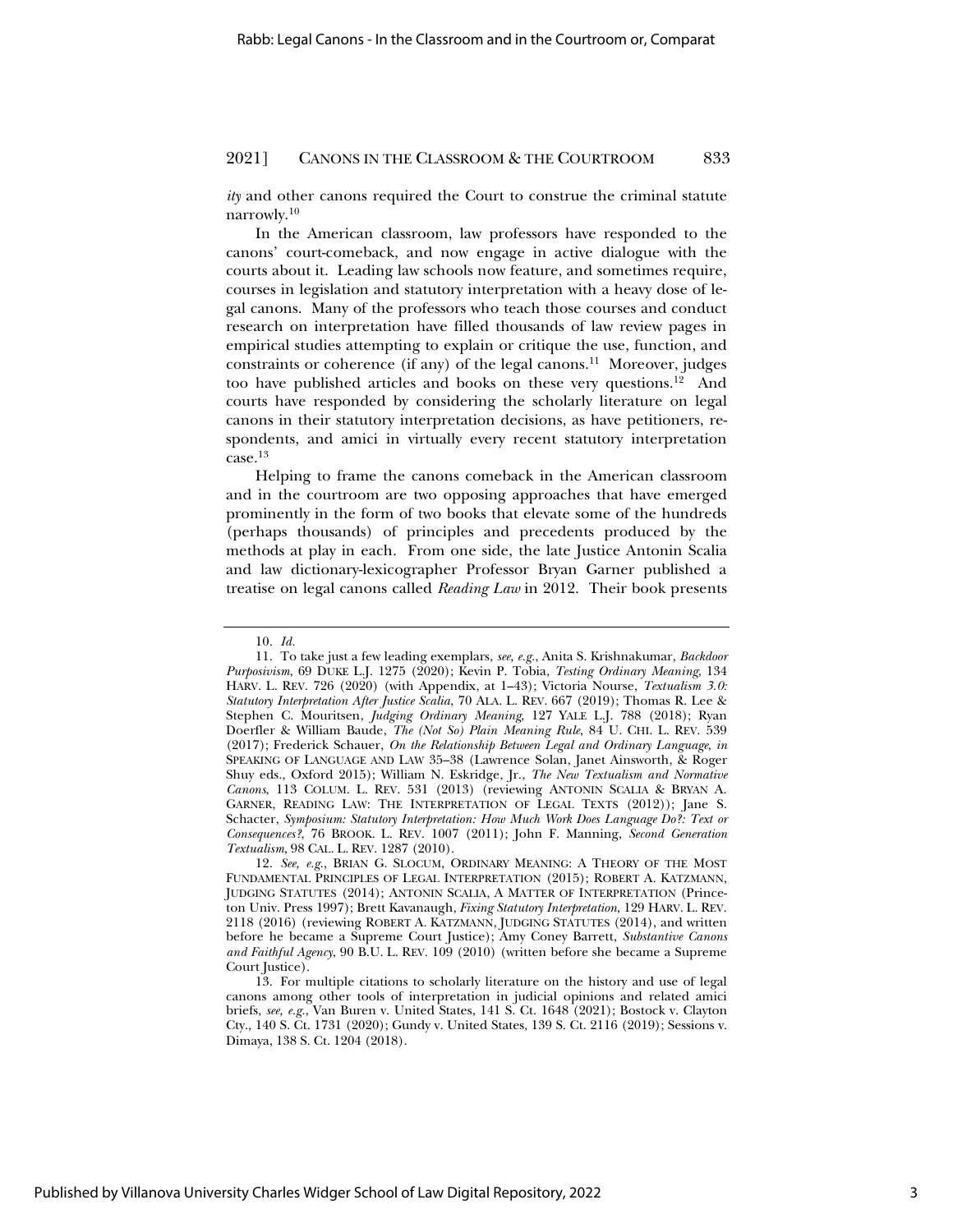*ity* and other canons required the Court to construe the criminal statute narrowly.10

In the American classroom, law professors have responded to the canons' court-comeback, and now engage in active dialogue with the courts about it. Leading law schools now feature, and sometimes require, courses in legislation and statutory interpretation with a heavy dose of legal canons. Many of the professors who teach those courses and conduct research on interpretation have filled thousands of law review pages in empirical studies attempting to explain or critique the use, function, and constraints or coherence (if any) of the legal canons.11 Moreover, judges too have published articles and books on these very questions.12 And courts have responded by considering the scholarly literature on legal canons in their statutory interpretation decisions, as have petitioners, respondents, and amici in virtually every recent statutory interpretation case.13

Helping to frame the canons comeback in the American classroom and in the courtroom are two opposing approaches that have emerged prominently in the form of two books that elevate some of the hundreds (perhaps thousands) of principles and precedents produced by the methods at play in each. From one side, the late Justice Antonin Scalia and law dictionary-lexicographer Professor Bryan Garner published a treatise on legal canons called *Reading Law* in 2012. Their book presents

<sup>10.</sup> *Id.* 

<sup>11.</sup> To take just a few leading exemplars, *see, e.g.*, Anita S. Krishnakumar, *Backdoor Purposivism*, 69 DUKE L.J. 1275 (2020); Kevin P. Tobia, *Testing Ordinary Meaning*, 134 HARV. L. REV. 726 (2020) (with Appendix, at 1–43); Victoria Nourse, *Textualism 3.0: Statutory Interpretation After Justice Scalia*, 70 ALA. L. REV. 667 (2019); Thomas R. Lee & Stephen C. Mouritsen, *Judging Ordinary Meaning*, 127 YALE L.J. 788 (2018); Ryan Doerfler & William Baude, *The (Not So) Plain Meaning Rule*, 84 U. CHI. L. REV. 539 (2017); Frederick Schauer, *On the Relationship Between Legal and Ordinary Language*, *in* SPEAKING OF LANGUAGE AND LAW 35–38 (Lawrence Solan, Janet Ainsworth, & Roger Shuy eds., Oxford 2015); William N. Eskridge, Jr., *The New Textualism and Normative Canons*, 113 COLUM. L. REV. 531 (2013) (reviewing ANTONIN SCALIA & BRYAN A. GARNER, READING LAW: THE INTERPRETATION OF LEGAL TEXTS (2012)); Jane S. Schacter, *Symposium: Statutory Interpretation: How Much Work Does Language Do?: Text or Consequences?*, 76 BROOK. L. REV. 1007 (2011); John F. Manning, *Second Generation Textualism*, 98 CAL. L. REV. 1287 (2010).

<sup>12.</sup> See, e.g., BRIAN G. SLOCUM, ORDINARY MEANING: A THEORY OF THE MOST FUNDAMENTAL PRINCIPLES OF LEGAL INTERPRETATION (2015); ROBERT A. KATZMANN, JUDGING STATUTES (2014); ANTONIN SCALIA,AMATTER OF INTERPRETATION (Princeton Univ. Press 1997); Brett Kavanaugh, *Fixing Statutory Interpretation*, 129 HARV. L. REV. 2118 (2016) (reviewing ROBERT A. KATZMANN, JUDGING STATUTES (2014), and written before he became a Supreme Court Justice); Amy Coney Barrett, *Substantive Canons and Faithful Agency*, 90 B.U. L. REV. 109 (2010) (written before she became a Supreme Court Justice).

<sup>13.</sup> For multiple citations to scholarly literature on the history and use of legal canons among other tools of interpretation in judicial opinions and related amici briefs, *see, e.g.*, Van Buren v. United States, 141 S. Ct. 1648 (2021); Bostock v. Clayton Cty., 140 S. Ct. 1731 (2020); Gundy v. United States, 139 S. Ct. 2116 (2019); Sessions v. Dimaya, 138 S. Ct. 1204 (2018).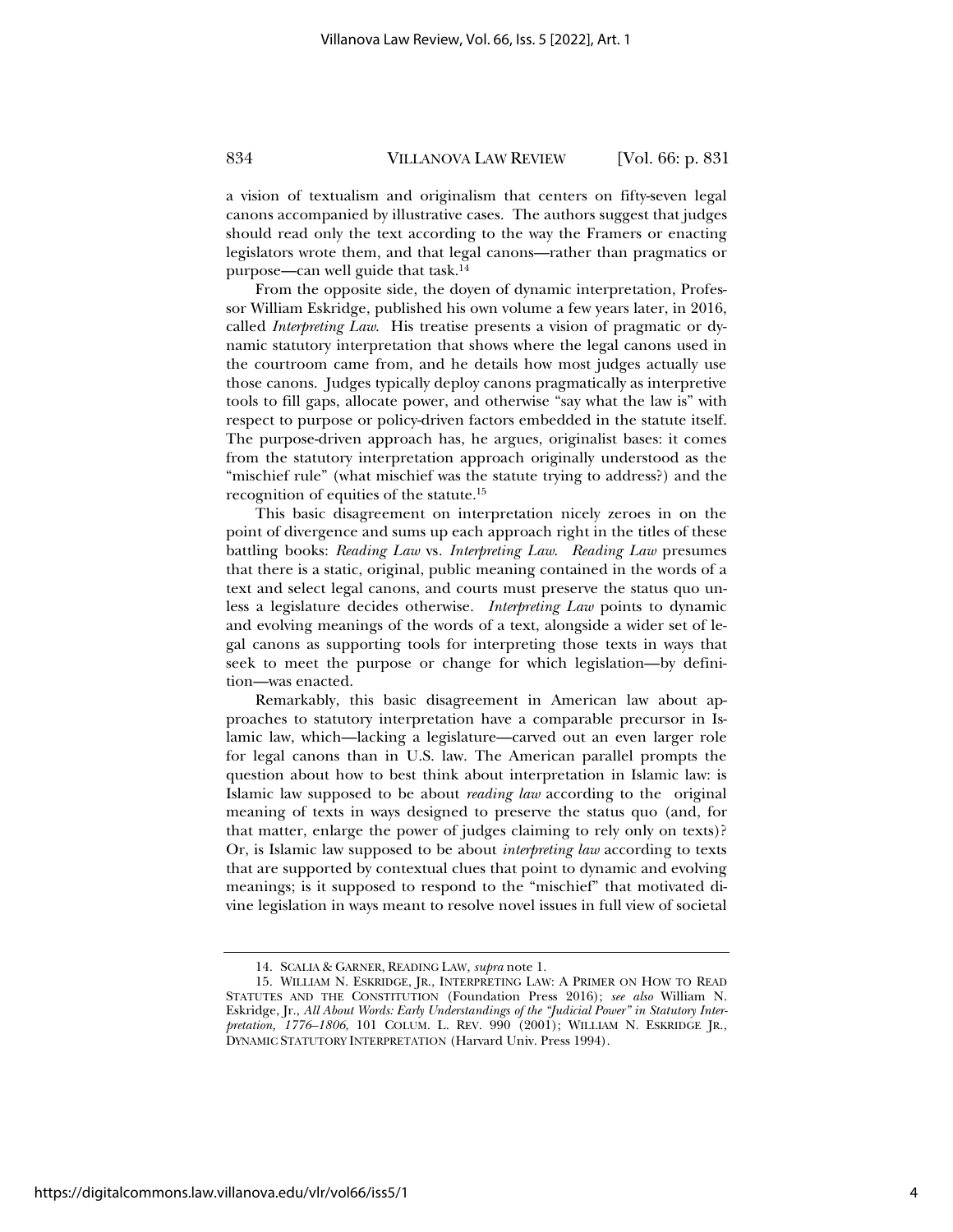a vision of textualism and originalism that centers on fifty-seven legal canons accompanied by illustrative cases. The authors suggest that judges should read only the text according to the way the Framers or enacting legislators wrote them, and that legal canons—rather than pragmatics or purpose—can well guide that task.14

From the opposite side, the doyen of dynamic interpretation, Professor William Eskridge, published his own volume a few years later, in 2016, called *Interpreting Law*. His treatise presents a vision of pragmatic or dynamic statutory interpretation that shows where the legal canons used in the courtroom came from, and he details how most judges actually use those canons. Judges typically deploy canons pragmatically as interpretive tools to fill gaps, allocate power, and otherwise "say what the law is" with respect to purpose or policy-driven factors embedded in the statute itself. The purpose-driven approach has, he argues, originalist bases: it comes from the statutory interpretation approach originally understood as the "mischief rule" (what mischief was the statute trying to address?) and the recognition of equities of the statute.15

This basic disagreement on interpretation nicely zeroes in on the point of divergence and sums up each approach right in the titles of these battling books: *Reading Law* vs*. Interpreting Law*. *Reading Law* presumes that there is a static, original, public meaning contained in the words of a text and select legal canons, and courts must preserve the status quo unless a legislature decides otherwise. *Interpreting Law* points to dynamic and evolving meanings of the words of a text, alongside a wider set of legal canons as supporting tools for interpreting those texts in ways that seek to meet the purpose or change for which legislation—by definition—was enacted.

Remarkably, this basic disagreement in American law about approaches to statutory interpretation have a comparable precursor in Islamic law, which—lacking a legislature—carved out an even larger role for legal canons than in U.S. law. The American parallel prompts the question about how to best think about interpretation in Islamic law: is Islamic law supposed to be about *reading law* according to the original meaning of texts in ways designed to preserve the status quo (and, for that matter, enlarge the power of judges claiming to rely only on texts)? Or, is Islamic law supposed to be about *interpreting law* according to texts that are supported by contextual clues that point to dynamic and evolving meanings; is it supposed to respond to the "mischief" that motivated divine legislation in ways meant to resolve novel issues in full view of societal

<sup>14.</sup> SCALIA & GARNER, READING LAW, *supra* note 1.

<sup>15.</sup> WILLIAM N. ESKRIDGE, JR., INTERPRETING LAW: A PRIMER ON HOW TO READ STATUTES AND THE CONSTITUTION (Foundation Press 2016); *see also* William N. Eskridge, Jr., *All About Words: Early Understandings of the "Judicial Power" in Statutory Interpretation, 1776–1806*, 101 COLUM. L. REV. 990 (2001); WILLIAM N. ESKRIDGE JR., DYNAMIC STATUTORY INTERPRETATION (Harvard Univ. Press 1994).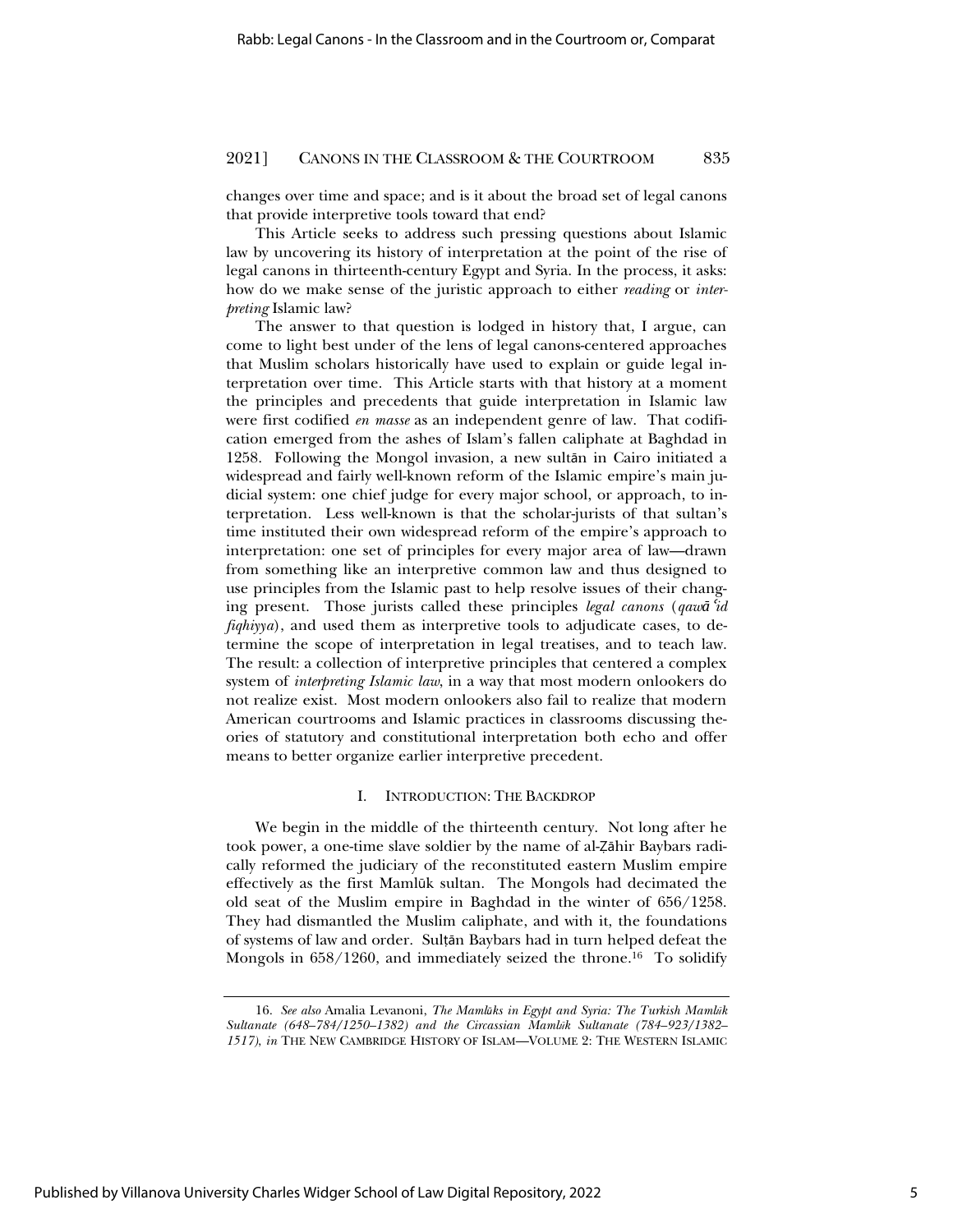changes over time and space; and is it about the broad set of legal canons that provide interpretive tools toward that end?

This Article seeks to address such pressing questions about Islamic law by uncovering its history of interpretation at the point of the rise of legal canons in thirteenth-century Egypt and Syria. In the process, it asks: how do we make sense of the juristic approach to either *reading* or *interpreting* Islamic law?

The answer to that question is lodged in history that, I argue, can come to light best under of the lens of legal canons-centered approaches that Muslim scholars historically have used to explain or guide legal interpretation over time. This Article starts with that history at a moment the principles and precedents that guide interpretation in Islamic law were first codified *en masse* as an independent genre of law. That codification emerged from the ashes of Islam's fallen caliphate at Baghdad in 1258. Following the Mongol invasion, a new sultan in Cairo initiated a widespread and fairly well-known reform of the Islamic empire's main judicial system: one chief judge for every major school, or approach, to interpretation. Less well-known is that the scholar-jurists of that sultan's time instituted their own widespread reform of the empire's approach to interpretation: one set of principles for every major area of law—drawn from something like an interpretive common law and thus designed to use principles from the Islamic past to help resolve issues of their changing present. Those jurists called these principles *legal canons* (*qawa<sup><i>cid*</sup> *fiqhiyya*), and used them as interpretive tools to adjudicate cases, to determine the scope of interpretation in legal treatises, and to teach law. The result: a collection of interpretive principles that centered a complex system of *interpreting Islamic law*, in a way that most modern onlookers do not realize exist. Most modern onlookers also fail to realize that modern American courtrooms and Islamic practices in classrooms discussing theories of statutory and constitutional interpretation both echo and offer means to better organize earlier interpretive precedent.

### I. INTRODUCTION: THE BACKDROP

We begin in the middle of the thirteenth century. Not long after he took power, a one-time slave soldier by the name of al-Zāhir Baybars radically reformed the judiciary of the reconstituted eastern Muslim empire effectively as the first Mamlūk sultan. The Mongols had decimated the old seat of the Muslim empire in Baghdad in the winter of 656/1258. They had dismantled the Muslim caliphate, and with it, the foundations of systems of law and order. Sultān Baybars had in turn helped defeat the Mongols in 658/1260, and immediately seized the throne.16 To solidify

<sup>16.</sup> See also Amalia Levanoni, *The Mamlūks in Egypt and Syria: The Turkish Maml*<sup>*ik*</sup> *Sultanate (648–784/1250–1382) and the Circassian Mamlşk Sultanate (784–923/1382– 1517)*, *in* THE NEW CAMBRIDGE HISTORY OF ISLAM—VOLUME 2: THE WESTERN ISLAMIC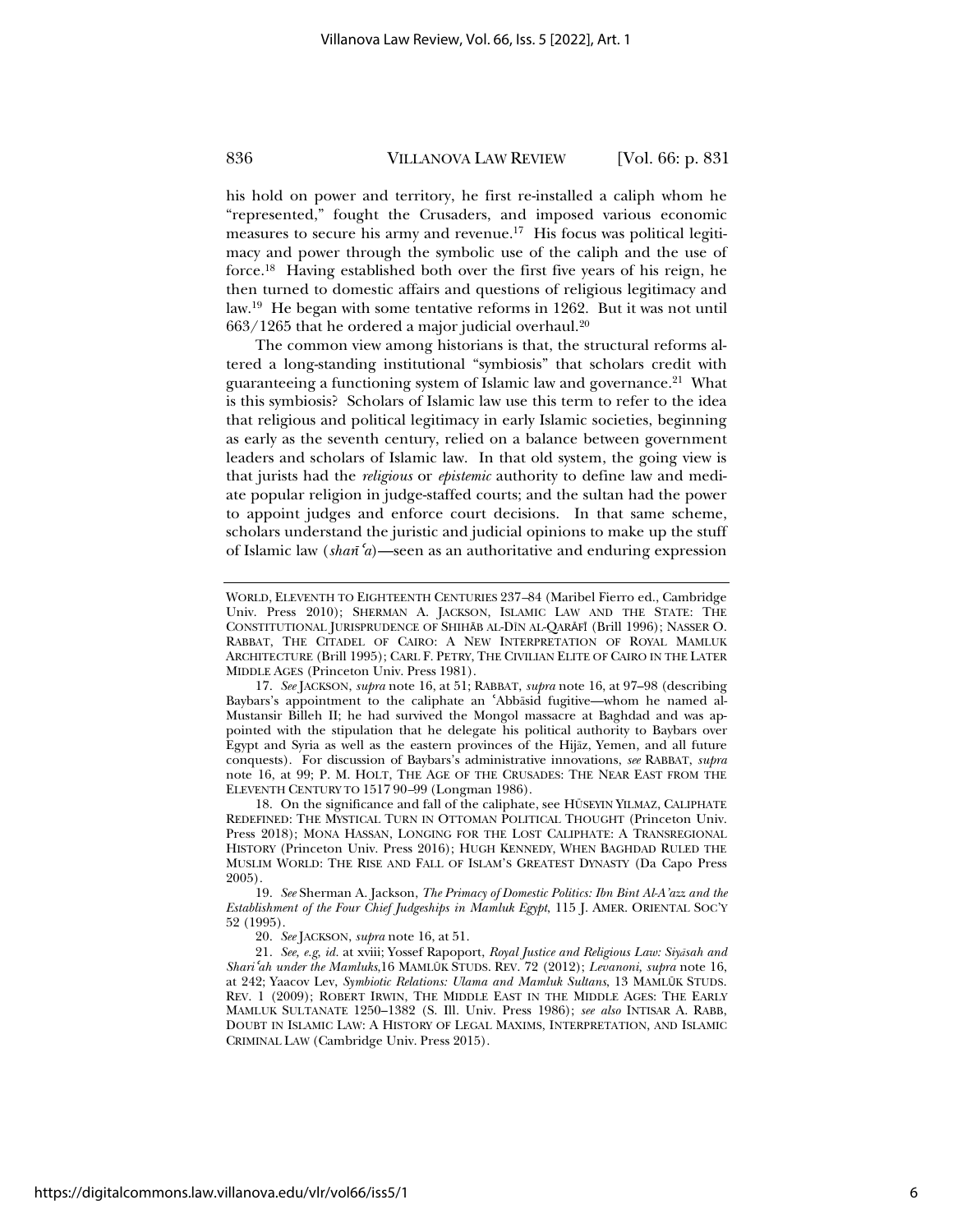his hold on power and territory, he first re-installed a caliph whom he "represented," fought the Crusaders, and imposed various economic measures to secure his army and revenue.<sup>17</sup> His focus was political legitimacy and power through the symbolic use of the caliph and the use of force.18 Having established both over the first five years of his reign, he then turned to domestic affairs and questions of religious legitimacy and law.19 He began with some tentative reforms in 1262. But it was not until  $663/1265$  that he ordered a major judicial overhaul.<sup>20</sup>

The common view among historians is that, the structural reforms altered a long-standing institutional "symbiosis" that scholars credit with guaranteeing a functioning system of Islamic law and governance.21 What is this symbiosis? Scholars of Islamic law use this term to refer to the idea that religious and political legitimacy in early Islamic societies, beginning as early as the seventh century, relied on a balance between government leaders and scholars of Islamic law. In that old system, the going view is that jurists had the *religious* or *epistemic* authority to define law and mediate popular religion in judge-staffed courts; and the sultan had the power to appoint judges and enforce court decisions. In that same scheme, scholars understand the juristic and judicial opinions to make up the stuff of Islamic law (*shar*<sup>*z*</sup><sub>a</sub>)—seen as an authoritative and enduring expression

18. On the significance and fall of the caliphate, see HÜSEYIN YILMAZ, CALIPHATE REDEFINED: THE MYSTICAL TURN IN OTTOMAN POLITICAL THOUGHT (Princeton Univ. Press 2018); MONA HASSAN, LONGING FOR THE LOST CALIPHATE: A TRANSREGIONAL HISTORY (Princeton Univ. Press 2016); HUGH KENNEDY, WHEN BAGHDAD RULED THE MUSLIM WORLD: THE RISE AND FALL OF ISLAM'S GREATEST DYNASTY (Da Capo Press 2005).

19. *See* Sherman A. Jackson, *The Primacy of Domestic Politics: Ibn Bint Al-A'azz and the Establishment of the Four Chief Judgeships in Mamluk Egypt*, 115 J. AMER. ORIENTAL SOC'Y 52 (1995).

20. *See* JACKSON, *supra* note 16, at 51.

21. See, e.g, id. at xviii; Yossef Rapoport, *Royal Justice and Religious Law: Siyasah and Shari*<sup>ɇ</sup>*ah under the Mamluks*,16 MAMLźK STUDS. REV. 72 (2012); *Levanoni, supra* note 16, at 242; Yaacov Lev, *Symbiotic Relations: Ulama and Mamluk Sultans*, 13 MAMLźK STUDS. REV. 1 (2009); ROBERT IRWIN, THE MIDDLE EAST IN THE MIDDLE AGES: THE EARLY MAMLUK SULTANATE 1250–1382 (S. Ill. Univ. Press 1986); *see also* INTISAR A. RABB, DOUBT IN ISLAMIC LAW:AHISTORY OF LEGAL MAXIMS, INTERPRETATION, AND ISLAMIC CRIMINAL LAW (Cambridge Univ. Press 2015).

WORLD, ELEVENTH TO EIGHTEENTH CENTURIES 237*–*84 (Maribel Fierro ed., Cambridge Univ. Press 2010); SHERMAN A. JACKSON, ISLAMIC LAW AND THE STATE: THE CONSTITUTIONAL JURISPRUDENCE OF SHIHĀB AL-DĪN AL-QARĀFĪ (Brill 1996); NASSER O. RABBAT, THE CITADEL OF CAIRO: A NEW INTERPRETATION OF ROYAL MAMLUK ARCHITECTURE (Brill 1995); CARL F. PETRY, THE CIVILIAN ELITE OF CAIRO IN THE LATER MIDDLE AGES (Princeton Univ. Press 1981).

<sup>17.</sup> *See* JACKSON, *supra* note 16, at 51; RABBAT, *supra* note 16, at 97–98 (describing Baybars's appointment to the caliphate an 'Abbāsid fugitive—whom he named al-Mustansir Billeh II; he had survived the Mongol massacre at Baghdad and was appointed with the stipulation that he delegate his political authority to Baybars over Egypt and Syria as well as the eastern provinces of the Hijaz, Yemen, and all future conquests). For discussion of Baybars's administrative innovations, *see* RABBAT, *supra* note 16, at 99; P. M. HOLT, THE AGE OF THE CRUSADES: THE NEAR EAST FROM THE ELEVENTH CENTURY TO 1517 90*–*99 (Longman 1986).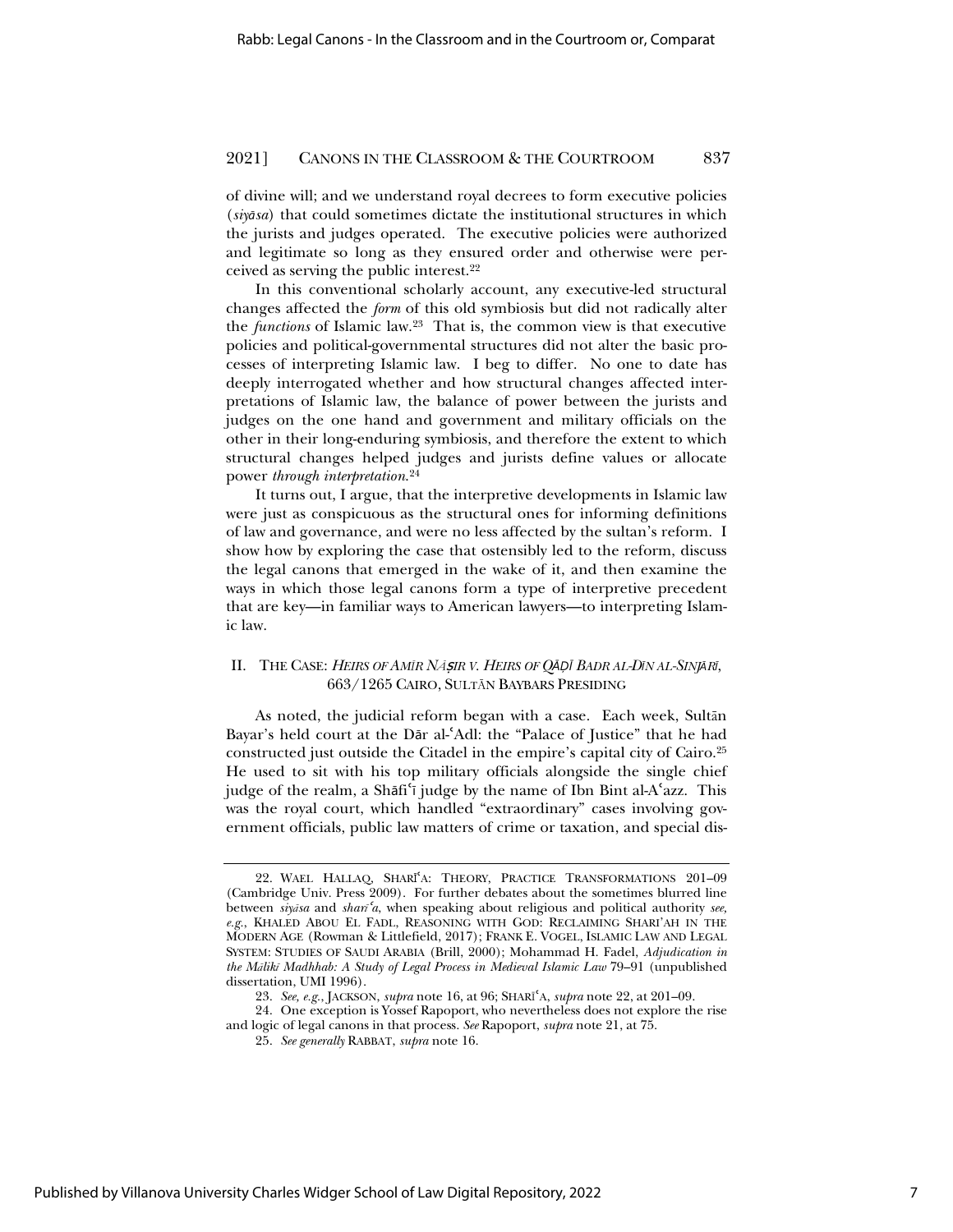of divine will; and we understand royal decrees to form executive policies (*siyņsa*) that could sometimes dictate the institutional structures in which the jurists and judges operated. The executive policies were authorized and legitimate so long as they ensured order and otherwise were perceived as serving the public interest.22

In this conventional scholarly account, any executive-led structural changes affected the *form* of this old symbiosis but did not radically alter the *functions* of Islamic law.23 That is, the common view is that executive policies and political-governmental structures did not alter the basic processes of interpreting Islamic law. I beg to differ. No one to date has deeply interrogated whether and how structural changes affected interpretations of Islamic law, the balance of power between the jurists and judges on the one hand and government and military officials on the other in their long-enduring symbiosis, and therefore the extent to which structural changes helped judges and jurists define values or allocate power *through interpretation*. 24

It turns out, I argue, that the interpretive developments in Islamic law were just as conspicuous as the structural ones for informing definitions of law and governance, and were no less affected by the sultan's reform. I show how by exploring the case that ostensibly led to the reform, discuss the legal canons that emerged in the wake of it, and then examine the ways in which those legal canons form a type of interpretive precedent that are key—in familiar ways to American lawyers—to interpreting Islamic law.

# II. THE CASE: *HEIRS OF AMĨR Ną*ٿ*IR V. HEIRS OF QŅ˳ŝ BADR AL-DŝN AL-SINJŅRŝ*, 663/1265 CAIRO, SULTąN BAYBARS PRESIDING

As noted, the judicial reform began with a case. Each week, Sultān Bayar's held court at the Dar al-'Adl: the "Palace of Justice" that he had constructed just outside the Citadel in the empire's capital city of Cairo.25 He used to sit with his top military officials alongside the single chief judge of the realm, a Shāfiʿī judge by the name of Ibn Bint al-Aʿazz. This was the royal court, which handled "extraordinary" cases involving government officials, public law matters of crime or taxation, and special dis-

<sup>22.</sup> WAEL HALLAQ, SHARĪ<sup>s</sup>A: THEORY, PRACTICE TRANSFORMATIONS 201-09 (Cambridge Univ. Press 2009). For further debates about the sometimes blurred line between *siyasa* and *shari*<sup>*ca*</sup>, when speaking about religious and political authority *see*, *e.g.*, KHALED ABOU EL FADL, REASONING WITH GOD: RECLAIMING SHARI'AH IN THE MODERN AGE (Rowman & Littlefield, 2017); FRANK E. VOGEL, ISLAMIC LAW AND LEGAL SYSTEM: STUDIES OF SAUDI ARABIA (Brill, 2000); Mohammad H. Fadel, *Adjudication in the MĆlikĩ Madhhab: A Study of Legal Process in Medieval Islamic Law* 79–91 (unpublished dissertation, UMI 1996).

<sup>23.</sup> *See, e.g.*, JACKSON, *supra* note 16, at 96; SHARĨɇA, *supra* note 22, at 201–09.

<sup>24.</sup> One exception is Yossef Rapoport, who nevertheless does not explore the rise and logic of legal canons in that process. *See* Rapoport, *supra* note 21, at 75.

<sup>25.</sup> *See generally* RABBAT, *supra* note 16.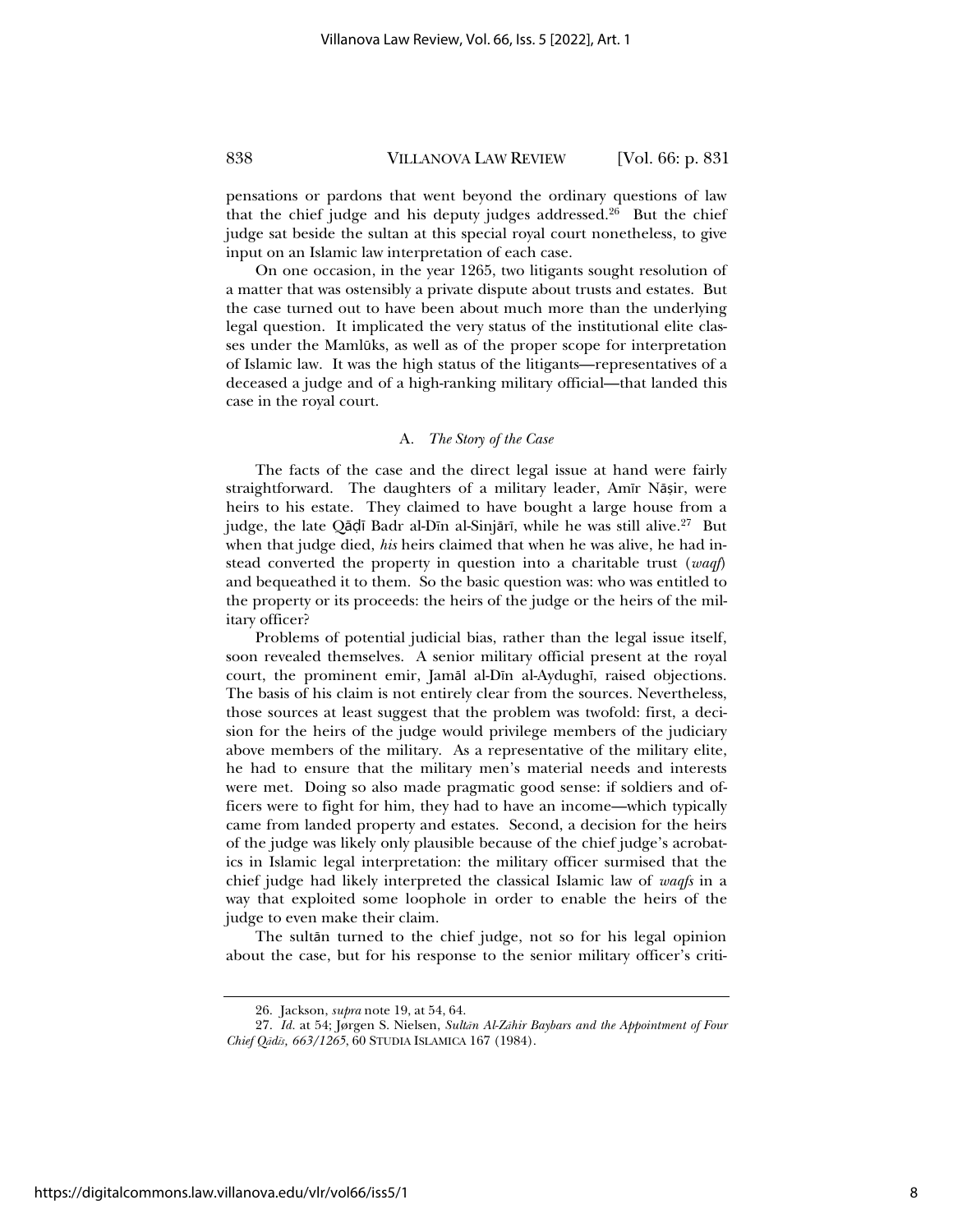pensations or pardons that went beyond the ordinary questions of law that the chief judge and his deputy judges addressed.<sup>26</sup> But the chief judge sat beside the sultan at this special royal court nonetheless, to give input on an Islamic law interpretation of each case.

On one occasion, in the year 1265, two litigants sought resolution of a matter that was ostensibly a private dispute about trusts and estates. But the case turned out to have been about much more than the underlying legal question. It implicated the very status of the institutional elite classes under the Mamlūks, as well as of the proper scope for interpretation of Islamic law. It was the high status of the litigants—representatives of a deceased a judge and of a high-ranking military official—that landed this case in the royal court.

#### A*. The Story of the Case*

The facts of the case and the direct legal issue at hand were fairly straightforward. The daughters of a military leader, Amīr Nāșir, were heirs to his estate. They claimed to have bought a large house from a judge, the late Qādī Badr al-Dīn al-Sinjārī, while he was still alive.<sup>27</sup> But when that judge died, *his* heirs claimed that when he was alive, he had instead converted the property in question into a charitable trust (*waqf*) and bequeathed it to them. So the basic question was: who was entitled to the property or its proceeds: the heirs of the judge or the heirs of the military officer?

Problems of potential judicial bias, rather than the legal issue itself, soon revealed themselves. A senior military official present at the royal court, the prominent emir, Jamāl al-Dīn al-Aydughī, raised objections. The basis of his claim is not entirely clear from the sources. Nevertheless, those sources at least suggest that the problem was twofold: first, a decision for the heirs of the judge would privilege members of the judiciary above members of the military. As a representative of the military elite, he had to ensure that the military men's material needs and interests were met. Doing so also made pragmatic good sense: if soldiers and officers were to fight for him, they had to have an income—which typically came from landed property and estates. Second, a decision for the heirs of the judge was likely only plausible because of the chief judge's acrobatics in Islamic legal interpretation: the military officer surmised that the chief judge had likely interpreted the classical Islamic law of *waqfs* in a way that exploited some loophole in order to enable the heirs of the judge to even make their claim.

The sultan turned to the chief judge, not so for his legal opinion about the case, but for his response to the senior military officer's criti-

<sup>26.</sup> Jackson, *supra* note 19, at 54, 64.

<sup>27.</sup> *Id.* at 54; Jørgen S. Nielsen, *Sultān Al-Zāhir Baybars and the Appointment of Four Chief QĆdĩs, 663/1265*, 60 STUDIA ISLAMICA 167 (1984).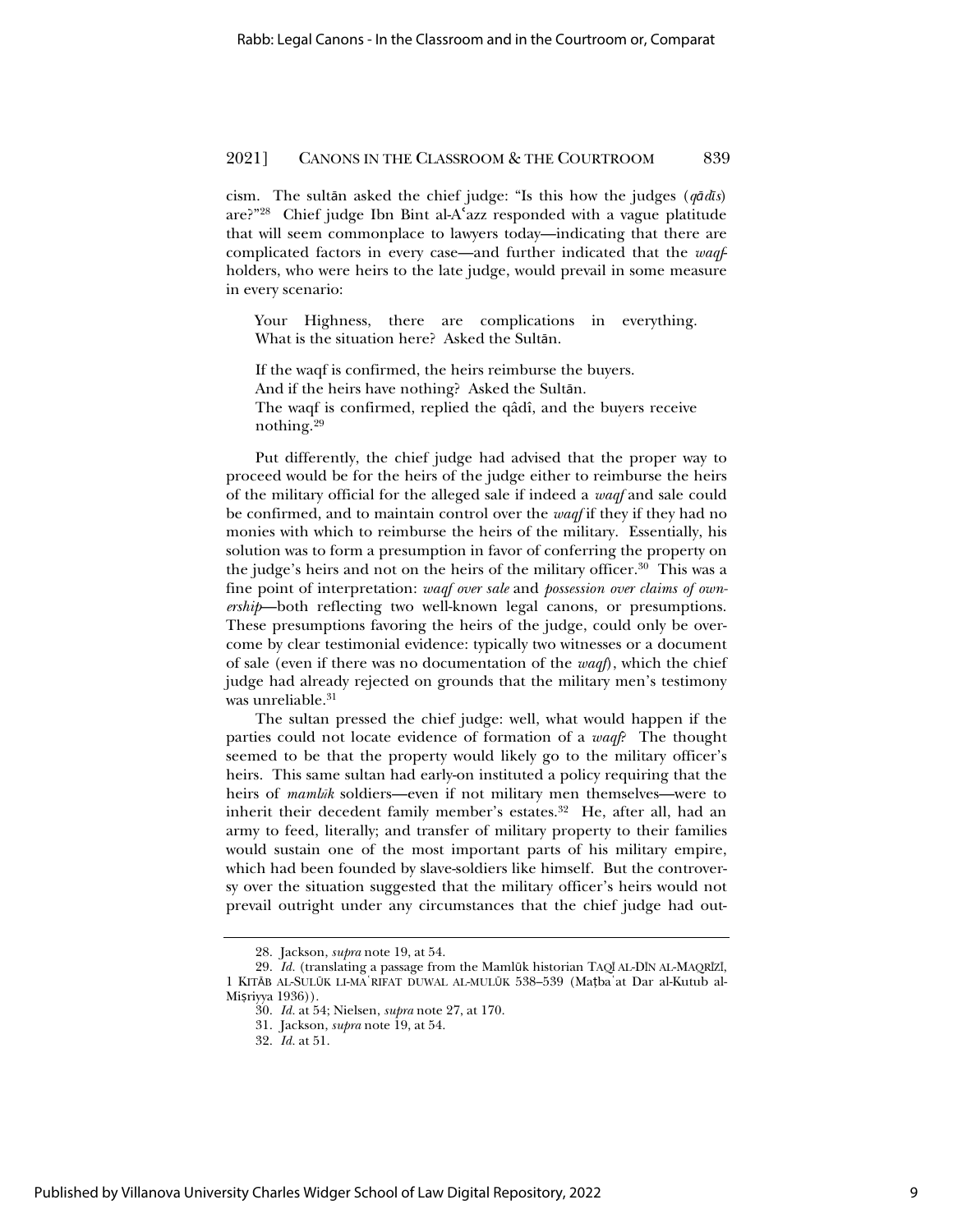cism. The sultān asked the chief judge: "Is this how the judges ( $q\bar{q}d\bar{q}s$ ) are?"28 Chief judge Ibn Bint al-Aɇazz responded with a vague platitude that will seem commonplace to lawyers today—indicating that there are complicated factors in every case—and further indicated that the *waqf*holders, who were heirs to the late judge, would prevail in some measure in every scenario:

Your Highness, there are complications in everything. What is the situation here? Asked the Sultān.

If the waqf is confirmed, the heirs reimburse the buyers. And if the heirs have nothing? Asked the Sultan. The waqf is confirmed, replied the qâdî, and the buyers receive nothing.29

Put differently, the chief judge had advised that the proper way to proceed would be for the heirs of the judge either to reimburse the heirs of the military official for the alleged sale if indeed a *waqf* and sale could be confirmed, and to maintain control over the *waqf* if they if they had no monies with which to reimburse the heirs of the military. Essentially, his solution was to form a presumption in favor of conferring the property on the judge's heirs and not on the heirs of the military officer.<sup>30</sup> This was a fine point of interpretation: *waqf over sale* and *possession over claims of ownership*—both reflecting two well-known legal canons, or presumptions. These presumptions favoring the heirs of the judge, could only be overcome by clear testimonial evidence: typically two witnesses or a document of sale (even if there was no documentation of the *waqf*), which the chief judge had already rejected on grounds that the military men's testimony was unreliable.<sup>31</sup>

The sultan pressed the chief judge: well, what would happen if the parties could not locate evidence of formation of a *waqf*? The thought seemed to be that the property would likely go to the military officer's heirs. This same sultan had early-on instituted a policy requiring that the heirs of *mamlik* soldiers—even if not military men themselves—were to inherit their decedent family member's estates.<sup>32</sup> He, after all, had an army to feed, literally; and transfer of military property to their families would sustain one of the most important parts of his military empire, which had been founded by slave-soldiers like himself. But the controversy over the situation suggested that the military officer's heirs would not prevail outright under any circumstances that the chief judge had out-

<sup>28.</sup> Jackson, *supra* note 19, at 54.

<sup>29.</sup> *Id.* (translating a passage from the Mamlūk historian TAQĪ AL-DĪN AL-MAQRĪZĪ, 1 KITĀB AL-SULŪK LI-MAʿRIFAT DUWAL AL-MULŪK 538-539 (Matbaʿat Dar al-Kutub al-Misriyya 1936)).

<sup>30.</sup> *Id.* at 54; Nielsen, *supra* note 27, at 170.

<sup>31.</sup> Jackson, *supra* note 19, at 54.

<sup>32.</sup> *Id.* at 51.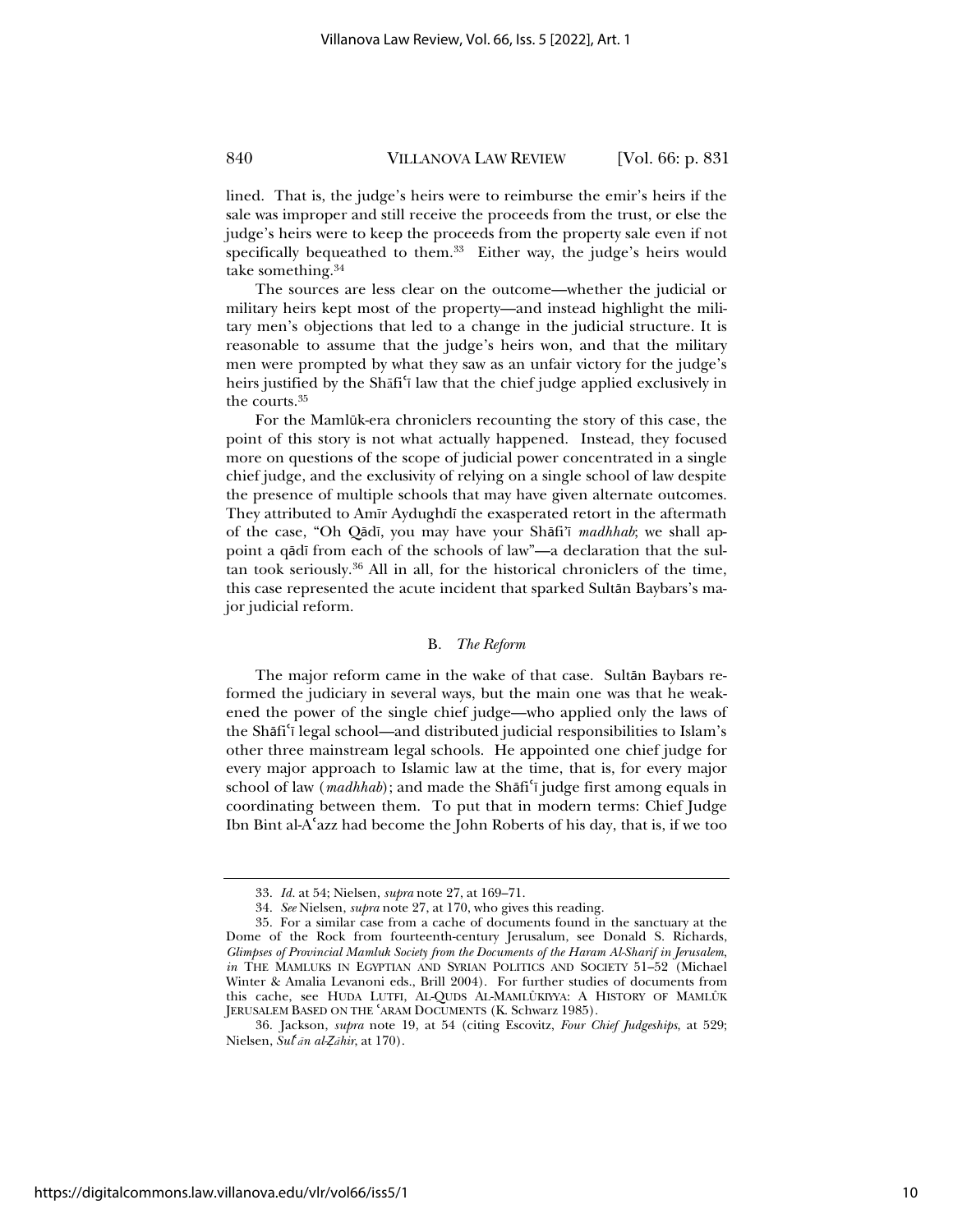lined. That is, the judge's heirs were to reimburse the emir's heirs if the sale was improper and still receive the proceeds from the trust, or else the judge's heirs were to keep the proceeds from the property sale even if not specifically bequeathed to them.<sup>33</sup> Either way, the judge's heirs would take something.34

The sources are less clear on the outcome—whether the judicial or military heirs kept most of the property—and instead highlight the military men's objections that led to a change in the judicial structure. It is reasonable to assume that the judge's heirs won, and that the military men were prompted by what they saw as an unfair victory for the judge's heirs justified by the Shafi<sup>'</sup> law that the chief judge applied exclusively in the courts.35

For the Mamlūk-era chroniclers recounting the story of this case, the point of this story is not what actually happened. Instead, they focused more on questions of the scope of judicial power concentrated in a single chief judge, and the exclusivity of relying on a single school of law despite the presence of multiple schools that may have given alternate outcomes. They attributed to Amīr Aydughdī the exasperated retort in the aftermath of the case, "Oh Qādī, you may have your Shāfi'ī *madhhab*; we shall appoint a qādī from each of the schools of law"—a declaration that the sultan took seriously.36 All in all, for the historical chroniclers of the time, this case represented the acute incident that sparked Sultān Baybars's major judicial reform.

#### B*. The Reform*

The major reform came in the wake of that case. Sultān Baybars reformed the judiciary in several ways, but the main one was that he weakened the power of the single chief judge—who applied only the laws of the Shāfi'i legal school—and distributed judicial responsibilities to Islam's other three mainstream legal schools. He appointed one chief judge for every major approach to Islamic law at the time, that is, for every major school of law (*madhhab*); and made the Shāfi<sup>c</sup>i judge first among equals in coordinating between them. To put that in modern terms: Chief Judge Ibn Bint al-Aɇazz had become the John Roberts of his day, that is, if we too

<sup>33.</sup> *Id.* at 54; Nielsen, *supra* note 27, at 169–71.

<sup>34.</sup> *See* Nielsen, *supra* note 27, at 170, who gives this reading.

<sup>35.</sup> For a similar case from a cache of documents found in the sanctuary at the Dome of the Rock from fourteenth-century Jerusalum, see Donald S. Richards, *Glimpses of Provincial Mamluk Society from the Documents of the Haram Al-Sharif in Jerusalem*, *in* THE MAMLUKS IN EGYPTIAN AND SYRIAN POLITICS AND SOCIETY 51-52 (Michael Winter & Amalia Levanoni eds., Brill 2004). For further studies of documents from this cache, see HUDA LUTFI, AL-QUDS AL-MAMLÛKIYYA: A HISTORY OF MAMLÛK JERUSALEM BASED ON THE 'ARAM DOCUMENTS (K. Schwarz 1985).

<sup>36.</sup> Jackson, *supra* note 19, at 54 (citing Escovitz, *Four Chief Judgeships*, at 529; Nielsen, *Sul<sup><i>i*</sup>an al-*Zahir*, at 170).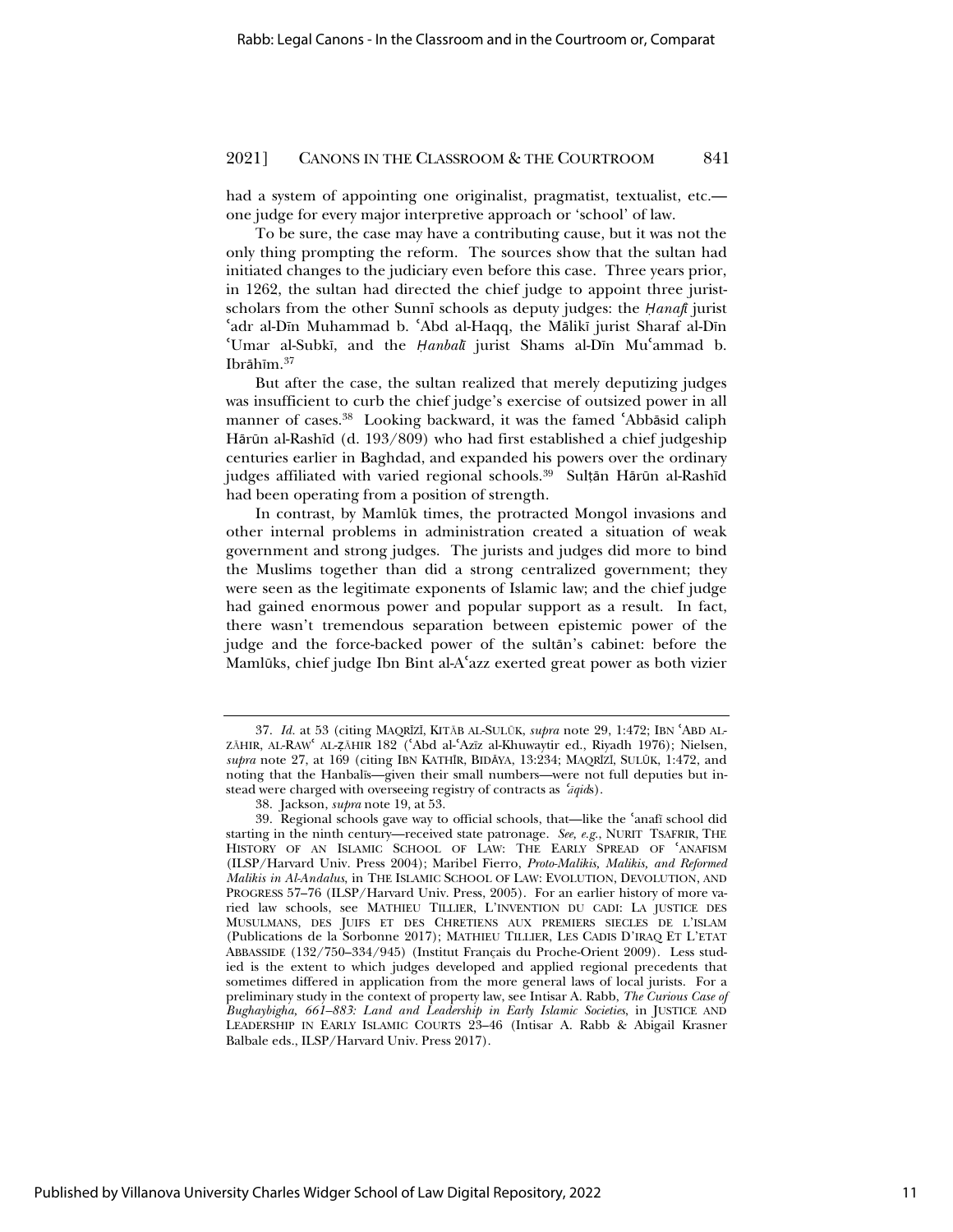had a system of appointing one originalist, pragmatist, textualist, etc. one judge for every major interpretive approach or 'school' of law.

To be sure, the case may have a contributing cause, but it was not the only thing prompting the reform. The sources show that the sultan had initiated changes to the judiciary even before this case. Three years prior, in 1262, the sultan had directed the chief judge to appoint three juristscholars from the other Sunnī schools as deputy judges: the *Hanafi* jurist 'adr al-Dīn Muhammad b. 'Abd al-Haqq, the Mālikī jurist Sharaf al-Dīn 'Umar al-Subkī, and the *Ḥanbal*ī jurist Shams al-Dīn Mu'ammad b. Ibrāhīm.<sup>37</sup>

But after the case, the sultan realized that merely deputizing judges was insufficient to curb the chief judge's exercise of outsized power in all manner of cases.<sup>38</sup> Looking backward, it was the famed 'Abbāsid caliph Hārūn al-Rashīd (d. 193/809) who had first established a chief judgeship centuries earlier in Baghdad, and expanded his powers over the ordinary judges affiliated with varied regional schools.<sup>39</sup> Sulțān Hārūn al-Rashīd had been operating from a position of strength.

In contrast, by Mamlūk times, the protracted Mongol invasions and other internal problems in administration created a situation of weak government and strong judges. The jurists and judges did more to bind the Muslims together than did a strong centralized government; they were seen as the legitimate exponents of Islamic law; and the chief judge had gained enormous power and popular support as a result. In fact, there wasn't tremendous separation between epistemic power of the judge and the force-backed power of the sultan's cabinet: before the Mamlūks, chief judge Ibn Bint al-A'azz exerted great power as both vizier

<sup>37.</sup> *Id.* at 53 (citing MAQRŝZŝ, KITąB AL-SULŞK, *supra* note 29, 1:472; IBN ɇABD AL-ZĀHIR, AL-RAW AL-ZĀHIR 182 ('Abd al-'Azīz al-Khuwaytir ed., Riyadh 1976); Nielsen, supra note 27, at 169 (citing IBN KATHĪR, BIDĀYA, 13:234; MAQRĪZĪ, SULŪK, 1:472, and noting that the Hanbalĩs—given their small numbers—were not full deputies but instead were charged with overseeing registry of contracts as '*aqids*).

<sup>38.</sup> Jackson, *supra* note 19, at 53.

<sup>39.</sup> Regional schools gave way to official schools, that—like the 'anafi school did starting in the ninth century—received state patronage. *See, e.g.*, NURIT TSAFRIR, THE HISTORY OF AN ISLAMIC SCHOOL OF LAW: THE EARLY SPREAD OF 'ANAFISM (ILSP/Harvard Univ. Press 2004); Maribel Fierro, *Proto-Malikis, Malikis, and Reformed Malikis in Al-Andalus*, in THE ISLAMIC SCHOOL OF LAW: EVOLUTION, DEVOLUTION, AND PROGRESS 57–76 (ILSP/Harvard Univ. Press, 2005). For an earlier history of more varied law schools, see MATHIEU TILLIER, L'INVENTION DU CADI: LA JUSTICE DES MUSULMANS, DES JUIFS ET DES CHRETIENS AUX PREMIERS SIECLES DE L'ISLAM (Publications de la Sorbonne 2017); MATHIEU TILLIER, LES CADIS D'IRAQ ET L'ETAT ABBASSIDE (132/750–334/945) (Institut Français du Proche-Orient 2009). Less studied is the extent to which judges developed and applied regional precedents that sometimes differed in application from the more general laws of local jurists. For a preliminary study in the context of property law, see Intisar A. Rabb, *The Curious Case of Bughaybigha, 661–883: Land and Leadership in Early Islamic Societies*, in JUSTICE AND LEADERSHIP IN EARLY ISLAMIC COURTS 23–46 (Intisar A. Rabb & Abigail Krasner Balbale eds., ILSP/Harvard Univ. Press 2017).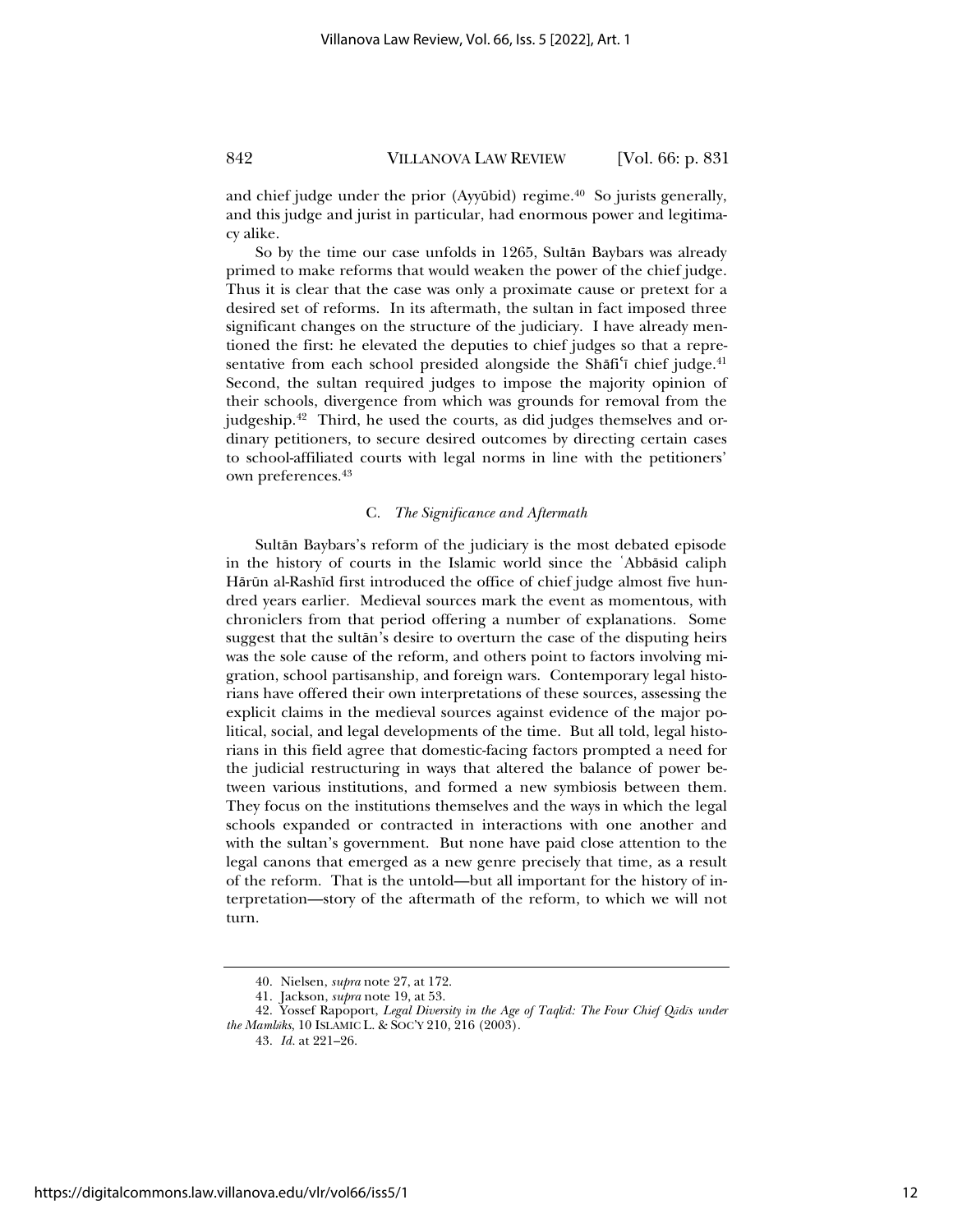and chief judge under the prior (Ayyūbid) regime. $40$  So jurists generally, and this judge and jurist in particular, had enormous power and legitimacy alike.

So by the time our case unfolds in 1265, Sultān Baybars was already primed to make reforms that would weaken the power of the chief judge. Thus it is clear that the case was only a proximate cause or pretext for a desired set of reforms. In its aftermath, the sultan in fact imposed three significant changes on the structure of the judiciary. I have already mentioned the first: he elevated the deputies to chief judges so that a representative from each school presided alongside the Sh $\delta$ if chief judge.<sup>41</sup> Second, the sultan required judges to impose the majority opinion of their schools, divergence from which was grounds for removal from the judgeship.42 Third, he used the courts, as did judges themselves and ordinary petitioners, to secure desired outcomes by directing certain cases to school-affiliated courts with legal norms in line with the petitioners' own preferences.43

#### C*. The Significance and Aftermath*

Sultān Baybars's reform of the judiciary is the most debated episode in the history of courts in the Islamic world since the 'Abbāsid caliph Hārūn al-Rashīd first introduced the office of chief judge almost five hundred years earlier. Medieval sources mark the event as momentous, with chroniclers from that period offering a number of explanations. Some suggest that the sultān's desire to overturn the case of the disputing heirs was the sole cause of the reform, and others point to factors involving migration, school partisanship, and foreign wars. Contemporary legal historians have offered their own interpretations of these sources, assessing the explicit claims in the medieval sources against evidence of the major political, social, and legal developments of the time. But all told, legal historians in this field agree that domestic-facing factors prompted a need for the judicial restructuring in ways that altered the balance of power between various institutions, and formed a new symbiosis between them. They focus on the institutions themselves and the ways in which the legal schools expanded or contracted in interactions with one another and with the sultan's government. But none have paid close attention to the legal canons that emerged as a new genre precisely that time, as a result of the reform. That is the untold—but all important for the history of interpretation—story of the aftermath of the reform, to which we will not turn.

<sup>40.</sup> Nielsen, *supra* note 27, at 172.

<sup>41.</sup> Jackson, *supra* note 19, at 53.

<sup>42.</sup> Yossef Rapoport, *Legal Diversity in the Age of Taqlĩd: The Four Chief QĆdĩs under the Mamlşks*, 10 ISLAMIC L. & SOC'Y 210, 216 (2003).

<sup>43.</sup> *Id.* at 221–26.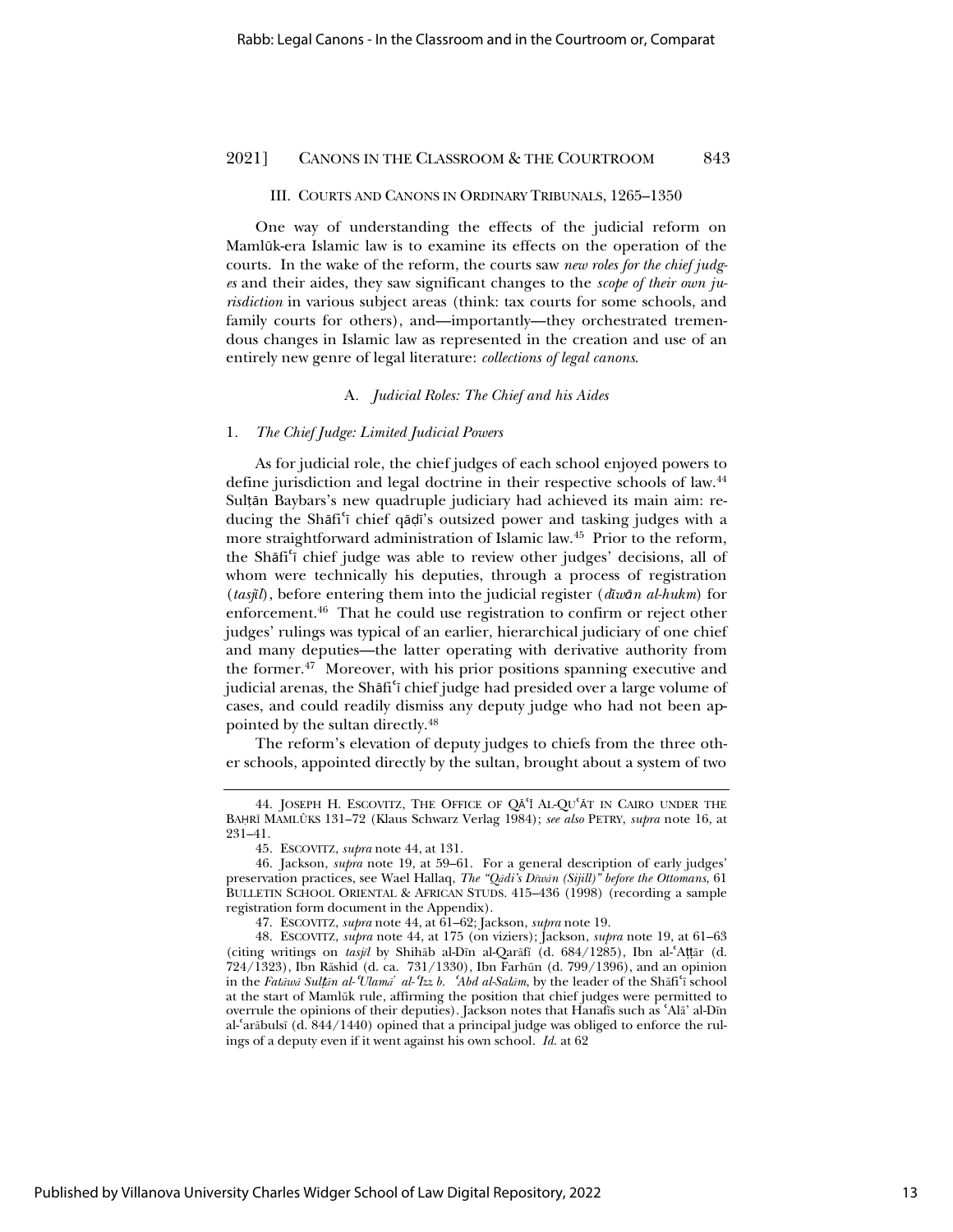#### III. COURTS AND CANONS IN ORDINARY TRIBUNALS, 1265–1350

One way of understanding the effects of the judicial reform on Mamlūk-era Islamic law is to examine its effects on the operation of the courts. In the wake of the reform, the courts saw *new roles for the chief judges* and their aides, they saw significant changes to the *scope of their own jurisdiction* in various subject areas (think: tax courts for some schools, and family courts for others), and—importantly—they orchestrated tremendous changes in Islamic law as represented in the creation and use of an entirely new genre of legal literature: *collections of legal canons*.

#### A*. Judicial Roles: The Chief and his Aides*

#### 1*. The Chief Judge: Limited Judicial Powers*

As for judicial role, the chief judges of each school enjoyed powers to define jurisdiction and legal doctrine in their respective schools of law.44 Sulțăn Baybars's new quadruple judiciary had achieved its main aim: reducing the Shāfi<sup>'</sup>i chief qāḍī's outsized power and tasking judges with a more straightforward administration of Islamic law.45 Prior to the reform, the Shafi<sup>c</sup> chief judge was able to review other judges' decisions, all of whom were technically his deputies, through a process of registration (*tasjŞl*), before entering them into the judicial register (*dŞwņn al-hukm*) for enforcement.<sup>46</sup> That he could use registration to confirm or reject other judges' rulings was typical of an earlier, hierarchical judiciary of one chief and many deputies—the latter operating with derivative authority from the former.<sup>47</sup> Moreover, with his prior positions spanning executive and judicial arenas, the Shāfi<sup>c</sup>ī chief judge had presided over a large volume of cases, and could readily dismiss any deputy judge who had not been appointed by the sultan directly.48

The reform's elevation of deputy judges to chiefs from the three other schools, appointed directly by the sultan, brought about a system of two

<sup>44.</sup> JOSEPH H. ESCOVITZ, THE OFFICE OF QA'I AL-QU'AT IN CAIRO UNDER THE BȦRĨ MAMLÛKS 131–72 (Klaus Schwarz Verlag 1984); *see also* PETRY, *supra* note 16, at 231–41.

<sup>45.</sup> ESCOVITZ, *supra* note 44, at 131.

<sup>46.</sup> Jackson, *supra* note 19, at 59–61. For a general description of early judges' preservation practices, see Wael Hallaq, *The "QĆdi's DĩwĆn (Sijill)" before the Ottomans*, 61 BULLETIN SCHOOL ORIENTAL & AFRICAN STUDS. 415–436 (1998) (recording a sample registration form document in the Appendix).

<sup>47.</sup> ESCOVITZ, *supra* note 44, at 61–62; Jackson, *supra* note 19.

<sup>48.</sup> ESCOVITZ, *supra* note 44, at 175 (on viziers); Jackson, *supra* note 19, at 61–63 (citing writings on *tasjil* by Shihāb al-Dīn al-Qarāfī (d. 684/1285), Ibn al-ʿAṭṭār (d. 724/1323), Ibn Rāshid (d. ca. 731/1330), Ibn Farhūn (d. 799/1396), and an opinion in the *Fatawa* Sultan al-Ulama<sup>'</sup> al-Izz b. 'Abd al-Salam, by the leader of the Shafi'i school at the start of Mamlşk rule, affirming the position that chief judges were permitted to overrule the opinions of their deputies). Jackson notes that Hanafis such as 'Ala' al-Dīn al- $\frac{c}{\pi}$ arābulsī (d. 844/1440) opined that a principal judge was obliged to enforce the rulings of a deputy even if it went against his own school. *Id.* at 62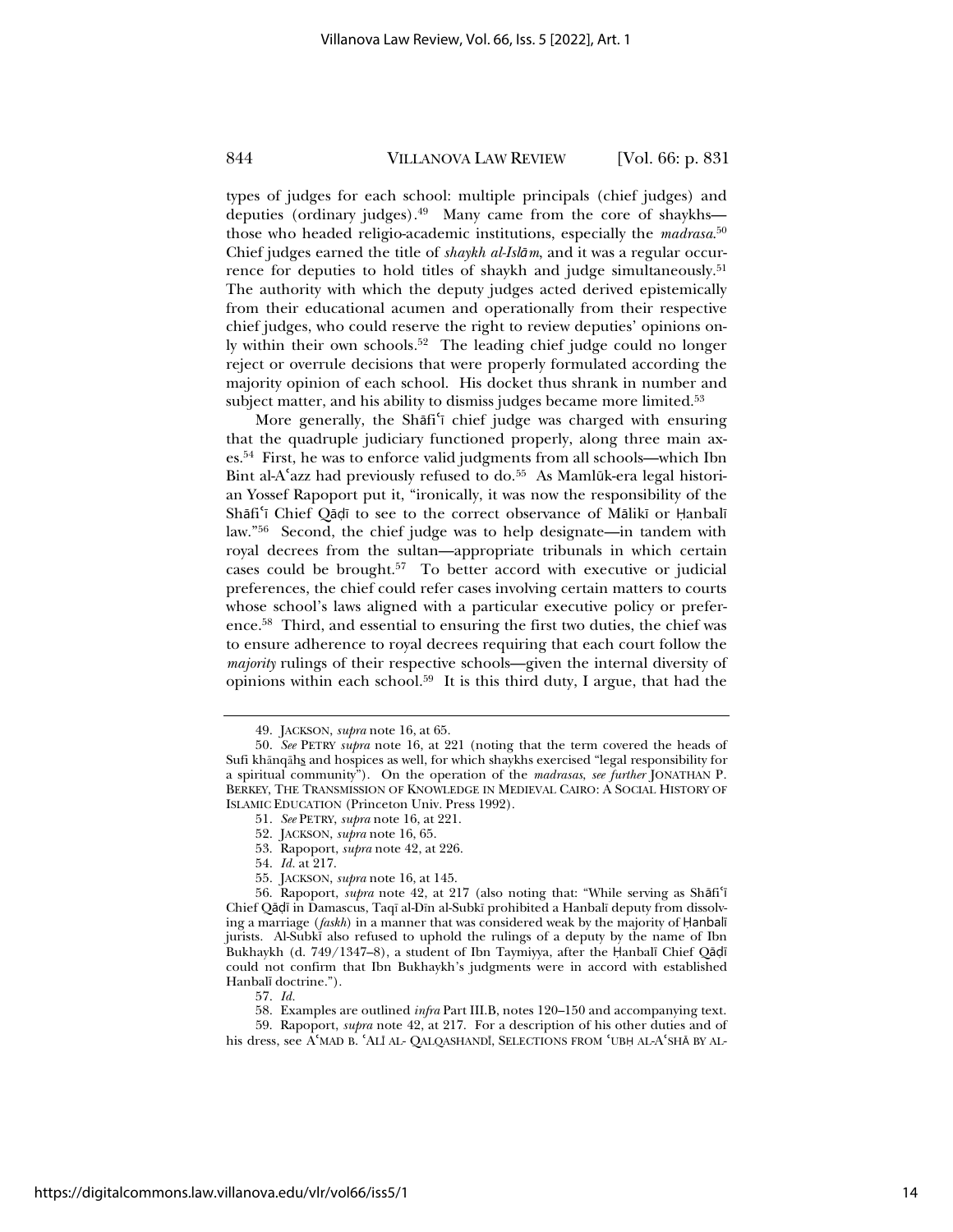types of judges for each school: multiple principals (chief judges) and deputies (ordinary judges).49 Many came from the core of shaykhs those who headed religio-academic institutions, especially the *madrasa*. 50 Chief judges earned the title of *shaykh al-Islņm*, and it was a regular occurrence for deputies to hold titles of shaykh and judge simultaneously.<sup>51</sup> The authority with which the deputy judges acted derived epistemically from their educational acumen and operationally from their respective chief judges, who could reserve the right to review deputies' opinions only within their own schools.52 The leading chief judge could no longer reject or overrule decisions that were properly formulated according the majority opinion of each school. His docket thus shrank in number and subject matter, and his ability to dismiss judges became more limited.<sup>53</sup>

More generally, the Shafi<sup>'</sup> chief judge was charged with ensuring that the quadruple judiciary functioned properly, along three main axes.54 First, he was to enforce valid judgments from all schools—which Ibn Bint al-A'azz had previously refused to do.<sup>55</sup> As Mamlūk-era legal historian Yossef Rapoport put it, "ironically, it was now the responsibility of the Shāfi'ī Chief Qādī to see to the correct observance of Mālikī or Hanbalī law."56 Second, the chief judge was to help designate—in tandem with royal decrees from the sultan—appropriate tribunals in which certain cases could be brought.57 To better accord with executive or judicial preferences, the chief could refer cases involving certain matters to courts whose school's laws aligned with a particular executive policy or preference.58 Third, and essential to ensuring the first two duties, the chief was to ensure adherence to royal decrees requiring that each court follow the *majority* rulings of their respective schools—given the internal diversity of opinions within each school.<sup>59</sup> It is this third duty, I argue, that had the

- 53. Rapoport, *supra* note 42, at 226.
- 54. *Id.* at 217.
- 55. JACKSON, *supra* note 16, at 145.

57. *Id.* 

<sup>49.</sup> JACKSON, *supra* note 16, at 65.

<sup>50.</sup> *See* PETRY *supra* note 16, at 221 (noting that the term covered the heads of Sufi khānqāhs and hospices as well, for which shaykhs exercised "legal responsibility for a spiritual community"). On the operation of the *madrasas*, *see further* JONATHAN P. BERKEY, THE TRANSMISSION OF KNOWLEDGE IN MEDIEVAL CAIRO: A SOCIAL HISTORY OF ISLAMIC EDUCATION (Princeton Univ. Press 1992).

<sup>51.</sup> *See* PETRY, *supra* note 16, at 221.

<sup>52.</sup> JACKSON, *supra* note 16, 65.

<sup>56.</sup> Rapoport, *supra* note 42, at 217 (also noting that: "While serving as Shāfi'ī Chief Qādī in Damascus, Taqī al-Dīn al-Subkī prohibited a Hanbalī deputy from dissolving a marriage  $(faskh)$  in a manner that was considered weak by the majority of  $\text{Hanbali}$ jurists. Al-Subkī also refused to uphold the rulings of a deputy by the name of Ibn Bukhaykh (d. 749/1347–8), a student of Ibn Taymiyya, after the Hanbalī Chief Qādī could not confirm that Ibn Bukhaykh's judgments were in accord with established Hanbalī doctrine.").

<sup>58.</sup> Examples are outlined *infra* Part III.B, notes 120–150 and accompanying text.

<sup>59.</sup> Rapoport, *supra* note 42, at 217. For a description of his other duties and of his dress, see AʿMAD B. ʿALĪ AL- QALQASHANDĪ, SELECTIONS FROM ʿUBḤ AL-AʿSHĀ BY AL-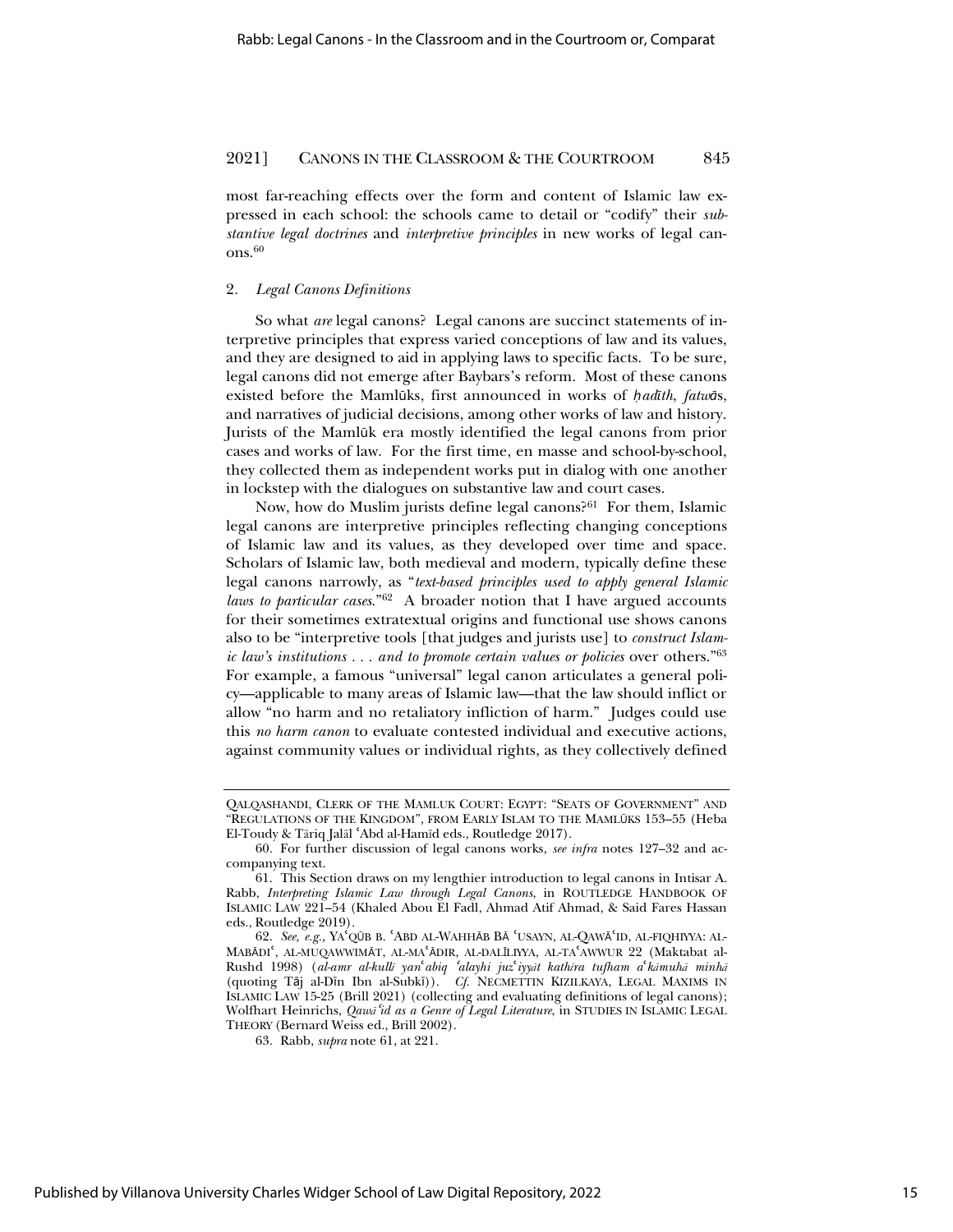most far-reaching effects over the form and content of Islamic law expressed in each school: the schools came to detail or "codify" their *substantive legal doctrines* and *interpretive principles* in new works of legal canons.<sup>60</sup>

#### 2*. Legal Canons Definitions*

So what *are* legal canons? Legal canons are succinct statements of interpretive principles that express varied conceptions of law and its values, and they are designed to aid in applying laws to specific facts. To be sure, legal canons did not emerge after Baybars's reform. Most of these canons existed before the Mamlūks, first announced in works of *hadīth*, *fatwās*, and narratives of judicial decisions, among other works of law and history. Jurists of the Mamlūk era mostly identified the legal canons from prior cases and works of law. For the first time, en masse and school-by-school, they collected them as independent works put in dialog with one another in lockstep with the dialogues on substantive law and court cases.

Now, how do Muslim jurists define legal canons?61 For them, Islamic legal canons are interpretive principles reflecting changing conceptions of Islamic law and its values, as they developed over time and space. Scholars of Islamic law, both medieval and modern, typically define these legal canons narrowly, as "*text-based principles used to apply general Islamic laws to particular cases*."62 A broader notion that I have argued accounts for their sometimes extratextual origins and functional use shows canons also to be "interpretive tools [that judges and jurists use] to *construct Islamic law's institutions . . . and to promote certain values or policies* over others."63 For example, a famous "universal" legal canon articulates a general policy—applicable to many areas of Islamic law—that the law should inflict or allow "no harm and no retaliatory infliction of harm." Judges could use this *no harm canon* to evaluate contested individual and executive actions, against community values or individual rights, as they collectively defined

QALQASHANDI, CLERK OF THE MAMLUK COURT: EGYPT: "SEATS OF GOVERNMENT" AND "REGULATIONS OF THE KINGDOM", FROM EARLY ISLAM TO THE MAMLźKS 153–55 (Heba El-Toudy & Tāriq Jalāl 'Abd al-Hamīd eds., Routledge 2017).

<sup>60.</sup> For further discussion of legal canons works, *see infra* notes 127–32 and accompanying text.

<sup>61.</sup> This Section draws on my lengthier introduction to legal canons in Intisar A. Rabb, *Interpreting Islamic Law through Legal Canons*, in ROUTLEDGE HANDBOOK OF ISLAMIC LAW 221–54 (Khaled Abou El Fadl, Ahmad Atif Ahmad, & Said Fares Hassan eds., Routledge 2019).

<sup>62.</sup> *See, e.g.,* YAʿQŪB B. ʿABD AL-WAHHĀB BĀ ʿUSAYN, AL-QAWĀʿID, AL-FIQHIYYA: AL-MABĀDI<sup>c</sup>, AL-MUQAWWIMĀT, AL-MA<sup>c</sup>ĀDIR, AL-DALĪLIYYA, AL-TA<sup>c</sup>AWWUR 22 (Maktabat al-Rushd 1998) (al-amr al-kullī yan<sup>t</sup>abiq 'alayhi juz'iyyit kathīra tufham a'kāmuhā minhā (quoting Tāj al-Dīn Ibn al-Subkī)). *Cf.* NECMETTIN KIZILKAYA, LEGAL MAXIMS IN ISLAMIC LAW 15-25 (Brill 2021) (collecting and evaluating definitions of legal canons); Wolfhart Heinrichs, *QawĆ*<sup>ɇ</sup>*id as a Genre of Legal Literature*, in STUDIES IN ISLAMIC LEGAL THEORY (Bernard Weiss ed., Brill 2002).

<sup>63.</sup> Rabb, *supra* note 61, at 221.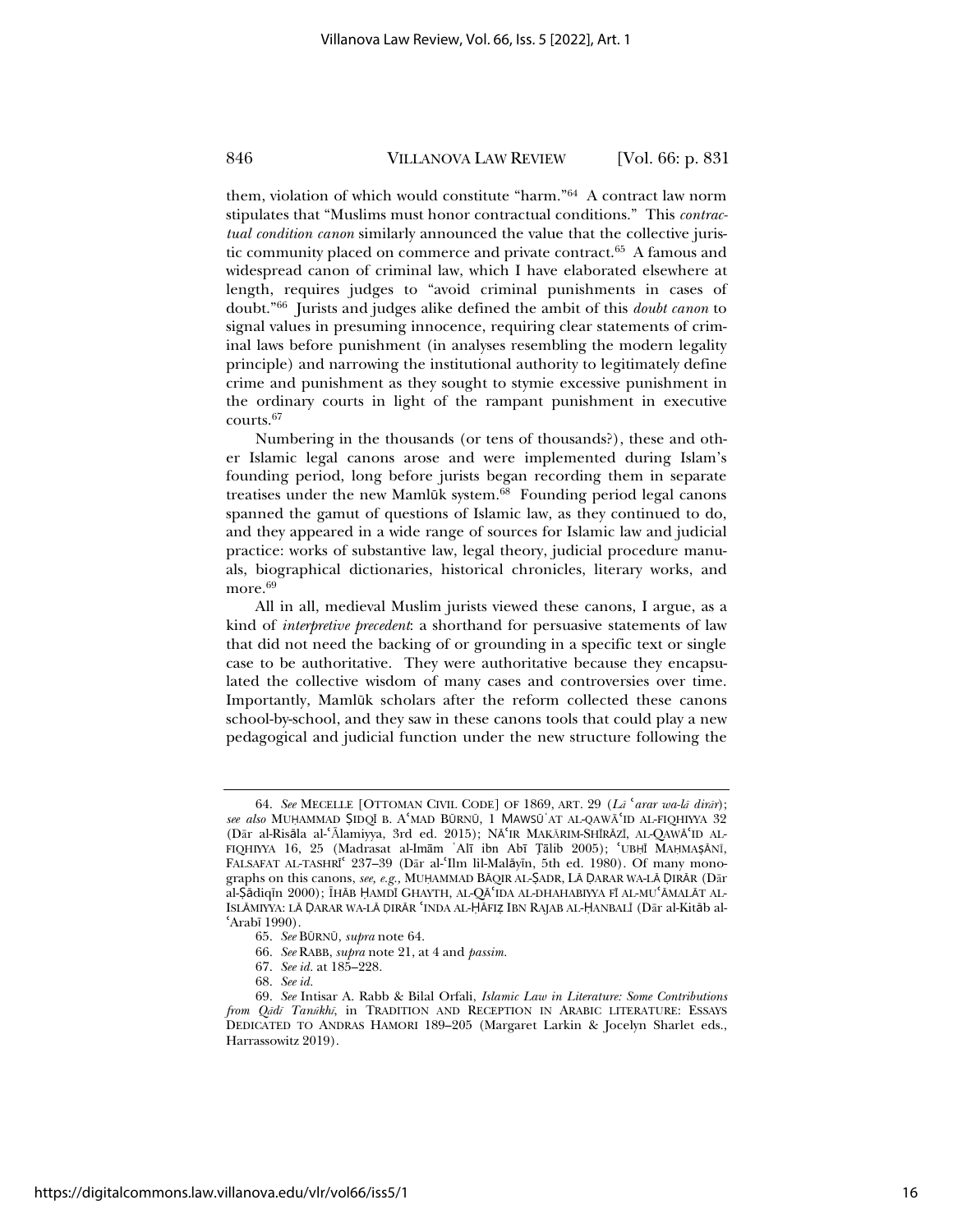them, violation of which would constitute "harm."64 A contract law norm stipulates that "Muslims must honor contractual conditions." This *contractual condition canon* similarly announced the value that the collective juristic community placed on commerce and private contract.<sup>65</sup> A famous and widespread canon of criminal law, which I have elaborated elsewhere at length, requires judges to "avoid criminal punishments in cases of doubt."66 Jurists and judges alike defined the ambit of this *doubt canon* to signal values in presuming innocence, requiring clear statements of criminal laws before punishment (in analyses resembling the modern legality principle) and narrowing the institutional authority to legitimately define crime and punishment as they sought to stymie excessive punishment in the ordinary courts in light of the rampant punishment in executive courts.67

Numbering in the thousands (or tens of thousands?), these and other Islamic legal canons arose and were implemented during Islam's founding period, long before jurists began recording them in separate treatises under the new Mamlūk system.<sup>68</sup> Founding period legal canons spanned the gamut of questions of Islamic law, as they continued to do, and they appeared in a wide range of sources for Islamic law and judicial practice: works of substantive law, legal theory, judicial procedure manuals, biographical dictionaries, historical chronicles, literary works, and more.<sup>69</sup>

All in all, medieval Muslim jurists viewed these canons, I argue, as a kind of *interpretive precedent*: a shorthand for persuasive statements of law that did not need the backing of or grounding in a specific text or single case to be authoritative. They were authoritative because they encapsulated the collective wisdom of many cases and controversies over time. Importantly, Mamlūk scholars after the reform collected these canons school-by-school, and they saw in these canons tools that could play a new pedagogical and judicial function under the new structure following the

<sup>64.</sup> See MECELLE [OTTOMAN CIVIL CODE] OF 1869, ART. 29 (La<sup>c</sup>arar wa-la dirar); see also MUHAMMAD ŞIDQĪ B. A<sup>c</sup>MAD BŪRNŪ, 1 MAWSŪ AT AL-QAWĀ<sup>c</sup>ID AL-FIQHIYYA 32 (Dār al-Risāla al-ʿĀlamiyya, 3rd ed. 2015); NĀ IR MAKĀRIM-SHĪRĀZĪ, AL-QAWĀ ID AL-FIQHIYYA 16, 25 (Madrasat al-Imām ʿAlī ibn Abī Tālib 2005); 'UBḤĪ MAḤMAṢĀNĪ, FALSAFAT AL-TASHRĪ<sup>t</sup> 237-39 (Dār al-'Ilm lil-Malāyīn, 5th ed. 1980). Of many monographs on this canons, *see, e.g., MUHAMMAD BĀQIR AL-* ŞADR, LĀ DARAR WA-LĀ DIRĀR (Dār al-Şādiqīn 2000); ĪHĀB ḤAMDĪ GHAYTH, AL-QĀ IDA AL-DHAHABIYYA FĪ AL-MU ĀMALĀT AL-ISLĀMIYYA: LĀ DARAR WA-LĀ DIRĀR 'INDA AL-ḤĀFIZ IBN RAJAB AL-ḤANBALĪ (Dār al-Kitāb al- $'Arab$ <sup>[1990]</sup>.

<sup>65.</sup> *See* BźRNź, *supra* note 64.

<sup>66.</sup> *See* RABB, *supra* note 21, at 4 and *passim.*

<sup>67.</sup> *See id.* at 185–228.

<sup>68.</sup> *See id.*

<sup>69.</sup> *See* Intisar A. Rabb & Bilal Orfali, *Islamic Law in Literature: Some Contributions from QĆdĩ Tanşkhĩ*, in TRADITION AND RECEPTION IN ARABIC LITERATURE: ESSAYS DEDICATED TO ANDRAS HAMORI 189–205 (Margaret Larkin & Jocelyn Sharlet eds., Harrassowitz 2019).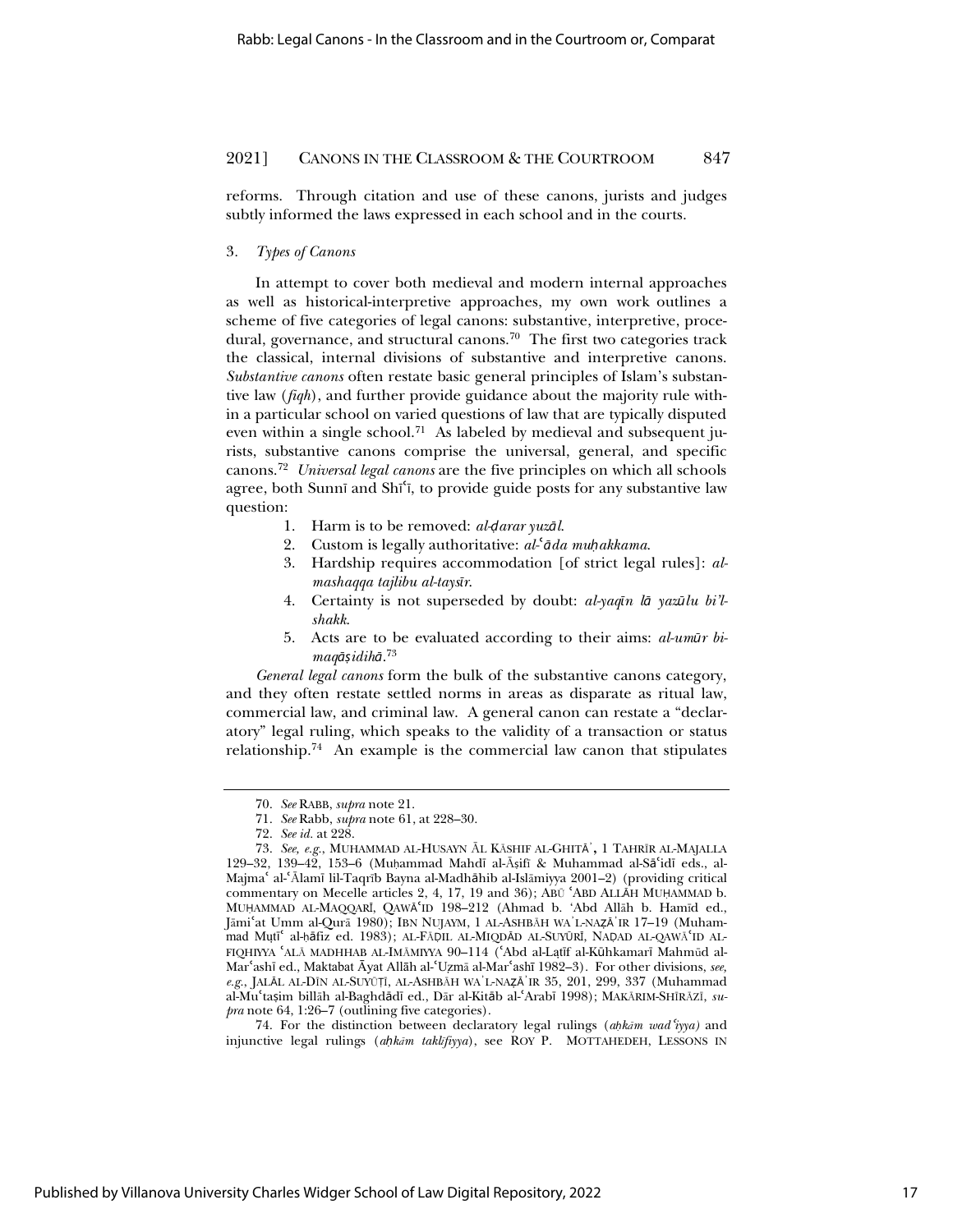reforms. Through citation and use of these canons, jurists and judges subtly informed the laws expressed in each school and in the courts.

#### 3*. Types of Canons*

In attempt to cover both medieval and modern internal approaches as well as historical-interpretive approaches, my own work outlines a scheme of five categories of legal canons: substantive, interpretive, procedural, governance, and structural canons.<sup>70</sup> The first two categories track the classical, internal divisions of substantive and interpretive canons. *Substantive canons* often restate basic general principles of Islam's substantive law (*fiqh*), and further provide guidance about the majority rule within a particular school on varied questions of law that are typically disputed even within a single school.<sup>71</sup> As labeled by medieval and subsequent jurists, substantive canons comprise the universal, general, and specific canons.72 *Universal legal canons* are the five principles on which all schools agree, both Sunnī and Shī'ī, to provide guide posts for any substantive law question:

- 1. Harm is to be removed: *al-<i>darar* yuz $\bar{a}l$ .
- 2. Custom is legally authoritative: *al-*ɇ*ņda müakkama*.
- 3. Hardship requires accommodation [of strict legal rules]: *almashaqqa tajlibu al-taysīr.*
- 4. Certainty is not superseded by doubt: *al-yaqīn lā yazūlu bi'lshakk*.
- 5. Acts are to be evaluated according to their aims: *al-umūr bimaqņ͆idihņ*. 73

*General legal canons* form the bulk of the substantive canons category, and they often restate settled norms in areas as disparate as ritual law, commercial law, and criminal law. A general canon can restate a "declaratory" legal ruling, which speaks to the validity of a transaction or status relationship.74 An example is the commercial law canon that stipulates

74. For the distinction between declaratory legal rulings (ahkām wad 'iyya) and injunctive legal rulings (ahkām taklīfiyya), see ROY P. MOTTAHEDEH, LESSONS IN

<sup>70.</sup> *See* RABB, *supra* note 21.

<sup>71.</sup> *See* Rabb, *supra* note 61, at 228–30.

<sup>72.</sup> *See id.* at 228.

<sup>73.</sup> See, e.g., MUHAMMAD AL-HUSAYN ĀL KĀSHIF AL-GHITĀ<sup>'</sup>, 1 TAHRĪR AL-MAJALLA 129–32, 139–42, 153–6 (Muhammad Mahdī al-Āṣifī & Muhammad al-Sāʿidī eds., al-Majma<sup>c</sup> al-ʿĀlamī lil-Taqrīb Bayna al-Madhāhib al-Islāmiyya 2001–2) (providing critical commentary on Mecelle articles 2, 4, 17, 19 and 36); ABU 'ABD ALLAH MUHAMMAD b. MUHAMMAD AL-MAQQARĪ, QAWĀ'ID 198-212 (Ahmad b. 'Abd Allāh b. Hamīd ed., Jāmiʿat Umm al-Qurā 1980); IBN NUJAYM, 1 AL-ASHBĀH WAʾL-NAẓĀʾIR 17–19 (Muhammad Mutī<sup>c</sup> al-hāfiz ed. 1983); AL-FĀŅIL AL-MIQDĀD AL-SUYŪRĪ, NAŅAD AL-QAWĀ<sup>c</sup>ID AL-FIQHIYYA 'ALĀ MADHHAB AL-IMĀMIYYA 90-114 ('Abd al-Latīf al-Kūhkamarī Mahmūd al-Mar'ashī ed., Maktabat Āyat Allāh al-'Uzmā al-Mar'ashī 1982-3). For other divisions, see,  $e.g., JALĀL AL-DĪN AL-SUVŪȚĪ, AL-ASHBĀH WA'L-NAZĀ'IR 35, 201, 299, 337 (Muhammad$ al-Mu<sup>c</sup>tașim billāh al-Baghdādī ed., Dār al-Kitāb al-ʿArabī 1998); MAKĀRIM-SHĪRĀZĪ, su*pra* note 64, 1:26–7 (outlining five categories).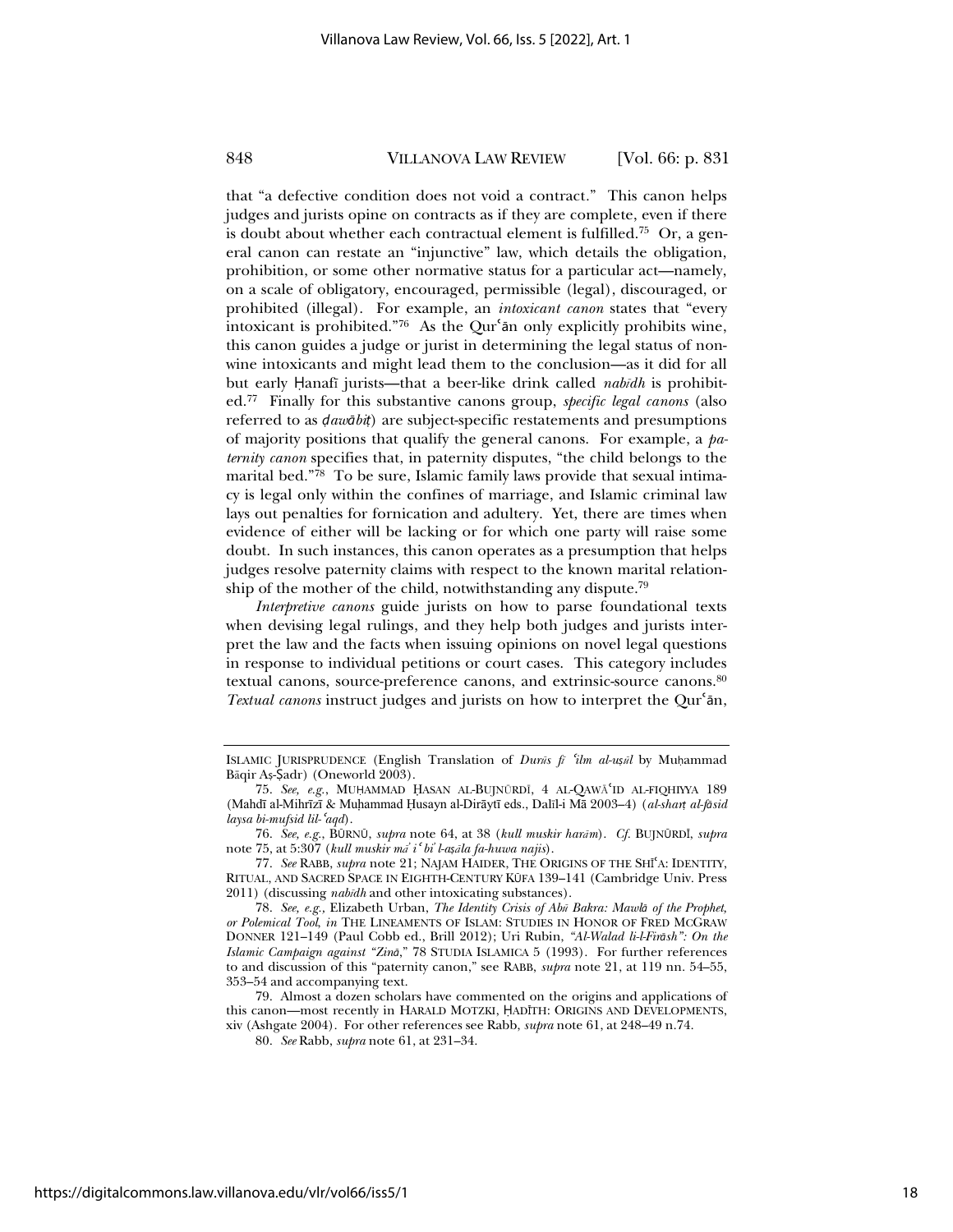that "a defective condition does not void a contract*.*" This canon helps judges and jurists opine on contracts as if they are complete, even if there is doubt about whether each contractual element is fulfilled.<sup>75</sup> Or, a general canon can restate an "injunctive" law, which details the obligation, prohibition, or some other normative status for a particular act—namely, on a scale of obligatory, encouraged, permissible (legal), discouraged, or prohibited (illegal). For example, an *intoxicant canon* states that "every intoxicant is prohibited."<sup>76</sup> As the Qur'an only explicitly prohibits wine, this canon guides a judge or jurist in determining the legal status of nonwine intoxicants and might lead them to the conclusion—as it did for all but early Hanafī jurists—that a beer-like drink called *nabīdh* is prohibited.77 Finally for this substantive canons group, *specific legal canons* (also referred to as  $\frac{d}{dt}$ *aw* $\frac{d}{dt}$ *n* are subject-specific restatements and presumptions of majority positions that qualify the general canons. For example, a *paternity canon* specifies that, in paternity disputes, "the child belongs to the marital bed."<sup>78</sup> To be sure, Islamic family laws provide that sexual intimacy is legal only within the confines of marriage, and Islamic criminal law lays out penalties for fornication and adultery. Yet, there are times when evidence of either will be lacking or for which one party will raise some doubt. In such instances, this canon operates as a presumption that helps judges resolve paternity claims with respect to the known marital relationship of the mother of the child, notwithstanding any dispute.<sup>79</sup>

*Interpretive canons* guide jurists on how to parse foundational texts when devising legal rulings, and they help both judges and jurists interpret the law and the facts when issuing opinions on novel legal questions in response to individual petitions or court cases. This category includes textual canons, source-preference canons, and extrinsic-source canons.80 Textual canons instruct judges and jurists on how to interpret the Qur'an,

ISLAMIC JURISPRUDENCE (English Translation of *Durās fi 'ilm al-ușāl* by Muhammad Bāqir Aṣ-Ṣadr) (Oneworld 2003).

<sup>75.</sup> See, e.g., MUHAMMAD HASAN AL-BUJNŪRDĪ, 4 AL-QAWĀ<sup>c</sup>ID AL-FIQHIYYA 189 (Mahdī al-Mihrīzī & Muhammad Ḥusayn al-Dirāytī eds., Dalīl-i Mā 2003-4) (al-shart al-fāsid *laysa bi-mufsid lil-*<sup>ɇ</sup>*aqd*).

<sup>76.</sup> *See, e.g.*, BźRNź, *supra* note 64, at 38 (*kull muskir harĆm*). *Cf.* BUJNźRDŝ, *supra* note 75, at 5:307 (*kull muskir m*<sup>2</sup> i<sup>*c*</sup> *bi l*-aș*ila fa-huwa najis*).

<sup>77.</sup> See RABB, *supra* note 21; NAJAM HAIDER, THE ORIGINS OF THE SHI<sup>4</sup>A: IDENTITY, RITUAL, AND SACRED SPACE IN EIGHTH-CENTURY KźFA 139–141 (Cambridge Univ. Press 2011) (discussing *nabĩdh* and other intoxicating substances).

<sup>78.</sup> *See, e.g.,* Elizabeth Urban, *The Identity Crisis of Abş Bakra: Mawlņ of the Prophet, or Polemical Tool*, *in* THE LINEAMENTS OF ISLAM: STUDIES IN HONOR OF FRED MCGRAW DONNER 121–149 (Paul Cobb ed., Brill 2012); Uri Rubin, *"Al-Walad li-l-Firņsh": On the Islamic Campaign against "Zinņ*," 78 STUDIA ISLAMICA 5 (1993). For further references to and discussion of this "paternity canon," see RABB, *supra* note 21, at 119 nn. 54–55, 353–54 and accompanying text.

<sup>79.</sup> Almost a dozen scholars have commented on the origins and applications of this canon—most recently in HARALD MOTZKI, ̇ADŝTH: ORIGINS AND DEVELOPMENTS, xiv (Ashgate 2004). For other references see Rabb, *supra* note 61, at 248–49 n.74.

<sup>80.</sup> *See* Rabb, *supra* note 61, at 231–34.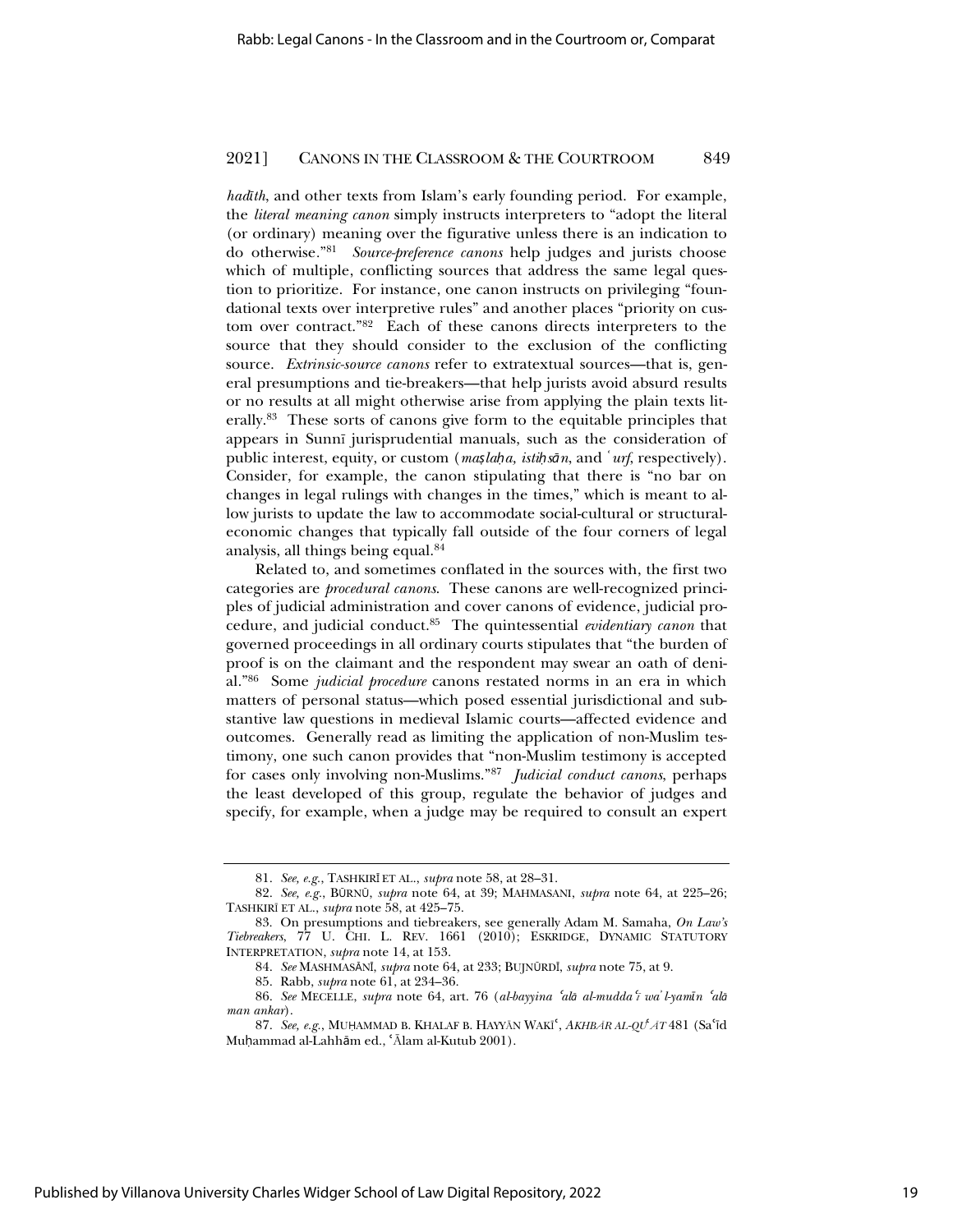*hadith*, and other texts from Islam's early founding period. For example, the *literal meaning canon* simply instructs interpreters to "adopt the literal (or ordinary) meaning over the figurative unless there is an indication to do otherwise*.*"81 *Source-preference canons* help judges and jurists choose which of multiple, conflicting sources that address the same legal question to prioritize. For instance, one canon instructs on privileging "foundational texts over interpretive rules" and another places "priority on custom over contract."82 Each of these canons directs interpreters to the source that they should consider to the exclusion of the conflicting source. *Extrinsic-source canons* refer to extratextual sources—that is, general presumptions and tie-breakers—that help jurists avoid absurd results or no results at all might otherwise arise from applying the plain texts literally.83 These sorts of canons give form to the equitable principles that appears in Sunnĩ jurisprudential manuals, such as the consideration of public interest, equity, or custom (*maslaha*, *istihsan*, and '*urf*, respectively). Consider, for example, the canon stipulating that there is "no bar on changes in legal rulings with changes in the times," which is meant to allow jurists to update the law to accommodate social-cultural or structuraleconomic changes that typically fall outside of the four corners of legal analysis, all things being equal.84

Related to, and sometimes conflated in the sources with, the first two categories are *procedural canons*. These canons are well-recognized principles of judicial administration and cover canons of evidence, judicial procedure, and judicial conduct.85 The quintessential *evidentiary canon* that governed proceedings in all ordinary courts stipulates that "the burden of proof is on the claimant and the respondent may swear an oath of denial."86 Some *judicial procedure* canons restated norms in an era in which matters of personal status—which posed essential jurisdictional and substantive law questions in medieval Islamic courts—affected evidence and outcomes. Generally read as limiting the application of non-Muslim testimony, one such canon provides that "non-Muslim testimony is accepted for cases only involving non-Muslims."87 *Judicial conduct canons*, perhaps the least developed of this group, regulate the behavior of judges and specify, for example, when a judge may be required to consult an expert

<sup>81.</sup> *See, e.g.*, TASHKIRŝ ET AL., *supra* note 58, at 28–31.

<sup>82.</sup> *See, e.g.*, BźRNź, *supra* note 64, at 39; MAHMASANI, *supra* note 64, at 225–26; TASHKIRĨ ET AL., *supra* note 58, at 425–75.

<sup>83.</sup> On presumptions and tiebreakers, see generally Adam M. Samaha, *On Law's Tiebreakers*, 77 U. CHI. L. REV. 1661 (2010); ESKRIDGE, DYNAMIC STATUTORY INTERPRETATION, *supra* note 14, at 153.

<sup>84.</sup> See MASHMASĀNĪ, *supra* note 64, at 233; BUJNŪRDĪ, *supra* note 75, at 9.

<sup>85.</sup> Rabb, *supra* note 61, at 234–36.

<sup>86.</sup> *See* MECELLE, *supra* note 64, art. 76 (*al-bayyina 'alā al-mudda'ī* wa'*l-yamīn 'alā man ankar*).

<sup>87.</sup> See, e.g., MUHAMMAD B. KHALAF B. HAYYAN WAKI<sup>c</sup>, AKHBAR AL-QU<sup>t</sup> AT 481 (Sa<sup>c</sup>id Muḥammad al-Lahhām ed., 'Ālam al-Kutub 2001).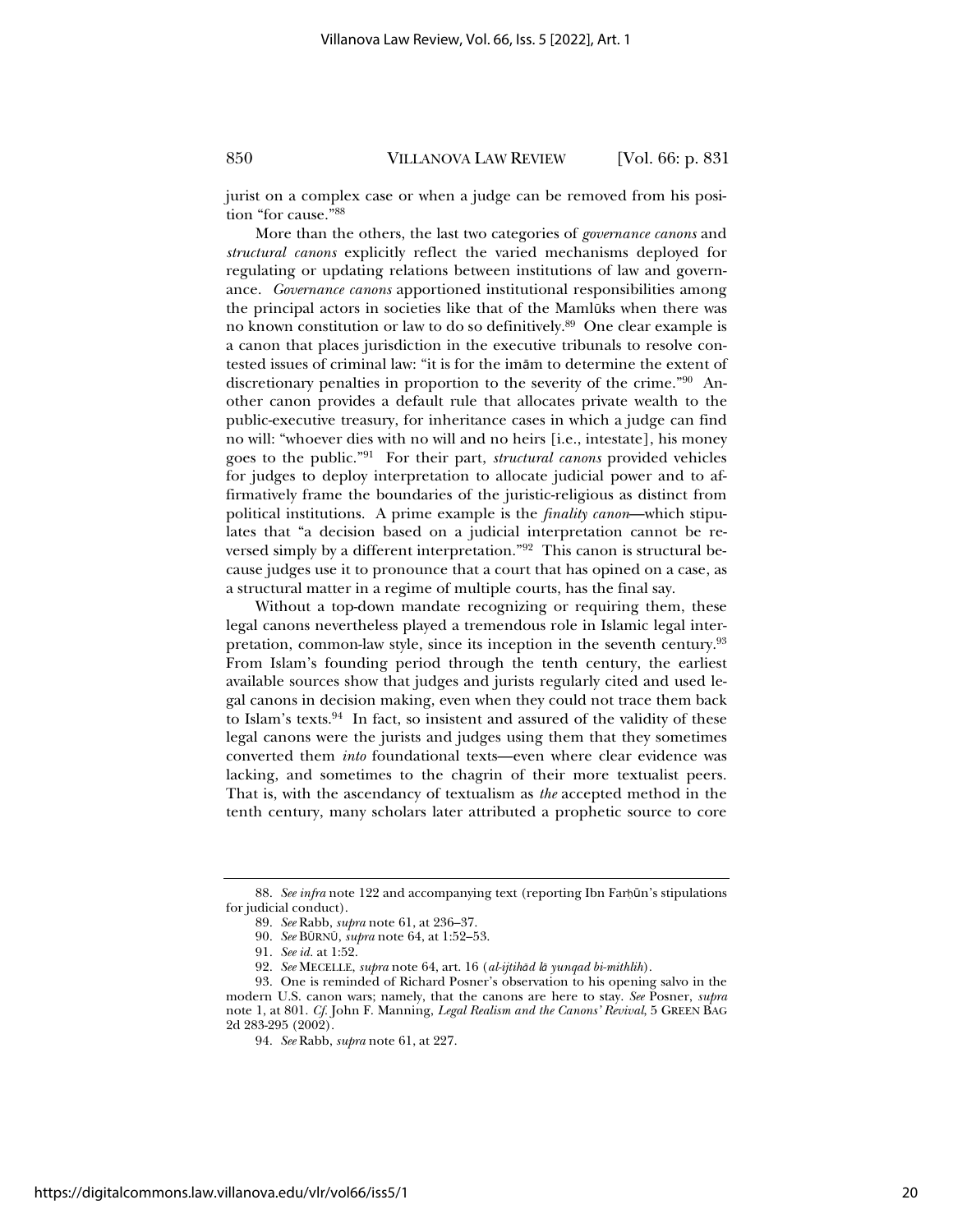jurist on a complex case or when a judge can be removed from his position "for cause."88

More than the others, the last two categories of *governance canons* and *structural canons* explicitly reflect the varied mechanisms deployed for regulating or updating relations between institutions of law and governance. *Governance canons* apportioned institutional responsibilities among the principal actors in societies like that of the Mamlūks when there was no known constitution or law to do so definitively.89 One clear example is a canon that places jurisdiction in the executive tribunals to resolve contested issues of criminal law: "it is for the imām to determine the extent of discretionary penalties in proportion to the severity of the crime."90 Another canon provides a default rule that allocates private wealth to the public-executive treasury, for inheritance cases in which a judge can find no will: "whoever dies with no will and no heirs [i.e., intestate], his money goes to the public."91 For their part, *structural canons* provided vehicles for judges to deploy interpretation to allocate judicial power and to affirmatively frame the boundaries of the juristic-religious as distinct from political institutions. A prime example is the *finality canon*—which stipulates that "a decision based on a judicial interpretation cannot be reversed simply by a different interpretation."92 This canon is structural because judges use it to pronounce that a court that has opined on a case, as a structural matter in a regime of multiple courts, has the final say.

Without a top-down mandate recognizing or requiring them, these legal canons nevertheless played a tremendous role in Islamic legal interpretation, common-law style, since its inception in the seventh century.93 From Islam's founding period through the tenth century, the earliest available sources show that judges and jurists regularly cited and used legal canons in decision making, even when they could not trace them back to Islam's texts.<sup>94</sup> In fact, so insistent and assured of the validity of these legal canons were the jurists and judges using them that they sometimes converted them *into* foundational texts—even where clear evidence was lacking, and sometimes to the chagrin of their more textualist peers. That is, with the ascendancy of textualism as *the* accepted method in the tenth century, many scholars later attributed a prophetic source to core

<sup>88.</sup> See infra note 122 and accompanying text (reporting Ibn Farhūn's stipulations for judicial conduct).

<sup>89.</sup> *See* Rabb, *supra* note 61, at 236–37.

<sup>90.</sup> *See* BźRNź, *supra* note 64, at 1:52–53.

<sup>91.</sup> *See id.* at 1:52.

<sup>92.</sup> *See* MECELLE, *supra* note 64, art. 16 (*al-ijtihņd lņ yunqad bi-mithlih*).

<sup>93.</sup> One is reminded of Richard Posner's observation to his opening salvo in the modern U.S. canon wars; namely, that the canons are here to stay. *See* Posner, *supra* note 1, at 801. *Cf.* John F. Manning, *Legal Realism and the Canons' Revival*, 5 GREEN BAG 2d 283-295 (2002).

<sup>94.</sup> *See* Rabb, *supra* note 61, at 227.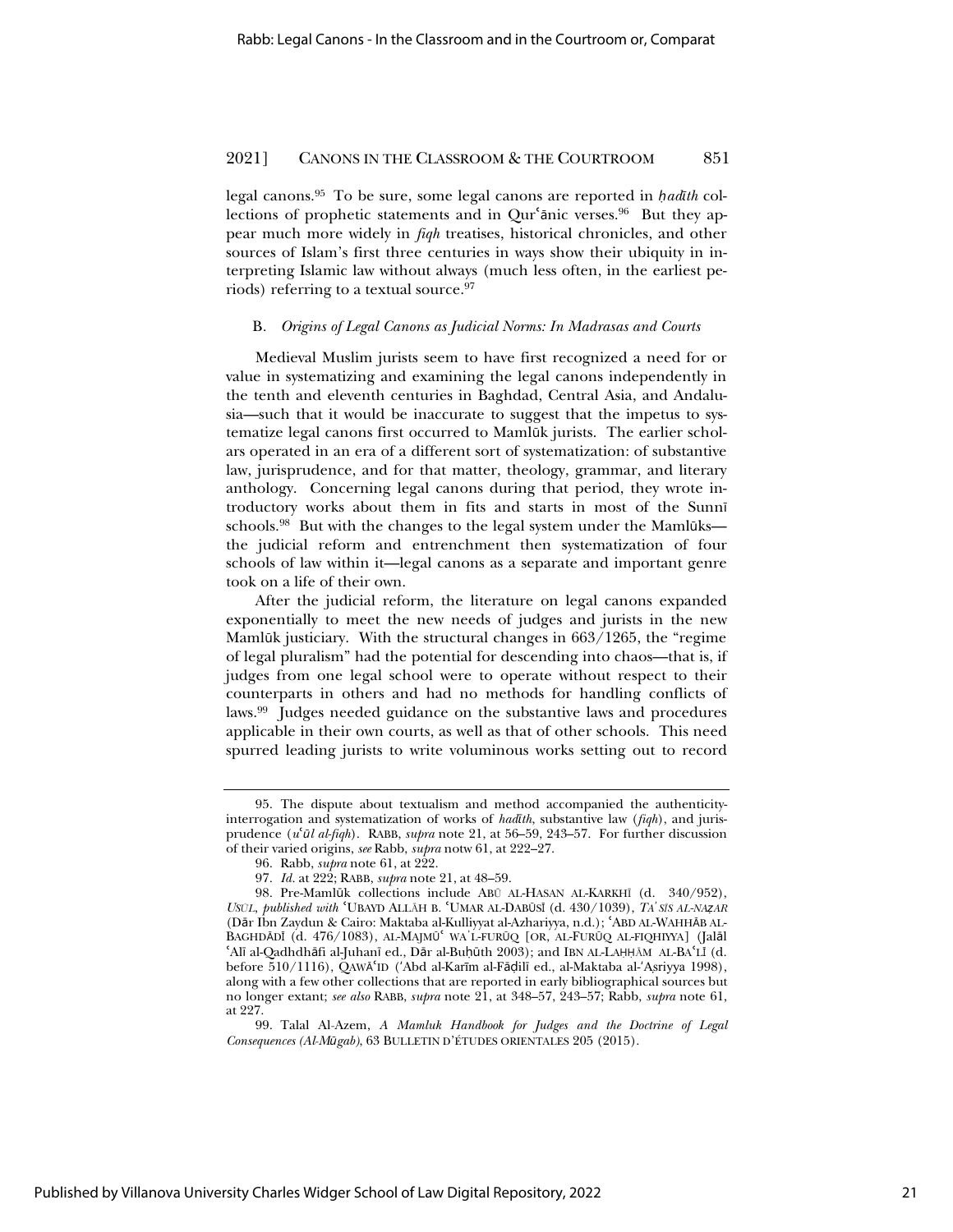legal canons.<sup>95</sup> To be sure, some legal canons are reported in *hadith* collections of prophetic statements and in Qur'anic verses.<sup>96</sup> But they appear much more widely in *fiqh* treatises, historical chronicles, and other sources of Islam's first three centuries in ways show their ubiquity in interpreting Islamic law without always (much less often, in the earliest periods) referring to a textual source.97

#### B*. Origins of Legal Canons as Judicial Norms: In Madrasas and Courts*

Medieval Muslim jurists seem to have first recognized a need for or value in systematizing and examining the legal canons independently in the tenth and eleventh centuries in Baghdad, Central Asia, and Andalusia—such that it would be inaccurate to suggest that the impetus to systematize legal canons first occurred to Mamlūk jurists. The earlier scholars operated in an era of a different sort of systematization: of substantive law, jurisprudence, and for that matter, theology, grammar, and literary anthology. Concerning legal canons during that period, they wrote introductory works about them in fits and starts in most of the Sunni schools.<sup>98</sup> But with the changes to the legal system under the Mamlūks the judicial reform and entrenchment then systematization of four schools of law within it—legal canons as a separate and important genre took on a life of their own.

After the judicial reform, the literature on legal canons expanded exponentially to meet the new needs of judges and jurists in the new Mamlūk justiciary. With the structural changes in 663/1265, the "regime of legal pluralism" had the potential for descending into chaos—that is, if judges from one legal school were to operate without respect to their counterparts in others and had no methods for handling conflicts of laws.99 Judges needed guidance on the substantive laws and procedures applicable in their own courts, as well as that of other schools. This need spurred leading jurists to write voluminous works setting out to record

<sup>95.</sup> The dispute about textualism and method accompanied the authenticityinterrogation and systematization of works of *hadŞth*, substantive law (*fiqh*), and jurisprudence (*u*<sup>*'al al-fiqh*). RABB, *supra* note 21, at 56-59, 243-57. For further discussion</sup> of their varied origins, *see* Rabb, *supra* notw 61, at 222–27.

<sup>96.</sup> Rabb, *supra* note 61, at 222.

<sup>97.</sup> *Id.* at 222; RABB, *supra* note 21, at 48–59.

<sup>98.</sup> Pre-Mamlūk collections include ABŪ AL-HASAN AL-KARKHĪ (d. 340/952), *USŪL*, *published with* 'UBAYD ALLĀH B. 'UMAR AL-DABŪSĪ (d. 430/1039), *TA*<sup>*S*</sup>*IS AL-NAZAR* (Dār Ibn Zaydun & Cairo: Maktaba al-Kulliyyat al-Azhariyya, n.d.); 'ABD AL-WAHHĀB AL-BAGHDĀDĪ (d. 476/1083), AL-MAJMŪ<sup>c</sup> WA'L-FURŪQ [OR, AL-FURŪQ AL-FIQHIYYA] (Jalāl 'Alī al-Qadhdhāfi al-Juhanī ed., Dār al-Buḥūth 2003); and IBN AL-LAḤḤĀM AL-BAʿLĪ (d. before 510/1116), QAWĀʻID ('Abd al-Karīm al-Fāḍilī ed., al-Maktaba al-'Asriyya 1998), along with a few other collections that are reported in early bibliographical sources but no longer extant; *see also* RABB, *supra* note 21, at 348–57, 243–57; Rabb, *supra* note 61, at 227.

<sup>99.</sup> Talal Al-Azem, *A Mamluk Handbook for Judges and the Doctrine of Legal Consequences (Al-MŻgab)*, 63 BULLETIN D'ÉTUDES ORIENTALES 205 (2015).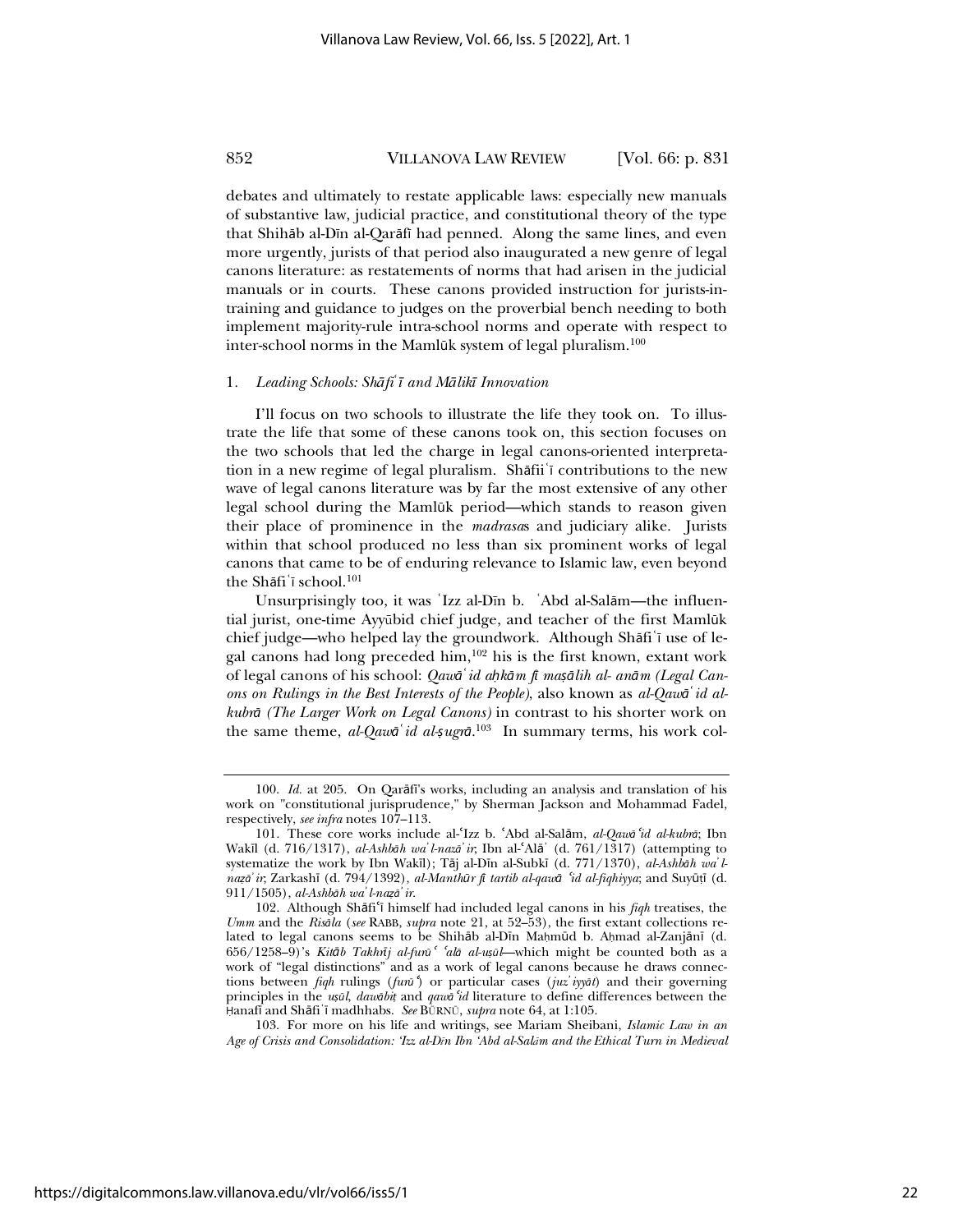debates and ultimately to restate applicable laws: especially new manuals of substantive law, judicial practice, and constitutional theory of the type that Shih<sub>a</sub> al-D<sub>I</sub> al-Qarafi had penned. Along the same lines, and even more urgently, jurists of that period also inaugurated a new genre of legal canons literature: as restatements of norms that had arisen in the judicial manuals or in courts. These canons provided instruction for jurists-intraining and guidance to judges on the proverbial bench needing to both implement majority-rule intra-school norms and operate with respect to inter-school norms in the Mamlūk system of legal pluralism.<sup>100</sup>

#### 1. Leading Schools: Shafi<sup>'</sup>*ī* and Malik<sub>*I*</sub> Innovation</sub>

I'll focus on two schools to illustrate the life they took on. To illustrate the life that some of these canons took on, this section focuses on the two schools that led the charge in legal canons-oriented interpretation in a new regime of legal pluralism. Shāfii i contributions to the new wave of legal canons literature was by far the most extensive of any other legal school during the Mamlūk period—which stands to reason given their place of prominence in the *madrasa*s and judiciary alike. Jurists within that school produced no less than six prominent works of legal canons that came to be of enduring relevance to Islamic law, even beyond the Shāfi'ī school.<sup>101</sup>

Unsurprisingly too, it was 'Izz al-Dīn b. 'Abd al-Salām—the influential jurist, one-time Ayyūbid chief judge, and teacher of the first Mamlūk chief judge—who helped lay the groundwork. Although Shāfi'ī use of legal canons had long preceded him,<sup>102</sup> his is the first known, extant work of legal canons of his school: Qawa<sup>'</sup>id ahkam fi maşalih al- anam (Legal Can*ons on Rulings in the Best Interests of the People)*, also known as *al-Qawņڅid alkubrņ (The Larger Work on Legal Canons)* in contrast to his shorter work on the same theme, *al-Qawa<sup>°</sup> id al-*5*ugr* $\bar{a}$ <sup>103</sup> In summary terms, his work col-

https://digitalcommons.law.villanova.edu/vlr/vol66/iss5/1

<sup>100.</sup> *Id.* at 205. On Qarafi's works, including an analysis and translation of his work on "constitutional jurisprudence," by Sherman Jackson and Mohammad Fadel, respectively, *see infra* notes 107–113.

<sup>101.</sup> These core works include al-'Izz b. 'Abd al-Salām, *al-Qawā* '*id al-kubrā*; Ibn Wakīl (d. 716/1317), *al-Ashbāh wa' l-nazā' ir*; Ibn al-ʿAlā' (d. 761/1317) (attempting to systematize the work by Ibn Wakīl); Tāj al-Dīn al-Subkī (d. 771/1370), al-Ashbāh wa'l*nazā' ir*; Zarkashī (d. 794/1392), *al-Manthūr fī tartib al-qawā 'id al-fiqhiyya*; and Suyūṭī (d. 911/1505), *al-Ashbņh waڄl-naͰņڄir*.

<sup>102.</sup> Although Shāfi<sup>c</sup>ī himself had included legal canons in his *figh* treatises, the *Umm* and the *Risņla* (*see* RABB, *supra* note 21, at 52–53), the first extant collections related to legal canons seems to be Shihab al-Din Mahmud b. Ahmad al-Zanjānī (d. 656/1258–9)'s *Kitņb TakhrŞj al-furŻ*<sup>ɇ</sup> <sup>ɇ</sup>*alņ al-u͆Żl*—which might be counted both as a work of "legal distinctions" and as a work of legal canons because he draws connections between *fiqh* rulings (*furŻ*<sup>ɇ</sup>) or particular cases (*juzڄiyyņt*) and their governing principles in the *u*<sup>*zūl*</sup>, *daw* $\delta$ *bi*<sup>*t*</sup> and *qaw*<sup>*i*</sup>*id* literature to define differences between the Hanafi and Shāfi<sup>'</sup>ī madhhabs. See BŪRNŪ, *supra* note 64, at 1:105.

<sup>103.</sup> For more on his life and writings, see Mariam Sheibani, *Islamic Law in an*  Age of Crisis and Consolidation: 'Izz al-D*īn Ibn* 'Abd al-Sal*ām and the Ethical Turn in Medieval*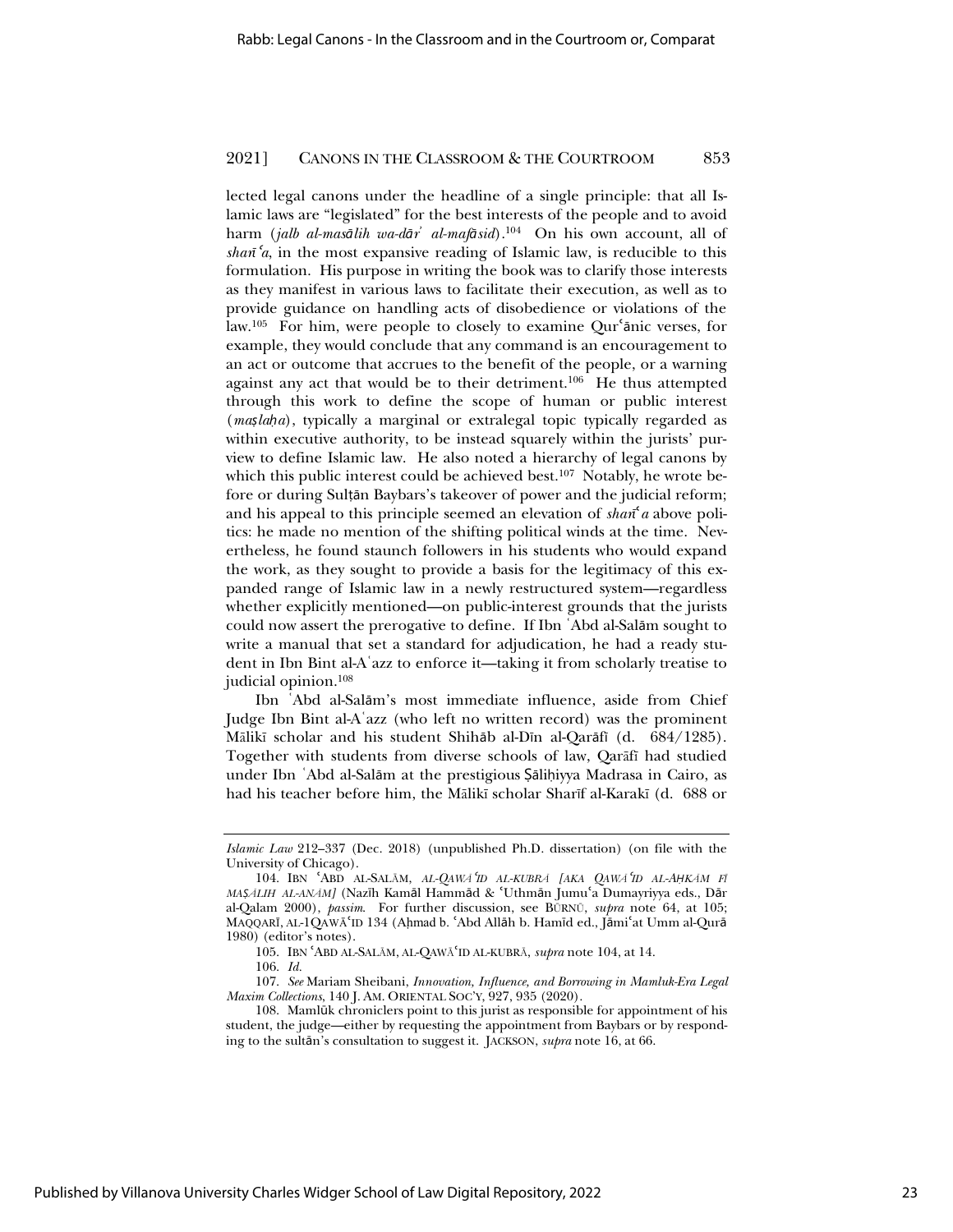lected legal canons under the headline of a single principle: that all Islamic laws are "legislated" for the best interests of the people and to avoid harm (*jalb al-masņlih wa-dņrڄ al-mafņsid*).104 On his own account, all of  $\sinh^2 a$ , in the most expansive reading of Islamic law, is reducible to this formulation. His purpose in writing the book was to clarify those interests as they manifest in various laws to facilitate their execution, as well as to provide guidance on handling acts of disobedience or violations of the law.<sup>105</sup> For him, were people to closely to examine Qur'anic verses, for example, they would conclude that any command is an encouragement to an act or outcome that accrues to the benefit of the people, or a warning against any act that would be to their detriment.106 He thus attempted through this work to define the scope of human or public interest (*maslaha*), typically a marginal or extralegal topic typically regarded as within executive authority, to be instead squarely within the jurists' purview to define Islamic law. He also noted a hierarchy of legal canons by which this public interest could be achieved best.<sup>107</sup> Notably, he wrote before or during Sulțăn Baybars's takeover of power and the judicial reform; and his appeal to this principle seemed an elevation of  $\sin^2 a$  above politics: he made no mention of the shifting political winds at the time. Nevertheless, he found staunch followers in his students who would expand the work, as they sought to provide a basis for the legitimacy of this expanded range of Islamic law in a newly restructured system—regardless whether explicitly mentioned—on public-interest grounds that the jurists could now assert the prerogative to define. If Ibn 'Abd al-Salām sought to write a manual that set a standard for adjudication, he had a ready student in Ibn Bint al-Aڅazz to enforce it—taking it from scholarly treatise to judicial opinion.108

Ibn 'Abd al-Salām's most immediate influence, aside from Chief Judge Ibn Bint al-Aڅazz (who left no written record) was the prominent Mālikī scholar and his student Shihāb al-Dīn al-Qarāfī (d. 684/1285). Together with students from diverse schools of law, Oarafi had studied under Ibn 'Abd al-Salām at the prestigious Şāliḥiyya Madrasa in Cairo, as had his teacher before him, the Mālikī scholar Sharīf al-Karakī (d. 688 or

*Islamic Law* 212–337 (Dec. 2018) (unpublished Ph.D. dissertation) (on file with the University of Chicago).

<sup>104.</sup> IBN ɇABD AL-SALąM, *AL-QAWą*<sup>ɇ</sup>*ID AL-KUBRą [AKA QAWą*<sup>ɇ</sup>*ID AL-ȦKąM FĨ MAṢĀLIH AL-ANĀM]* (Nazīh Kamāl Hammād & 'Uthmān Jumuʿa Dumayriyya eds., Dār al-Qalam 2000), *passim*. For further discussion, see BURNU, *supra* note 64, at 105; MAQQARĪ, AL-1QAWĀ'ID 134 (Ahmad b. 'Abd Allāh b. Hamīd ed., Jāmi'at Umm al-Qurā 1980) (editor's notes).

<sup>105.</sup> IBN ɇABD AL-SALąM, AL-QAWąɇID AL-KUBRą, *supra* note 104, at 14.

<sup>106.</sup> *Id.*

<sup>107.</sup> *See* Mariam Sheibani, *Innovation, Influence, and Borrowing in Mamluk-Era Legal Maxim Collections*, 140 J. AM. ORIENTAL SOC'Y, 927, 935 (2020).

<sup>108.</sup> Mamlūk chroniclers point to this jurist as responsible for appointment of his student, the judge—either by requesting the appointment from Baybars or by responding to the sultān's consultation to suggest it. JACKSON, *supra* note 16, at 66.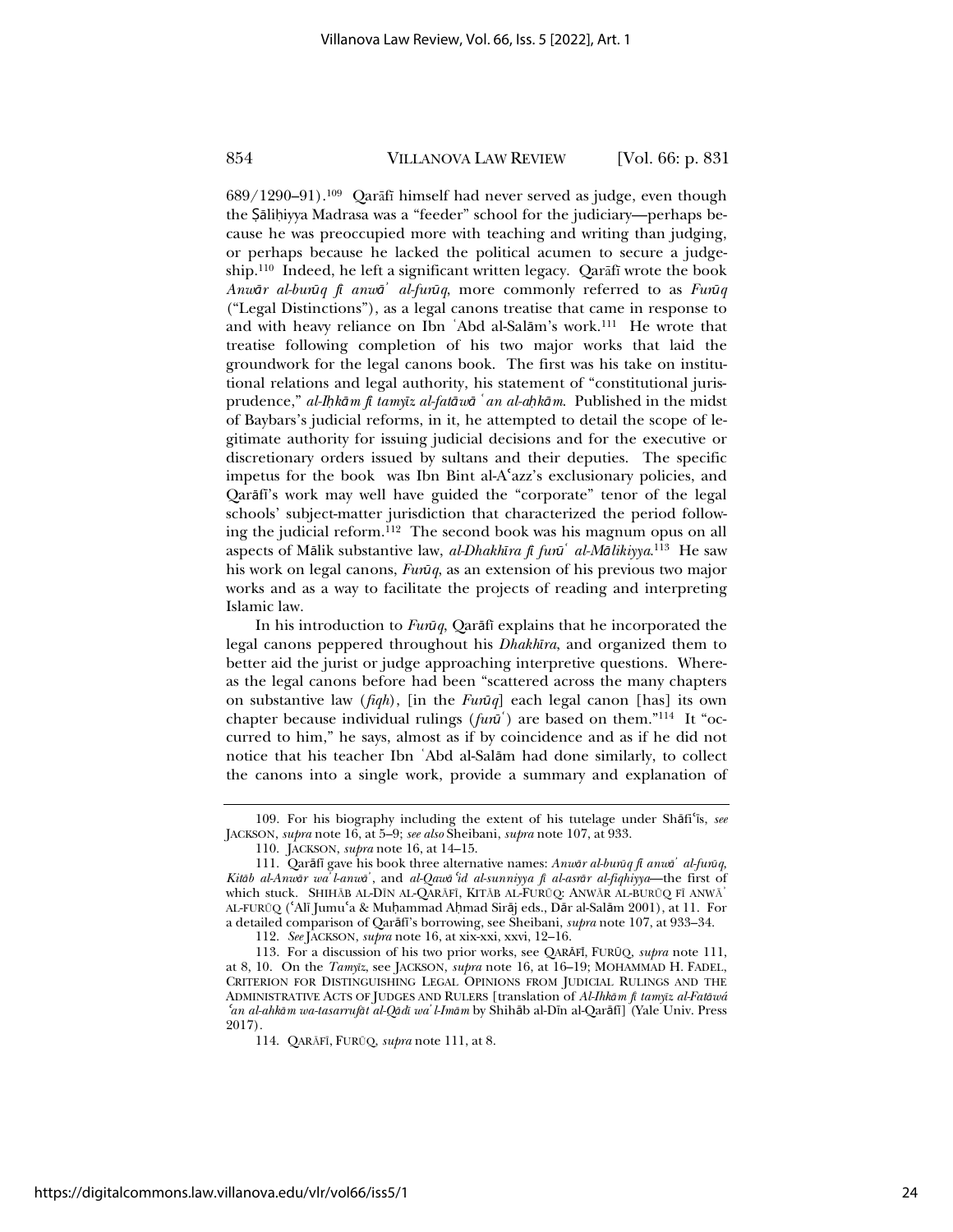689/1290-91).<sup>109</sup> Qarāfī himself had never served as judge, even though the Şāliḥiyya Madrasa was a "feeder" school for the judiciary—perhaps because he was preoccupied more with teaching and writing than judging, or perhaps because he lacked the political acumen to secure a judgeship.<sup>110</sup> Indeed, he left a significant written legacy. Qar $\delta$ fi wrote the book *Anwņr al-burŻq fŞ anwņڄ al-furŻq*, more commonly referred to as *FurŻq* ("Legal Distinctions"), as a legal canons treatise that came in response to and with heavy reliance on Ibn 'Abd al-Salām's work.<sup>111</sup> He wrote that treatise following completion of his two major works that laid the groundwork for the legal canons book. The first was his take on institutional relations and legal authority, his statement of "constitutional jurisprudence," *al-Ïkņm fŞ tamyŞz al-fatņwņ څan al-äkņm*. Published in the midst of Baybars's judicial reforms, in it, he attempted to detail the scope of legitimate authority for issuing judicial decisions and for the executive or discretionary orders issued by sultans and their deputies. The specific impetus for the book was Ibn Bint al-A azz's exclusionary policies, and Qarāfi's work may well have guided the "corporate" tenor of the legal schools' subject-matter jurisdiction that characterized the period following the judicial reform.112 The second book was his magnum opus on all aspects of Mālik substantive law, *al-Dhakhīra fī furū<sup>́</sup> al-Mālikiyya*.<sup>113</sup> He saw his work on legal canons, *Furuq*, as an extension of his previous two major works and as a way to facilitate the projects of reading and interpreting Islamic law.

In his introduction to *Furuq*, Qarafi explains that he incorporated the legal canons peppered throughout his *DhakhŞra*, and organized them to better aid the jurist or judge approaching interpretive questions. Whereas the legal canons before had been "scattered across the many chapters on substantive law (*fiqh*), [in the *FurŻq*] each legal canon [has] its own chapter because individual rulings (*fun*<sup>*i*</sup>) are based on them."<sup>114</sup> It "occurred to him," he says, almost as if by coincidence and as if he did not notice that his teacher Ibn 'Abd al-Salām had done similarly, to collect the canons into a single work, provide a summary and explanation of

<sup>109.</sup> For his biography including the extent of his tutelage under Shafi<sup>'</sup>is, see JACKSON, *supra* note 16, at 5–9; *see also* Sheibani, *supra* note 107, at 933.

<sup>110.</sup> JACKSON, *supra* note 16, at 14–15.

<sup>111.</sup> Qarāfī gave his book three alternative names: *Anwār al-burūq fi anwā' al-furūq*, *Kitņb al-Anwņr waڄl-anwņڄ*, and *al-Qawņ*<sup>ɇ</sup>*id al-sunniyya fŞ al-asrņr al-fiqhiyya*—the first of which stuck. SHIHĀB AL-DĪN AL-QARĀFĪ, KITĀB AL-FURŪQ: ANWĀR AL-BURŪQ FĪ ANWĀ' AL-FURŪQ (ʿAlī Jumuʿa & Muḥammad Aḥmad Sirāj eds., Dār al-Salām 2001), at 11. For a detailed comparison of Qarāfi's borrowing, see Sheibani, *supra* note 107, at 933-34.

<sup>112.</sup> *See* JACKSON, *supra* note 16, at xix-xxi, xxvi, 12–16.

<sup>113.</sup> For a discussion of his two prior works, see QARĀFĪ, FURŪQ, *supra* note 111, at 8, 10. On the *Tamyz*, see JACKSON, *supra* note 16, at 16-19; MOHAMMAD H. FADEL, CRITERION FOR DISTINGUISHING LEGAL OPINIONS FROM JUDICIAL RULINGS AND THE ADMINISTRATIVE ACTS OF JUDGES AND RULERS [translation of *Al-Ihkām fi tamyīz al-Fatāwá* <sup>ɇ</sup>*an al-ahkņm wa-tasarrufņt al-QņdŞ waڄl-Imņm* by Shihņb al-DŞn al-QarņfŞ] (Yale Univ. Press 2017).

<sup>114.</sup> QARĀFĪ, FURŪQ, *supra* note 111, at 8.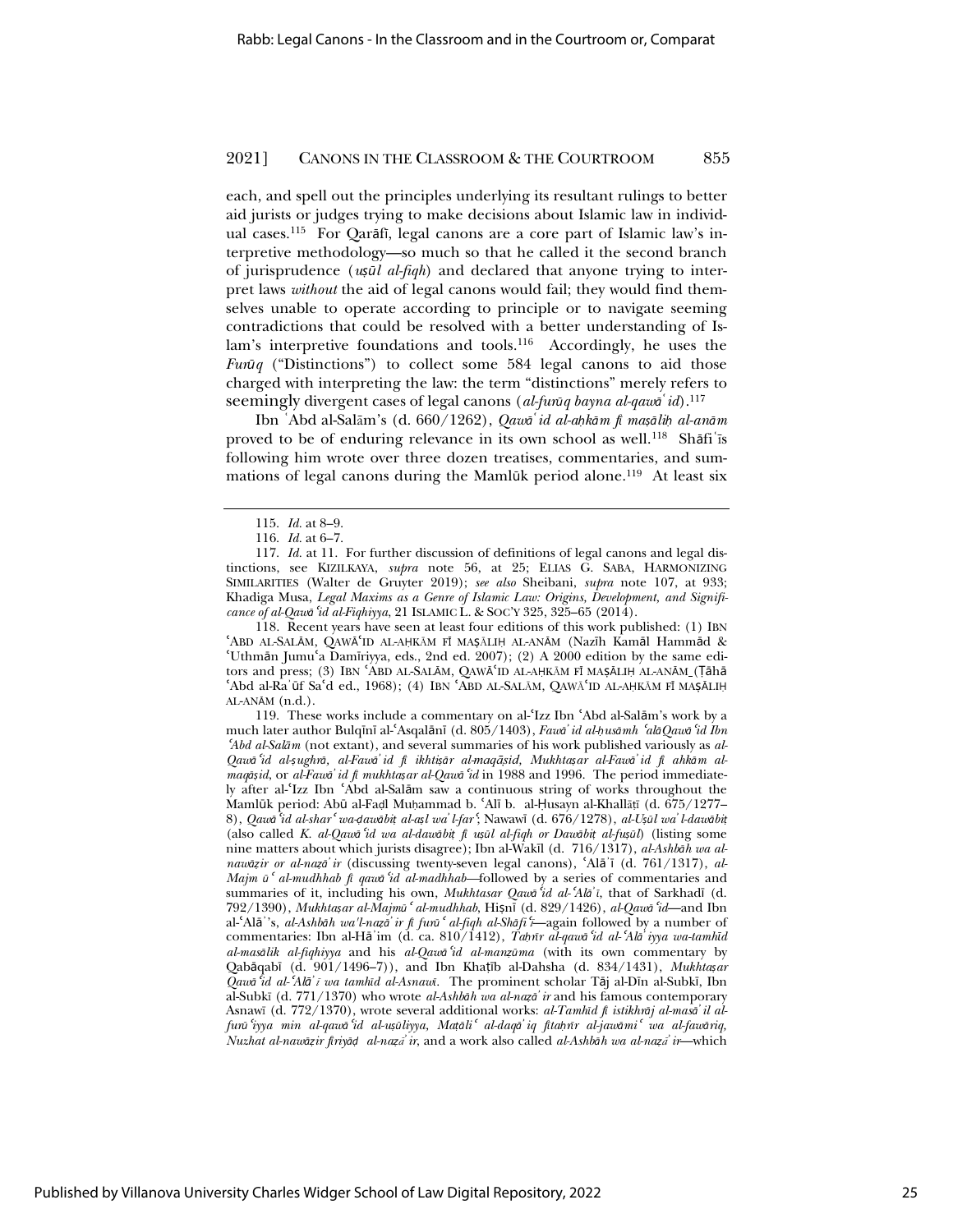each, and spell out the principles underlying its resultant rulings to better aid jurists or judges trying to make decisions about Islamic law in individual cases.<sup>115</sup> For Oarāfi, legal canons are a core part of Islamic law's interpretive methodology—so much so that he called it the second branch of jurisprudence (*u͆Żl al-fiqh*) and declared that anyone trying to interpret laws *without* the aid of legal canons would fail; they would find themselves unable to operate according to principle or to navigate seeming contradictions that could be resolved with a better understanding of Islam's interpretive foundations and tools.<sup>116</sup> Accordingly, he uses the *Fur* $\bar{u}q$  ("Distinctions") to collect some 584 legal canons to aid those charged with interpreting the law: the term "distinctions" merely refers to seemingly divergent cases of legal canons (*al-furūq bayna al-qawa*<sup>5</sup>*id*).<sup>117</sup>

Ibn `Abd al-Salām's (d. 660/1262), *Qawa*<sup>*'*</sup>*id al-ahkām fī maṣāliḥ al-anām* proved to be of enduring relevance in its own school as well.<sup>118</sup> Shafi<sup>t</sup> is following him wrote over three dozen treatises, commentaries, and summations of legal canons during the Mamlūk period alone.<sup>119</sup> At least six

118. Recent years have seen at least four editions of this work published: (1) IBN 'ABD AL-SALĀM, QAWĀ'ID AL-AḤKĀM FĪ MAŞĀLIḤ AL-ANĀM (Nazīh Kamāl Hammād & 'Uthmān Jumu'a Damīriyya, eds., 2nd ed. 2007); (2) A 2000 edition by the same editors and press; (3) IBN 'ABD AL-SALĀM, QAWĀ'ID AL-AḤKĀM FĪ MAŞĀLIḤ AL-ANĀM\_(Țāhā 'Abd al-Ra'ūf Sa'd ed., 1968); (4) IBN 'ABD AL-SALĀM, QAWĀ'ID AL-AḤKĀM FĪ MAṢĀLIḤ  $AL-AN\bar{A}M$   $(n.d.).$ 

119. These works include a commentary on al-'Izz Ibn 'Abd al-Salām's work by a much later author Bulqīnī al-ʿAsqalānī (d. 805/1403), *Fawa<sup>†</sup> id al-husāmh ʿalāQawā ʿid Ibn* <sup>ɇ</sup>*Abd al-SalƗm* (not extant), and several summaries of his work published variously as *al-*Qawa id al-şughrā, al-Fawa id fi ikhtişār al-maqāsid, Mukhtaşar al-Fawa id fi ahkām al*maqņ͆id*, or *al-Fawņڄid fŞ mukhta͆ar al-Qawņ*<sup>ɇ</sup>*id* in 1988 and 1996. The period immediately after al-'Izz Ibn 'Abd al-Salām saw a continuous string of works throughout the Mamlūk period: Abū al-Faḍl Muḥammad b. 'Alī b. al-Ḥusayn al-Khallāṭī (d. 675/1277-8), Qawa id al-shar wa dawabit al-asl wa l-far (Nawawi (d. 676/1278), al-Usul wa l-dawabit (also called *K. al-Qawņ*<sup>ɇ</sup>*id wa al-dawņbi͐ fŞ u͆Żl al-fiqh or Dawņbi͐ al-fu͆Żl*) (listing some nine matters about which jurists disagree); Ibn al-Wakīl (d. 716/1317), *al-Ashbāh wa alnawāzir or al-nazā'ir* (discussing twenty-seven legal canons), 'Alā'ī (d. 761/1317), al-*Majm ū*<sup>*c*</sup> *al-mudhhab*  $\hat{p}$  *qaw* $\hat{q}$  *id al-madhhab*—followed by a series of commentaries and summaries of it, including his own, *Mukhtasar Qawa<sup>c</sup>id al-'Ala*<sup>'</sup>*i*, that of Sarkhad<sub>I</sub> (d. 792/1390), *Mukhta͆ar al-MajmŻ*<sup>ɇ</sup> *al-mudhhab*, Hi͆nŞ (d. 829/1426), *al-Qawņ*<sup>ɇ</sup>*id*—and Ibn al-ɇAlņڄ's, *al-Ashbņh wa'l-naͰņڄir fŞ furŻ*<sup>ɇ</sup> *al-fiqh al-Shņfi*<sup>ɇ</sup>*ĩ*—again followed by a number of commentaries: Ibn al-Hā'im (d. ca. 810/1412), *Tahūr al-qawa* 'id al-'Ala' iyya wa-tamhīd *al-masņlik al-fiqhiyya* and his *al-Qawņ*<sup>ɇ</sup>*id al-manͰŻma* (with its own commentary by Qabāqabī (d. 901/1496-7)), and Ibn Khaṭīb al-Dahsha (d. 834/1431), *Mukhta*șar  $Q$ aw<sup>*i*</sup>d al-'Alā' *ī wa tamhīd al-Asnawī*. The prominent scholar Tāj al-Dīn al-Subkī, Ibn al-Subkĩ (d. 771/1370) who wrote *al-Ashbņh wa al-naͰņڄir* and his famous contemporary Asnawī (d. 772/1370), wrote several additional works: al-Tamhīd fī istikhrāj al-masā' il alfunī iyya min al-qawā id al-usūliyya, Matāli al-daqā iq fitahnīr al-jawāmi wa al-fawāriq, *Nuzhat al-naw* $\bar{q}$ *ir firiy* $\bar{q}$ *d al-na*<sub>*za<sup>†</sup> ir*, and a work also called *al-Ashbah wa al-naza<sup>†</sup> ir*—which</sub>

<sup>115.</sup> *Id.* at 8–9.

<sup>116.</sup> *Id.* at 6–7.

<sup>117.</sup> *Id.* at 11. For further discussion of definitions of legal canons and legal distinctions, see KIZILKAYA, *supra* note 56, at 25; ELIAS G. SABA, HARMONIZING SIMILARITIES (Walter de Gruyter 2019); *see also* Sheibani, *supra* note 107, at 933; Khadiga Musa, *Legal Maxims as a Genre of Islamic Law: Origins, Development, and Significance of al-Qawņ*<sup>ɇ</sup>*id al-Fiqhiyya*, 21 ISLAMIC L. & SOC'Y 325, 325–65 (2014).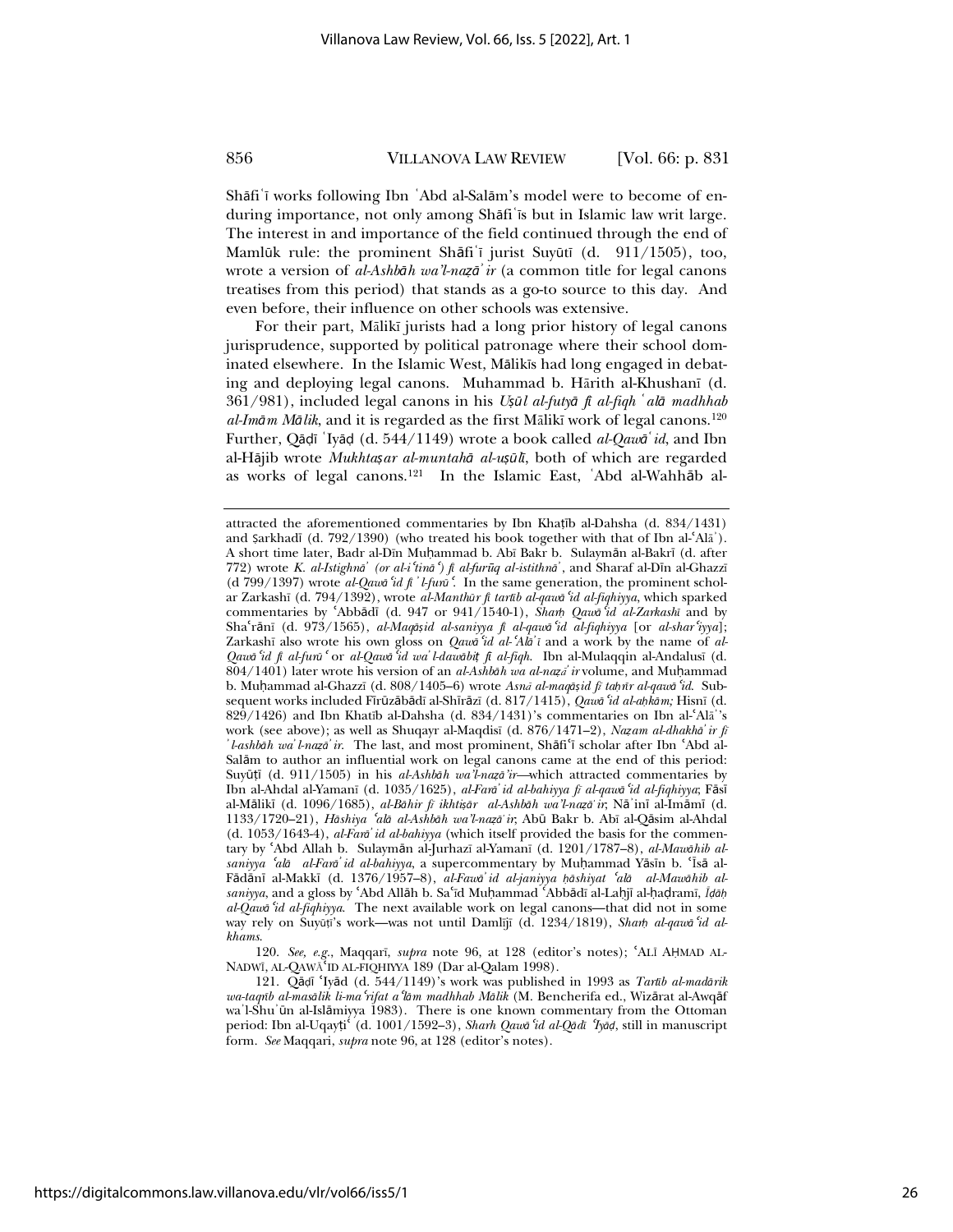Shāfi ī works following Ibn `Abd al-Salām's model were to become of enduring importance, not only among Shāfi'is but in Islamic law writ large. The interest in and importance of the field continued through the end of Mamlūk rule: the prominent Shāfi'ī jurist Suyūtī (d. 911/1505), too, wrote a version of *al-Ashbāh wa'l-nazā' ir* (a common title for legal canons treatises from this period) that stands as a go-to source to this day. And even before, their influence on other schools was extensive.

For their part, Mālikī jurists had a long prior history of legal canons jurisprudence, supported by political patronage where their school dominated elsewhere. In the Islamic West, Mālikīs had long engaged in debating and deploying legal canons. Muhammad b. Hārith al-Khushanī (d. 361/981), included legal canons in his *U͆Żl al-futyņ fŞ al-fiqh څalņ madhhab al-Imām Mālik*, and it is regarded as the first Mālikī work of legal canons.<sup>120</sup> Further, Qādī <sup>'</sup>Iyād (d. 544/1149) wrote a book called *al-Qaw*ā *id*, and Ibn al-Hājib wrote *Mukhta*șar al-muntahā al-ușūlī, both of which are regarded as works of legal canons.<sup>121</sup> In the Islamic East, 'Abd al-Wahhāb al-

120. See, e.g., Maqqarī, *supra* note 96, at 128 (editor's notes); 'ALĪ AHMAD AL-NADWĪ, AL-QAWĀ ID AL-FIQHIYYA 189 (Dar al-Qalam 1998).

attracted the aforementioned commentaries by Ibn Khaṭīb al-Dahsha (d. 834/1431) and Şarkhadī (d. 792/1390) (who treated his book together with that of Ibn al- $A\text{I}\bar{\text{a}}$ ). A short time later, Badr al-Dīn Muhammad b. Abī Bakr b. Sulaymān al-Bakrī (d. after 772) wrote *K. al-Istighna<sup>†</sup>* (or al-*i* 'tina<sup>5</sup>) fi al-fur*ūq al-istithna*<sup>2</sup>, and Sharaf al-Dīn al-Ghazzī (d 799/1397) wrote al-Qawa<sup>c</sup>id fi<sup>'</sup>l-furu<sup>c</sup>. In the same generation, the prominent scholar Zarkashī (d. 794/1392), wrote *al-Manthūr fi tartīb al-qawā 'id al-fiqhiyya*, which sparked commentaries by <sup>*Abbādī* (d. 947 or 941/1540-1), *Sharh Qawa id al-Zarkashī* and by</sup> Shaʿrānī (d. 973/1565), *al-Maq*āșid al-saniyya fi al-qawā 'id al-fiqhiyya [or al-shar 'iyya]; Zarkashī also wrote his own gloss on *Qawa*<sup>5</sup>*id al-*<sup>4</sup>*Ala<sup>2</sup>i* and a work by the name of *al-Qawņ*<sup>ɇ</sup>*id fŞ al-furŻ*<sup>ɇ</sup> or *al-Qawņ*<sup>ɇ</sup>*id waڄl-dawņbi͐ fŞ al-fiqh*. Ibn al-Mulaqqin al-Andalusĩ (d. 804/1401) later wrote his version of an *al-Ashb* $\bar{a}h$  wa al-naza<sup> $\bar{a}$ </sup> ir volume, and Muḥammad b. Muhammad al-Ghazzī (d. 808/1405–6) wrote *Asna al-maq*asid fi tahnr al-qawa 'id. Subsequent works included Fīrūzābādī al-Shīrāzī (d. 817/1415), Qawā 'id al-ahkām; Hisnī (d. 829/1426) and Ibn Khatīb al-Dahsha (d. 834/1431)'s commentaries on Ibn al-'Ala<sup>'</sup>'s work (see above); as well as Shuqayr al-Maqdisī (d. 876/1471–2), *Nazam al-dhakhā' ir fi*  $\dot{a}$ *l-ashbāh wa'l-nazā'ir*. The last, and most prominent, Shāfi'ī scholar after Ibn 'Abd al-Salām to author an influential work on legal canons came at the end of this period: Suyūṭī (d. 911/1505) in his *al-Ashbāh wa'l-naẓā'ir*—which attracted commentaries by Ibn al-Ahdal al-Yamanī (d. 1035/1625), *al-Fara<sup><i>i*</sup> id al-bahiyya fī al-qawa id al-fiqhiyya; Fāsī al-MņlikŞ (d. 1096/1685), *al-Bņhir fĩ ikhti͆ņr al-Ashbņh wa'l-naͰņڄir*; NņڄinŞ al-ImņmŞ (d. 1133/1720–21), *Hņshiya* <sup>ɇ</sup>*alņ al-Ashbņh wa'l-naͰņڄir*; AbŻ Bakr b. Abĩ al-Qņsim al-Ahdal (d. 1053/1643-4), *al-Farņڄid al-bahiyya* (which itself provided the basis for the commentary by 'Abd Allah b. Sulaymān al-Jurhazī al-Yamanī (d. 1201/1787–8), *al-Mawahib alsaniyya* <sup>ɇ</sup>*alņ al-Farņڄid al-bahiyya*, a supercommentary by Müammad YņsŞn b. ɇĨsņ al-Fādānī al-Makkī (d. 1376/1957–8), *al-Fawā* id al-janiyya hāshiyat 'alā al-Mawāhib alsaniyya, and a gloss by 'Abd Allāh b. Sa'īd Muhammad 'Abbādī al-Laḥjī al-ḥaḍramī, *Īḍāḥ al-Qawņ*<sup>ɇ</sup>*id al-fiqhiyya*. The next available work on legal canons—that did not in some way rely on Suyūți's work—was not until Damlījī (d. 1234/1819), *Sharh al-qawa id alkhams*.

<sup>121.</sup> Qāḍī 'Iyād (d. 544/1149)'s work was published in 1993 as *Tartīb al-madārik*  $wa$ -taqrīb al-masālik li-ma<sup>c</sup>rifat a 'lām madhhab Mālik (M. Bencherifa ed., Wizārat al-Awqāf wa'l-Shu'ūn al-Islāmiyya 1983). There is one known commentary from the Ottoman period: Ibn al-Uqayți<sup>c</sup> (d. 1001/1592–3), *Sharh Qawa<sup>c</sup>id al-Qad*i 'Iyad, still in manuscript form. *See* Maqqari, *supra* note 96, at 128 (editor's notes).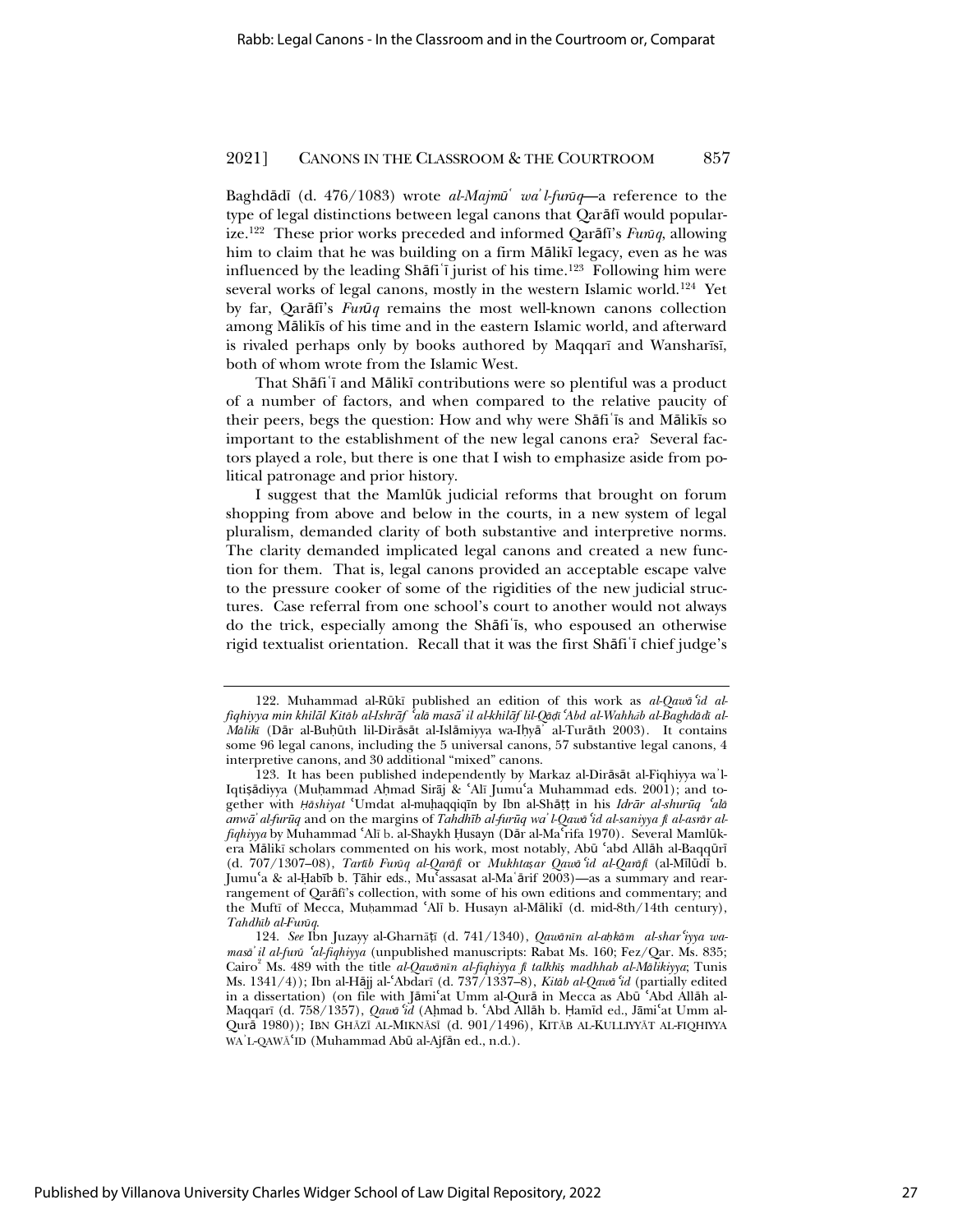Baghdādī (d. 476/1083) wrote *al-Majm*ū<sup>*'*</sup> wa<sup>'</sup>*l-furūq*—a reference to the type of legal distinctions between legal canons that Qarāfī would popularize.<sup>122</sup> These prior works preceded and informed Oarāfi's *Fura*<sub>*d*</sub>, allowing him to claim that he was building on a firm Mālikī legacy, even as he was influenced by the leading Shāfi i jurist of his time.<sup>123</sup> Following him were several works of legal canons, mostly in the western Islamic world.<sup>124</sup> Yet by far, Qarāfi's *Fur* $\bar{u}q$  remains the most well-known canons collection among Mālikīs of his time and in the eastern Islamic world, and afterward is rivaled perhaps only by books authored by Maqqarĩ and Wansharĩsĩ, both of whom wrote from the Islamic West.

That Shāfi'i and Mālikī contributions were so plentiful was a product of a number of factors, and when compared to the relative paucity of their peers, begs the question: How and why were Shāfi is and Mālikis so important to the establishment of the new legal canons era? Several factors played a role, but there is one that I wish to emphasize aside from political patronage and prior history.

I suggest that the Mamlūk judicial reforms that brought on forum shopping from above and below in the courts, in a new system of legal pluralism, demanded clarity of both substantive and interpretive norms. The clarity demanded implicated legal canons and created a new function for them. That is, legal canons provided an acceptable escape valve to the pressure cooker of some of the rigidities of the new judicial structures. Case referral from one school's court to another would not always do the trick, especially among the Shāfi<sup>'</sup>is, who espoused an otherwise rigid textualist orientation. Recall that it was the first Shafi'i chief judge's

<sup>122.</sup> Muhammad al-Rūkī published an edition of this work as al-Qawa<sup>c</sup>id alfiqhiyya min khilāl Kitāb al-Ishrāf <sup>č</sup>alā masāʾ il al-khilāf lil-Qāḍī ʿAbd al-Wahhāb al-Baghdādī al-*Mālik*ī (Dār al-Buḥūth lil-Dirāsāt al-Islāmiyya wa-Iḥyā<sup>'</sup> al-Turāth 2003). It contains some 96 legal canons, including the 5 universal canons, 57 substantive legal canons, 4 interpretive canons, and 30 additional "mixed" canons.

<sup>123.</sup> It has been published independently by Markaz al-Dirāsāt al-Fiqhiyya wa'l-Iqtisādiyya (Muhammad Ahmad Sirāj & ʿAlī Jumuʿa Muhammad eds. 2001); and together with *Ḥāshiyat* 'Umdat al-muḥaqqiqīn by Ibn al-Shāṭṭ in his *Idrār al-shurūq 'alā* anwa' al-furūq and on the margins of Tahdhīb al-furūq wa' l-Qawa 'id al-saniyya fi al-asrar al*fiqhiyya* by Muhammad 'Alī b. al-Shaykh Husayn (Dār al-Ma rifa 1970). Several Mamlūkera Mālikī scholars commented on his work, most notably, Abū 'abd Allāh al-Baqqūrī (d. 707/1307–08), *TartŞb FurŻq al-QarņfŞ* or *Mukhta͆ar Qawņ*<sup>ɇ</sup>*id al-QarņfŞ* (al-MŞlŻdŞ b. Jumuʿa & al-Ḥabīb b. Tāhir eds., Muʿassasat al-Maʿārif 2003)—as a summary and rearrangement of Qarāfī's collection, with some of his own editions and commentary; and the Muftī of Mecca, Muhammad 'Alī b. Husayn al-Mālikī (d. mid-8th/14th century), *TahdhŞb al-FurŻq*.

<sup>124.</sup> See Ibn Juzayy al-Gharnāṭī (d. 741/1340), *Qawānīn al-ahkām al-shar'iyya wamasa*<sup>'</sup>*il al-fura*<sup>*'al-fiqhiyya* (unpublished manuscripts: Rabat Ms. 160; Fez/Qar. Ms. 835;</sup> Cairo<sup>2</sup> Ms. 489 with the title *al-Qawanın al-fiqhiyya fi talkhış madhhab al-Malikiyya*; Tunis Ms. 1341/4)); Ibn al-Hājj al-'Abdarī (d. 737/1337-8), *Kitāb al-Qawā 'id* (partially edited in a dissertation) (on file with Jāmiʿat Umm al-Qurā in Mecca as Abū ʿAbd Allāh al-Maqqarī (d. 758/1357), *Qawa<sup>c</sup>id* (Ahmad b. 'Abd Allah b. Ḥamīd ed., Jāmi'at Umm al-Qurā 1980)); IBN GHĀZĪ AL-MIKNĀSĪ (d. 901/1496), KITĀB AL-KULLIYYĀT AL-FIQHIYYA WA'L-QAWĀ'ID (Muhammad Abū al-Ajfān ed., n.d.).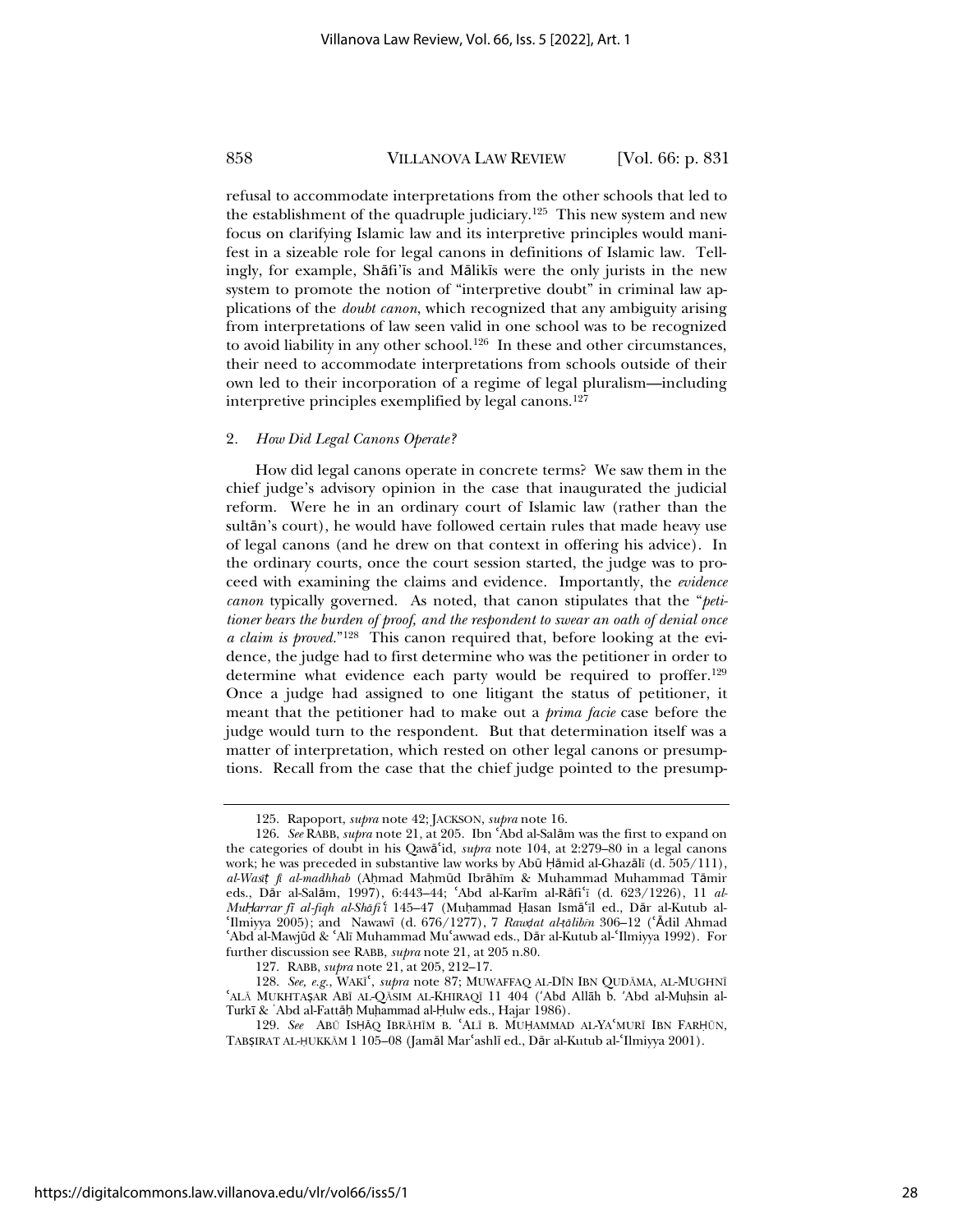refusal to accommodate interpretations from the other schools that led to the establishment of the quadruple judiciary.125 This new system and new focus on clarifying Islamic law and its interpretive principles would manifest in a sizeable role for legal canons in definitions of Islamic law. Tellingly, for example, Shāfi's and Mālikis were the only jurists in the new system to promote the notion of "interpretive doubt" in criminal law applications of the *doubt canon*, which recognized that any ambiguity arising from interpretations of law seen valid in one school was to be recognized to avoid liability in any other school.<sup>126</sup> In these and other circumstances, their need to accommodate interpretations from schools outside of their own led to their incorporation of a regime of legal pluralism—including interpretive principles exemplified by legal canons.127

#### 2*. How Did Legal Canons Operate?*

How did legal canons operate in concrete terms? We saw them in the chief judge's advisory opinion in the case that inaugurated the judicial reform. Were he in an ordinary court of Islamic law (rather than the sultān's court), he would have followed certain rules that made heavy use of legal canons (and he drew on that context in offering his advice). In the ordinary courts, once the court session started, the judge was to proceed with examining the claims and evidence. Importantly, the *evidence canon* typically governed. As noted, that canon stipulates that the "*petitioner bears the burden of proof, and the respondent to swear an oath of denial once a claim is proved.*"128 This canon required that, before looking at the evidence, the judge had to first determine who was the petitioner in order to determine what evidence each party would be required to proffer.<sup>129</sup> Once a judge had assigned to one litigant the status of petitioner, it meant that the petitioner had to make out a *prima facie* case before the judge would turn to the respondent. But that determination itself was a matter of interpretation, which rested on other legal canons or presumptions. Recall from the case that the chief judge pointed to the presump-

<sup>125.</sup> Rapoport, *supra* note 42; JACKSON, *supra* note 16.

<sup>126.</sup> *See* RABB, *supra* note 21, at 205. Ibn Abd al-Salām was the first to expand on the categories of doubt in his Qawā'id, *supra* note 104, at 2:279–80 in a legal canons work; he was preceded in substantive law works by Abū Ḥāmid al-Ghazālī (d. 505/111), *al-Wasi*<sup>*f*</sup> *f al-madhhab* (Ahmad Mahmūd Ibrāhīm & Muhammad Muhammad Tāmir eds., Dār al-Salām, 1997), 6:443-44; 'Abd al-Karīm al-Rāfi'ī (d. 623/1226), 11 al-*MuḤarrar fī al-fiqh al-Shāfi* î 145–47 (Muḥammad Ḥasan Ismāʿīl ed., Dār al-Kutub alɇIlmiyya 2005); and NawawŞ (d. 676/1277), 7 *Raw˰at al-͐ņlibĩn* 306–12 (ɇŅdil Ahmad 'Abd al-Mawjūd & 'Alī Muhammad Mu'awwad eds., Dār al-Kutub al-'Ilmiyya 1992). For further discussion see RABB, *supra* note 21, at 205 n.80.

<sup>127.</sup> RABB, *supra* note 21, at 205, 212–17.

<sup>128.</sup> See, e.g., WAKI<sup>c</sup>, *supra* note 87; MUWAFFAQ AL-DĪN IBN QUDĀMA, AL-MUGHNĪ ɇALą MUKHTA͆AR ABĨ AL-QąSIM AL-KHIRAQĨ 11 404 (ځAbd AllƗh b. ځAbd al-Muhҕsin al-Turkī & 'Abd al-Fattāḥ Muḥammad al-Ḥulw eds., Hajar 1986).

<sup>129.</sup> See ABŪ ISHĀQ IBRĀHĪM B. ALĪ B. MUHAMMAD AL-YA MURĪ IBN FARHŪN, TABŞIRAT AL-ḤUKKĀM 1 105-08 (Jamāl Marʿashlī ed., Dār al-Kutub al-ʿIlmiyya 2001).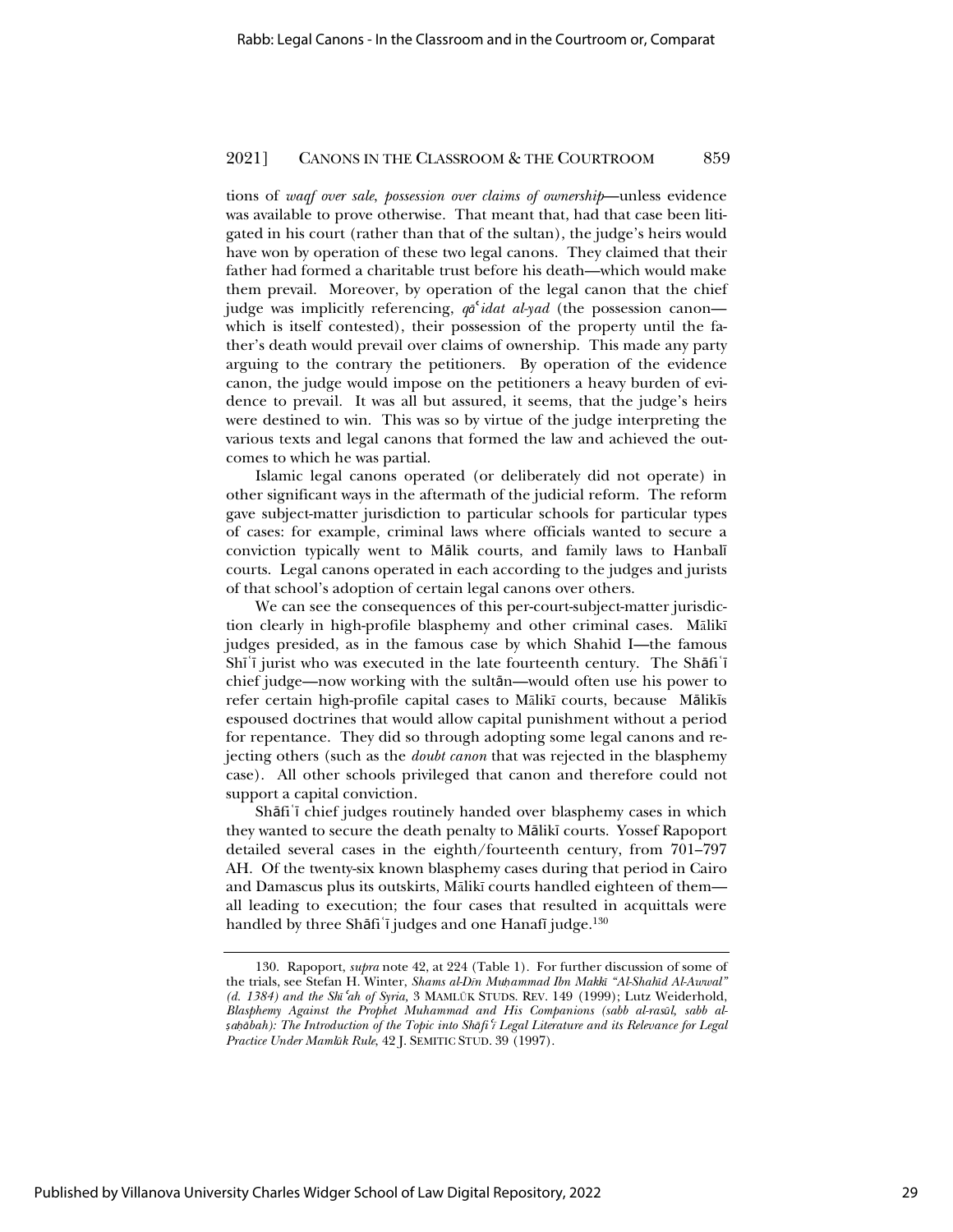tions of *waqf over sale*, *possession over claims of ownership*—unless evidence was available to prove otherwise. That meant that, had that case been litigated in his court (rather than that of the sultan), the judge's heirs would have won by operation of these two legal canons. They claimed that their father had formed a charitable trust before his death—which would make them prevail. Moreover, by operation of the legal canon that the chief judge was implicitly referencing,  $q\bar{q}^{\prime}$ *idat al-yad* (the possession canon which is itself contested), their possession of the property until the father's death would prevail over claims of ownership. This made any party arguing to the contrary the petitioners. By operation of the evidence canon, the judge would impose on the petitioners a heavy burden of evidence to prevail. It was all but assured, it seems, that the judge's heirs were destined to win. This was so by virtue of the judge interpreting the various texts and legal canons that formed the law and achieved the outcomes to which he was partial.

Islamic legal canons operated (or deliberately did not operate) in other significant ways in the aftermath of the judicial reform. The reform gave subject-matter jurisdiction to particular schools for particular types of cases: for example, criminal laws where officials wanted to secure a conviction typically went to Mālik courts, and family laws to Hanbalī courts. Legal canons operated in each according to the judges and jurists of that school's adoption of certain legal canons over others.

We can see the consequences of this per-court-subject-matter jurisdiction clearly in high-profile blasphemy and other criminal cases. Mālikī judges presided, as in the famous case by which Shahid I—the famous  $Shi'i$  jurist who was executed in the late fourteenth century. The Shafi<sup> $\dagger$ </sup> chief judge—now working with the sult**ān—would** often use his power to refer certain high-profile capital cases to Mālikī courts, because Mālikīs espoused doctrines that would allow capital punishment without a period for repentance. They did so through adopting some legal canons and rejecting others (such as the *doubt canon* that was rejected in the blasphemy case). All other schools privileged that canon and therefore could not support a capital conviction.

Shāfi i chief judges routinely handed over blasphemy cases in which they wanted to secure the death penalty to Mālikī courts. Yossef Rapoport detailed several cases in the eighth/fourteenth century, from 701–797 AH. Of the twenty-six known blasphemy cases during that period in Cairo and Damascus plus its outskirts, Mālikī courts handled eighteen of them all leading to execution; the four cases that resulted in acquittals were handled by three Shāfi i judges and one Hanafi judge.<sup>130</sup>

<sup>130.</sup> Rapoport, *supra* note 42, at 224 (Table 1). For further discussion of some of the trials, see Stefan H. Winter, *Shams al-Dīn Muhammad Ibn Makk*<sup>*a*</sup> "Al-Shahīd Al-Awwal" *(d. 1384) and the Sh*<sup>*c*</sup>*ah of Syria,* 3 MAMLŪK STUDS. REV. 149 (1999); Lutz Weiderhold, *Blasphemy Against the Prophet Muhammad and His Companions (sabb al-rasūl, sabb al-͆äņbah): The Introduction of the Topic into Shņfi*<sup>ɇ</sup>*ĩ Legal Literature and its Relevance for Legal Practice Under MamlŻk Rule*, 42 J. SEMITIC STUD. 39 (1997).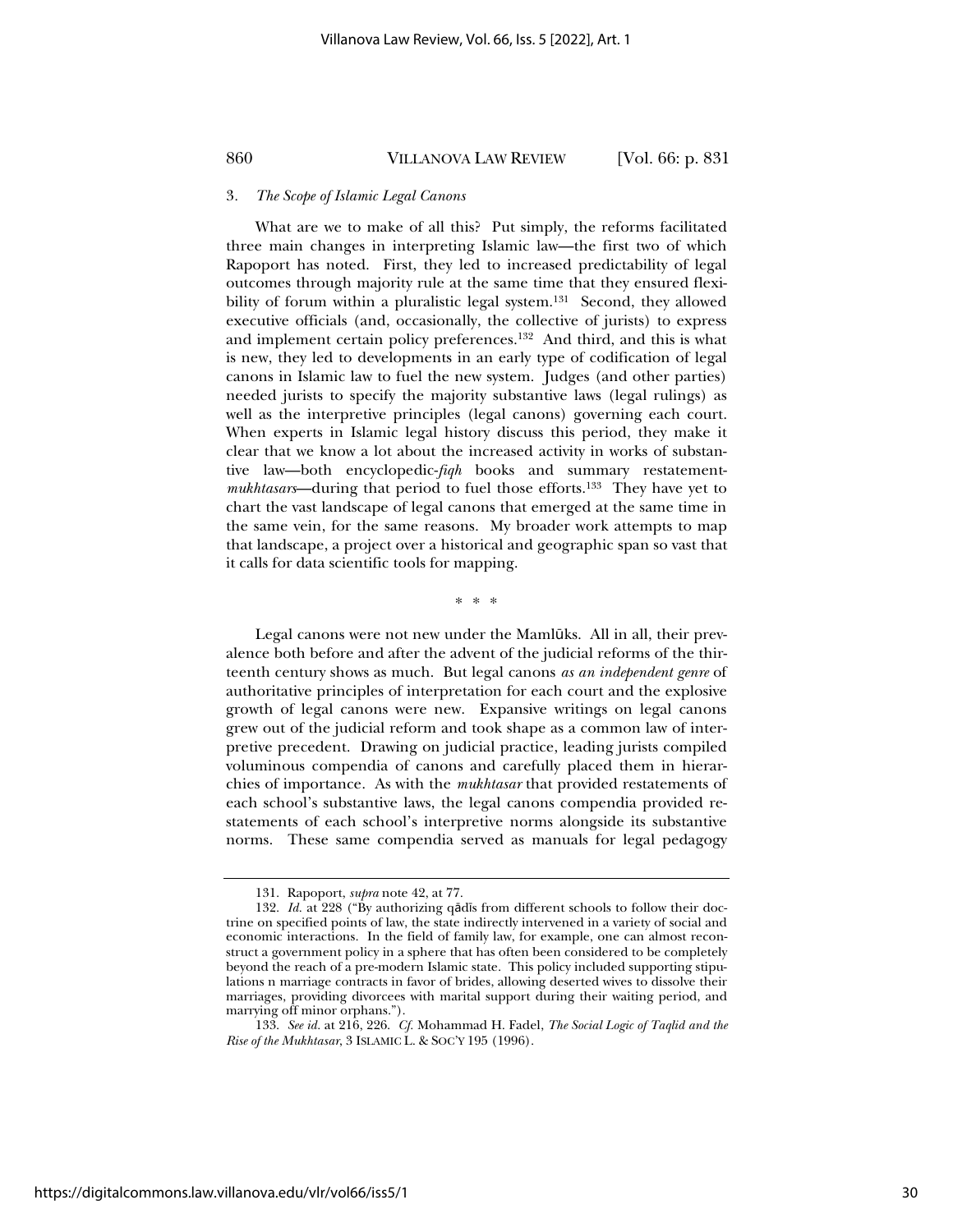#### 3*. The Scope of Islamic Legal Canons*

What are we to make of all this? Put simply, the reforms facilitated three main changes in interpreting Islamic law—the first two of which Rapoport has noted. First, they led to increased predictability of legal outcomes through majority rule at the same time that they ensured flexibility of forum within a pluralistic legal system.<sup>131</sup> Second, they allowed executive officials (and, occasionally, the collective of jurists) to express and implement certain policy preferences.132 And third, and this is what is new, they led to developments in an early type of codification of legal canons in Islamic law to fuel the new system. Judges (and other parties) needed jurists to specify the majority substantive laws (legal rulings) as well as the interpretive principles (legal canons) governing each court. When experts in Islamic legal history discuss this period, they make it clear that we know a lot about the increased activity in works of substantive law—both encyclopedic-*fiqh* books and summary restatement*mukhtasars*—during that period to fuel those efforts.<sup>133</sup> They have yet to chart the vast landscape of legal canons that emerged at the same time in the same vein, for the same reasons. My broader work attempts to map that landscape, a project over a historical and geographic span so vast that it calls for data scientific tools for mapping.

\*\*\*

Legal canons were not new under the Mamlūks. All in all, their prevalence both before and after the advent of the judicial reforms of the thirteenth century shows as much. But legal canons *as an independent genre* of authoritative principles of interpretation for each court and the explosive growth of legal canons were new. Expansive writings on legal canons grew out of the judicial reform and took shape as a common law of interpretive precedent. Drawing on judicial practice, leading jurists compiled voluminous compendia of canons and carefully placed them in hierarchies of importance. As with the *mukhtasar* that provided restatements of each school's substantive laws, the legal canons compendia provided restatements of each school's interpretive norms alongside its substantive norms. These same compendia served as manuals for legal pedagogy

<sup>131.</sup> Rapoport, *supra* note 42, at 77.

<sup>132.</sup> *Id.* at 228 ("By authorizing qādīs from different schools to follow their doctrine on specified points of law, the state indirectly intervened in a variety of social and economic interactions. In the field of family law, for example, one can almost reconstruct a government policy in a sphere that has often been considered to be completely beyond the reach of a pre-modern Islamic state. This policy included supporting stipulations n marriage contracts in favor of brides, allowing deserted wives to dissolve their marriages, providing divorcees with marital support during their waiting period, and marrying off minor orphans.").

<sup>133.</sup> *See id.* at 216, 226. *Cf.* Mohammad H. Fadel, *The Social Logic of Taqlid and the Rise of the Mukhtasar*, 3 ISLAMIC L. & SOC'Y 195 (1996).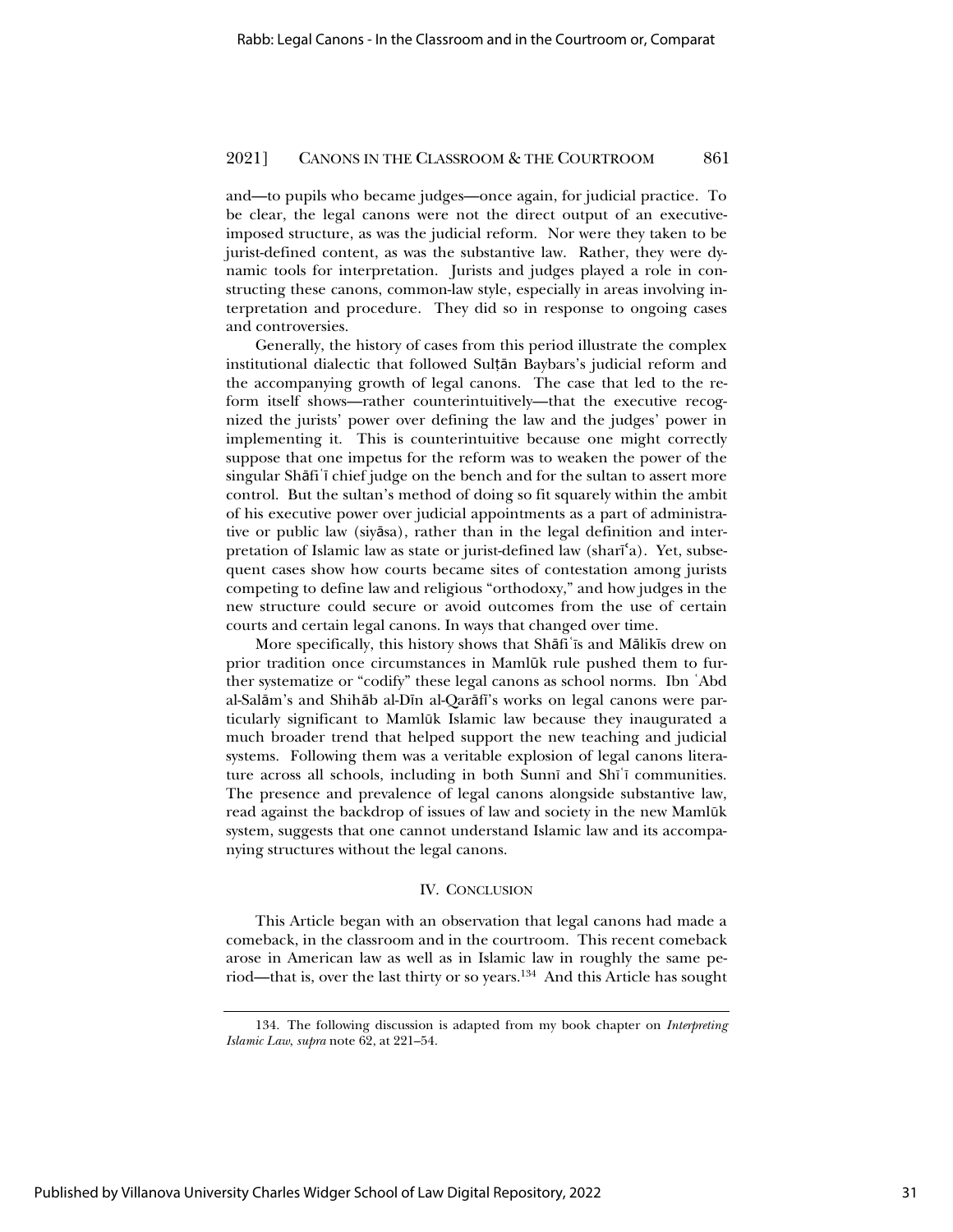and—to pupils who became judges—once again, for judicial practice. To be clear, the legal canons were not the direct output of an executiveimposed structure, as was the judicial reform. Nor were they taken to be jurist-defined content, as was the substantive law. Rather, they were dynamic tools for interpretation. Jurists and judges played a role in constructing these canons, common-law style, especially in areas involving interpretation and procedure. They did so in response to ongoing cases and controversies.

Generally, the history of cases from this period illustrate the complex institutional dialectic that followed Sultan Baybars's judicial reform and the accompanying growth of legal canons. The case that led to the reform itself shows—rather counterintuitively—that the executive recognized the jurists' power over defining the law and the judges' power in implementing it. This is counterintuitive because one might correctly suppose that one impetus for the reform was to weaken the power of the singular Shāfi<sup>t</sup> chief judge on the bench and for the sultan to assert more control. But the sultan's method of doing so fit squarely within the ambit of his executive power over judicial appointments as a part of administrative or public law (siyāsa), rather than in the legal definition and interpretation of Islamic law as state or jurist-defined law (shari $a$ ). Yet, subsequent cases show how courts became sites of contestation among jurists competing to define law and religious "orthodoxy," and how judges in the new structure could secure or avoid outcomes from the use of certain courts and certain legal canons. In ways that changed over time.

More specifically, this history shows that Shafi<sup>'</sup> is and Malikis drew on prior tradition once circumstances in Mamlūk rule pushed them to further systematize or "codify" these legal canons as school norms. Ibn څAbd al-Salām's and Shihāb al-Dīn al-Qarāfī's works on legal canons were particularly significant to Mamlūk Islamic law because they inaugurated a much broader trend that helped support the new teaching and judicial systems. Following them was a veritable explosion of legal canons literature across all schools, including in both Sunnī and Shī'ī communities. The presence and prevalence of legal canons alongside substantive law, read against the backdrop of issues of law and society in the new Mamlūk system, suggests that one cannot understand Islamic law and its accompanying structures without the legal canons.

#### IV. CONCLUSION

This Article began with an observation that legal canons had made a comeback, in the classroom and in the courtroom. This recent comeback arose in American law as well as in Islamic law in roughly the same period—that is, over the last thirty or so years.134 And this Article has sought

<sup>134.</sup> The following discussion is adapted from my book chapter on *Interpreting Islamic Law*, *supra* note 62, at 221–54.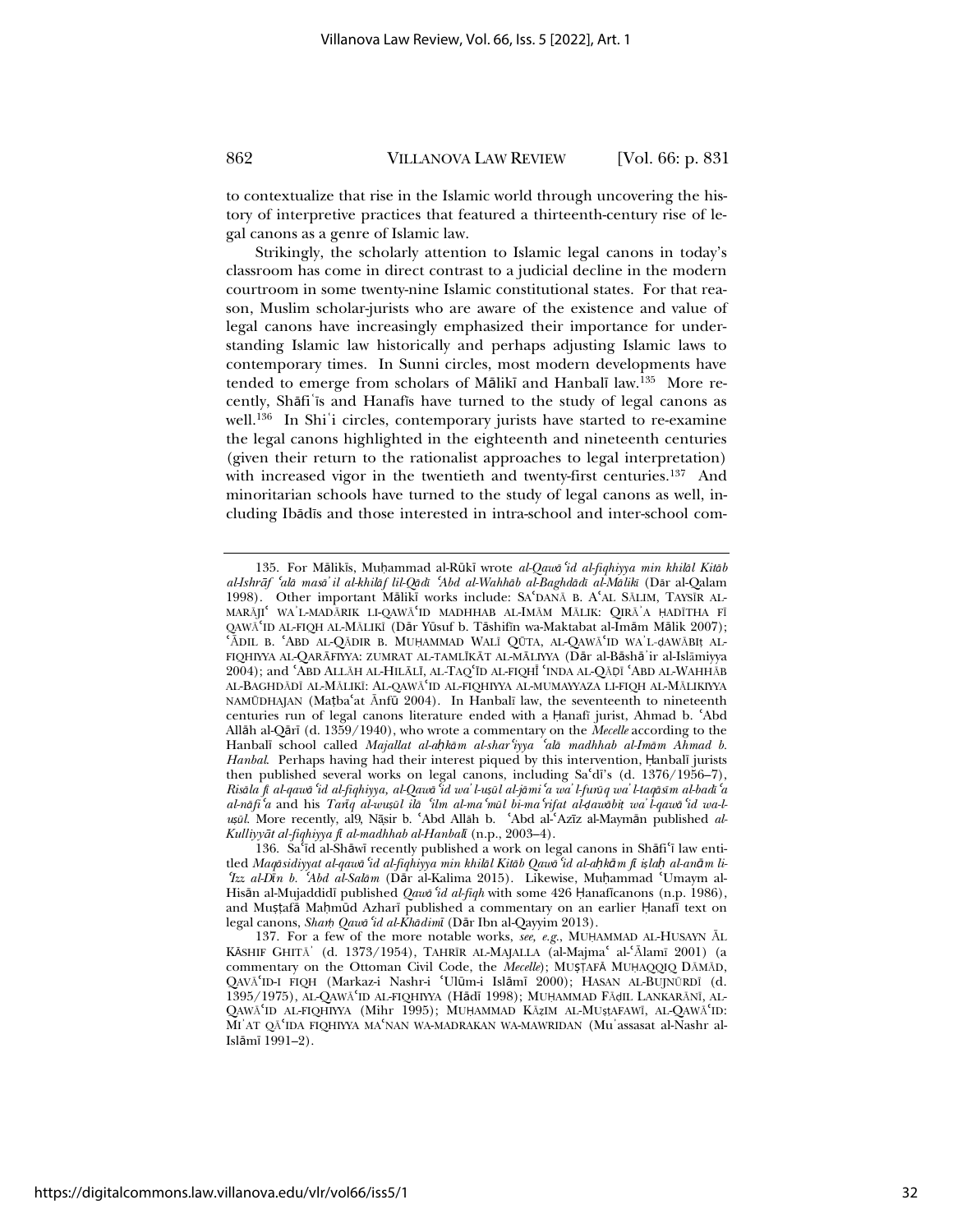to contextualize that rise in the Islamic world through uncovering the history of interpretive practices that featured a thirteenth-century rise of legal canons as a genre of Islamic law.

Strikingly, the scholarly attention to Islamic legal canons in today's classroom has come in direct contrast to a judicial decline in the modern courtroom in some twenty-nine Islamic constitutional states. For that reason, Muslim scholar-jurists who are aware of the existence and value of legal canons have increasingly emphasized their importance for understanding Islamic law historically and perhaps adjusting Islamic laws to contemporary times. In Sunni circles, most modern developments have tended to emerge from scholars of Mālikī and Hanbalī law.<sup>135</sup> More recently, Shāfi'is and Hanafis have turned to the study of legal canons as well.<sup>136</sup> In Shi<sup>\*</sup>i circles, contemporary jurists have started to re-examine the legal canons highlighted in the eighteenth and nineteenth centuries (given their return to the rationalist approaches to legal interpretation) with increased vigor in the twentieth and twenty-first centuries.<sup>137</sup> And minoritarian schools have turned to the study of legal canons as well, including Ibādīs and those interested in intra-school and inter-school com-

<sup>135.</sup> For Mālikīs, Muhammad al-Rūkī wrote al-Qawā 'id al-fiqhiyya min khilāl Kitāb al-Ishrāf 'alā masā' il al-khilāf lil-Qādī 'Abd al-Wahhāb al-Baghdādī al-Mālikī (Dār al-Qalam 1998). Other important Mālikī works include: SAʿDANĀ B. AʿAL SĀLIM, TAYSĪR AL-MARĀJI<sup>ē</sup> WA`L-MADĀRIK LI-QAWĀ<sup>e</sup>ID MADHHAB AL-IMĀM MĀLIK: QIRĀ`A ḤADĪTHA FĪ  $QAWA^KID$  AL-FIQH AL-MĀLIKĨ (D $\overline{AD}$  Visufin b. Tāshiffn wa-Maktabat al-Imām Mālik 2007); `ĀDIL B. `ABD AL-QĀDIR B. MUḤAMMAD WALĪ QŪTA, AL-QAWĀ`ID WA`L-ḍAWĀBIţ AL-FIQHIYYA AL-QARĀFIYYA: ZUMRAT AL-TAMLĪKĀT AL-MĀLIYYA (Dār al-Bāshā'ir al-Islāmiyya 2004); and ʿABD ALLāH AL-HILāLĪ, AL-TAQʿĪD AL-FIQHĪ ʿINDA AL-Qāḍī ʿABD AL-WAHHĀB AL-BAGHDĀDĪ AL-MĀLIKĪ: AL-QAWĀ 'ID AL-FIQHIYYA AL-MUMAYYAZA LI-FIQH AL-MĀLIKIYYA NAMŪDHAJAN (Matbaʿat Ānfū 2004). In Hanbalī law, the seventeenth to nineteenth centuries run of legal canons literature ended with a Hanafī jurist, Ahmad b. 'Abd Allāh al-Qārī (d. 1359/1940), who wrote a commentary on the *Mecelle* according to the Hanbalī school called *Majallat al-ahkām al-shar'iyya 'alā madhhab al-Imām Ahmad b.* Hanbal. Perhaps having had their interest piqued by this intervention, Hanbalī jurists then published several works on legal canons, including  $Sa<sup>2</sup>d<sup>3</sup>$  (d. 1376/1956–7), Risāla fi al-qawā 'id al-fiqhiyya, al-Qawā 'id wa' l-uṣūl al-jāmi 'a wa' l-furūq wa' l-taqāsīm al-badī 'a al-nāfi'a and his Tanq al-wuṣul ilā 'ilm al-ma'mūl bi-ma'rifat al-dawābit wa'l-qawā 'id wa-l*ușul.* More recently, al9, Nāșir b. Abd Allah b. 'Abd al-'Azīz al-Maymān published al-*KulliyyƗt al-fiqhiyya fŞ al-madhhab al-HanbalŞ* (n.p., 2003–4).

<sup>136.</sup> Sa'īd al-Shāwī recently published a work on legal canons in Shāfi'ī law entitled Maqāsidiyyat al-qawā 'id al-fiqhiyya min khilāl Kitāb Qawā 'id al-ah kām fi islah al-anām li<sup>ɇ</sup>*Izz al-DŞn b.* <sup>ɇ</sup>*Abd al-Salņm* (Dņr al-Kalima 2015). Likewise, Müammad ɇUmaym al-Hisān al-Mujaddidī published *Qaw*ā 'id al-fiqh with some 426 Hanaficanons (n.p. 1986), and Mușțafă Mahmûd Azharī published a commentary on an earlier Hanafi text on legal canons, *Shar̈ Qawņ*<sup>ɇ</sup>*id al-KhņdimŞ* (Dņr Ibn al-Qayyim 2013).

<sup>137.</sup> For a few of the more notable works, *see, e.g.*, MUHAMMAD AL-HUSAYN AL KĀSHIF GHITĀ' (d. 1373/1954), TAHRĪR AL-MAJALLA (al-Majmaʿ al-ʿĀlamī 2001) (a commentary on the Ottoman Civil Code, the *Mecelle*); MUSTAFA MUHAQQIQ DAMAD, QAVĀ'ID-I FIQH (Markaz-i Nashr-i 'Ulūm-i Islāmī 2000); HASAN AL-BUJNŪRDĪ (d. 1395/1975), AL-QAWĀʿID AL-FIQHIYYA (Hādī 1998); MUḤAMMAD FĀḍIL LANKARĀNĪ, AL-QAWĀʻID AL-FIQHIYYA (Mihr 1995); MUHAMMAD KĀZIM AL-MUṣṭAFAWĪ, AL-QAWĀʻID: MI'AT QĀ'IDA FIQHIYYA MA'NAN WA-MADRAKAN WA-MAWRIDAN (Mu'assasat al-Nashr al- $Islām<sub>l</sub> 1991–2.$